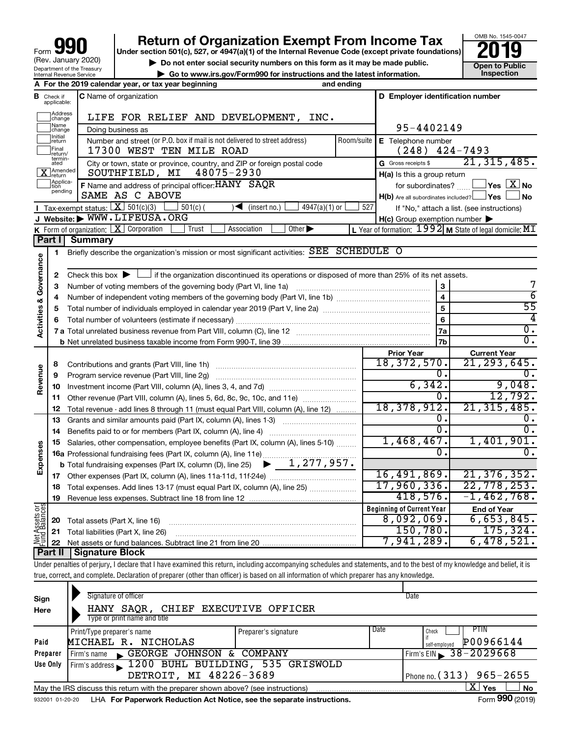| 990<br>Form                                            |
|--------------------------------------------------------|
| (Rev. January 2020)                                    |
| Department of the Treasury<br>Internal Revenue Service |

# **your Section 501(c), 527, or 4947(a)(1) of the Internal Revenue Code (except private foundations) 2019**



▶ Do not enter social security numbers on this form as it may be made public. <br>
inspection and the latest information. **Dependent in the latest information** and the latest information. **| Go to www.irs.gov/Form990 for instructions and the latest information. Inspection**

|                                    |                              | A For the 2019 calendar year, or tax year beginning                                                                                      | and ending         |                                                     |                                                                 |  |  |
|------------------------------------|------------------------------|------------------------------------------------------------------------------------------------------------------------------------------|--------------------|-----------------------------------------------------|-----------------------------------------------------------------|--|--|
| В                                  | Check if<br>applicable:      | <b>C</b> Name of organization                                                                                                            |                    | D Employer identification number                    |                                                                 |  |  |
|                                    | Address<br> change           | LIFE FOR RELIEF AND DEVELOPMENT, INC.                                                                                                    |                    |                                                     |                                                                 |  |  |
|                                    | Mame<br>]change              | Doing business as                                                                                                                        | 95-4402149         |                                                     |                                                                 |  |  |
|                                    | Initial<br> return           | Number and street (or P.O. box if mail is not delivered to street address)<br>Room/suite                                                 | E Telephone number |                                                     |                                                                 |  |  |
|                                    | Final<br>return/<br>termin-  | 17300 WEST TEN MILE ROAD                                                                                                                 | (248)              | 424-7493                                            |                                                                 |  |  |
|                                    | ated                         | City or town, state or province, country, and ZIP or foreign postal code                                                                 |                    | G Gross receipts \$                                 | 21, 315, 485.                                                   |  |  |
|                                    | Amended<br>Jreturn           | 48075-2930<br>SOUTHFIELD, MI                                                                                                             |                    | H(a) Is this a group return                         |                                                                 |  |  |
|                                    | Applica-<br>Ition<br>pending | F Name and address of principal officer: HANY SAQR                                                                                       |                    | for subordinates?                                   | $ {\mathsf Y}{\mathsf e}{\mathsf s} \ \   \ {\mathsf X} \  $ No |  |  |
|                                    |                              | SAME AS C ABOVE                                                                                                                          |                    | $H(b)$ Are all subordinates included? $\Box$ Yes    | No                                                              |  |  |
|                                    |                              | Tax-exempt status: $X \overline{3}$ 501(c)(3)<br>$\sqrt{\frac{1}{1}}$ (insert no.)<br>$4947(a)(1)$ or<br>$501(c)$ (                      | 527                |                                                     | If "No," attach a list. (see instructions)                      |  |  |
|                                    |                              | J Website: WWW.LIFEUSA.ORG                                                                                                               |                    | $H(c)$ Group exemption number $\blacktriangleright$ |                                                                 |  |  |
|                                    | Part I                       | Other $\blacktriangleright$<br><b>K</b> Form of organization: $\boxed{\mathbf{X}}$ Corporation<br>Trust<br>Association<br><b>Summary</b> |                    |                                                     | L Year of formation: 1992 M State of legal domicile: MI         |  |  |
|                                    |                              |                                                                                                                                          |                    |                                                     |                                                                 |  |  |
|                                    | 1                            | Briefly describe the organization's mission or most significant activities: SEE SCHEDULE O                                               |                    |                                                     |                                                                 |  |  |
|                                    | 2                            | Check this box $\blacktriangleright$<br>If the organization discontinued its operations or disposed of more than 25% of its net assets.  |                    |                                                     |                                                                 |  |  |
|                                    | З                            |                                                                                                                                          |                    | 3                                                   |                                                                 |  |  |
|                                    | 4                            |                                                                                                                                          |                    | $\overline{\mathbf{4}}$                             | $\overline{6}$                                                  |  |  |
|                                    | 5                            |                                                                                                                                          |                    | 5                                                   | $\overline{55}$                                                 |  |  |
|                                    | 6                            |                                                                                                                                          |                    |                                                     |                                                                 |  |  |
| <b>Activities &amp; Governance</b> |                              |                                                                                                                                          |                    | 6<br>7a                                             | σ.                                                              |  |  |
|                                    |                              |                                                                                                                                          |                    | 7b                                                  | $\overline{0}$ .                                                |  |  |
|                                    |                              |                                                                                                                                          |                    | <b>Prior Year</b>                                   | <b>Current Year</b>                                             |  |  |
|                                    | 8                            |                                                                                                                                          |                    | 18, 372, 570.                                       | 21, 293, 645.                                                   |  |  |
|                                    | 9                            | Program service revenue (Part VIII, line 2g)                                                                                             |                    | 0.                                                  | 0.                                                              |  |  |
| Revenue                            | 10                           |                                                                                                                                          |                    | 6,342.                                              | 9,048.                                                          |  |  |
|                                    | 11                           | Other revenue (Part VIII, column (A), lines 5, 6d, 8c, 9c, 10c, and 11e)                                                                 |                    | 0.                                                  | 12,792.                                                         |  |  |
|                                    | 12                           | Total revenue - add lines 8 through 11 (must equal Part VIII, column (A), line 12)                                                       |                    | 18, 378, 912.                                       | 21, 315, 485.                                                   |  |  |
|                                    | 13                           | Grants and similar amounts paid (Part IX, column (A), lines 1-3)                                                                         |                    | 0.                                                  | 0.                                                              |  |  |
|                                    | 14                           | Benefits paid to or for members (Part IX, column (A), line 4)                                                                            |                    | ο.                                                  | ο.                                                              |  |  |
|                                    | 15                           | Salaries, other compensation, employee benefits (Part IX, column (A), lines 5-10)                                                        |                    | 1,468,467.                                          | 1,401,901.                                                      |  |  |
| Expenses                           |                              | 16a Professional fundraising fees (Part IX, column (A), line 11e)                                                                        |                    | 0.                                                  | ο.                                                              |  |  |
|                                    |                              | $\blacktriangleright$ 1,277,957.<br><b>b</b> Total fundraising expenses (Part IX, column (D), line 25)                                   |                    |                                                     |                                                                 |  |  |
|                                    |                              |                                                                                                                                          |                    | 16,491,869.                                         | 21, 376, 352.                                                   |  |  |
|                                    | 18                           | Total expenses. Add lines 13-17 (must equal Part IX, column (A), line 25)                                                                |                    | 17,960,336.                                         | 22,778,253.                                                     |  |  |
|                                    | 19                           |                                                                                                                                          |                    | 418,576.                                            | $-1,462,768.$                                                   |  |  |
| Net Assets or<br>Fund Balances     |                              |                                                                                                                                          |                    | <b>Beginning of Current Year</b><br>8,092,069.      | <b>End of Year</b><br>6,653,845.                                |  |  |
|                                    | 20                           | Total assets (Part X, line 16)                                                                                                           |                    | 150, 780.                                           | 175, 324.                                                       |  |  |
|                                    |                              | 21 Total liabilities (Part X, line 26)                                                                                                   |                    | 7,941,289.                                          | 6,478,521.                                                      |  |  |
|                                    |                              | IL Canadina Disal                                                                                                                        |                    |                                                     |                                                                 |  |  |

**Part II Signature Block**

┬

Under penalties of perjury, I declare that I have examined this return, including accompanying schedules and statements, and to the best of my knowledge and belief, it is true, correct, and complete. Declaration of preparer (other than officer) is based on all information of which preparer has any knowledge.

| Sign<br>Here | Signature of officer<br>HANY SAQR, CHIEF EXECUTIVE OFFICER<br>Type or print name and title                   |                      |      | Date                           |  |  |  |  |  |  |  |  |
|--------------|--------------------------------------------------------------------------------------------------------------|----------------------|------|--------------------------------|--|--|--|--|--|--|--|--|
|              | Print/Type preparer's name                                                                                   | Preparer's signature | Date | PTIN<br>Check                  |  |  |  |  |  |  |  |  |
| Paid         | MICHAEL R. NICHOLAS                                                                                          |                      |      | P00966144<br>self-emploved     |  |  |  |  |  |  |  |  |
| Preparer     | Firm's name GEORGE JOHNSON & COMPANY                                                                         |                      |      | Firm's EIN $\geq 38 - 2029668$ |  |  |  |  |  |  |  |  |
| Use Only     | Firm's address 1200 BUHL BUILDING, 535 GRISWOLD                                                              |                      |      |                                |  |  |  |  |  |  |  |  |
|              | DETROIT, MI 48226-3689<br>Phone no. $(313)$ 965-2655                                                         |                      |      |                                |  |  |  |  |  |  |  |  |
|              | x<br>Yes<br><b>No</b><br>May the IRS discuss this return with the preparer shown above? (see instructions)   |                      |      |                                |  |  |  |  |  |  |  |  |
|              | Form 990 (2019)<br>LHA For Paperwork Reduction Act Notice, see the separate instructions.<br>932001 01-20-20 |                      |      |                                |  |  |  |  |  |  |  |  |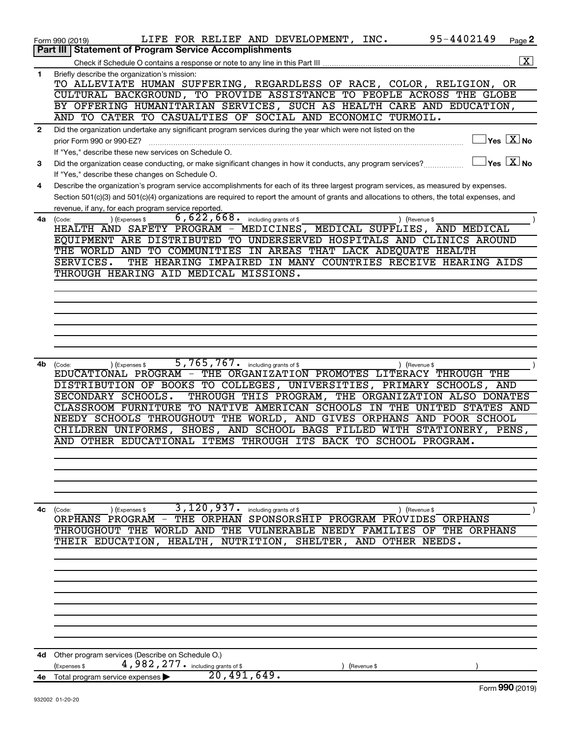|              | 95-4402149<br>LIFE FOR RELIEF AND DEVELOPMENT, INC.<br>Page 2<br>Form 990 (2019)                                                                                       |
|--------------|------------------------------------------------------------------------------------------------------------------------------------------------------------------------|
|              | <b>Statement of Program Service Accomplishments</b><br>Part III<br>$\boxed{\textbf{X}}$                                                                                |
|              | Check if Schedule O contains a response or note to any line in this Part III                                                                                           |
| 1            | Briefly describe the organization's mission:<br>TO ALLEVIATE HUMAN SUFFERING, REGARDLESS OF RACE, COLOR, RELIGION, OR                                                  |
|              | CULTURAL BACKGROUND, TO PROVIDE ASSISTANCE TO PEOPLE ACROSS THE GLOBE                                                                                                  |
|              | BY OFFERING HUMANITARIAN SERVICES, SUCH AS HEALTH CARE AND EDUCATION,                                                                                                  |
|              | AND TO CATER TO CASUALTIES OF SOCIAL AND ECONOMIC TURMOIL.                                                                                                             |
| $\mathbf{2}$ | Did the organization undertake any significant program services during the year which were not listed on the                                                           |
|              | $Yes$ $\boxed{\text{X}}$ No<br>prior Form 990 or 990-EZ?                                                                                                               |
|              | If "Yes," describe these new services on Schedule O.                                                                                                                   |
| 3            | $ {\mathsf Y}\mathsf{es}^- \overline{{\mathsf X}} $ No<br>Did the organization cease conducting, or make significant changes in how it conducts, any program services? |
|              | If "Yes," describe these changes on Schedule O.                                                                                                                        |
| 4            | Describe the organization's program service accomplishments for each of its three largest program services, as measured by expenses.                                   |
|              | Section 501(c)(3) and 501(c)(4) organizations are required to report the amount of grants and allocations to others, the total expenses, and                           |
|              | revenue, if any, for each program service reported.                                                                                                                    |
| 4a           | $6,622,668$ including grants of \$<br>) (Expenses \$<br>) (Revenue \$<br>(Code:                                                                                        |
|              | HEALTH AND SAFETY PROGRAM - MEDICINES, MEDICAL SUPPLIES, AND MEDICAL<br>EQUIPMENT ARE DISTRIBUTED TO UNDERSERVED HOSPITALS AND CLINICS AROUND                          |
|              | THE WORLD AND TO COMMUNITIES IN AREAS THAT LACK ADEQUATE HEALTH                                                                                                        |
|              | THE HEARING IMPAIRED IN MANY COUNTRIES RECEIVE HEARING AIDS<br>SERVICES.                                                                                               |
|              | THROUGH HEARING AID MEDICAL MISSIONS.                                                                                                                                  |
|              |                                                                                                                                                                        |
|              |                                                                                                                                                                        |
|              |                                                                                                                                                                        |
|              |                                                                                                                                                                        |
|              |                                                                                                                                                                        |
|              |                                                                                                                                                                        |
|              |                                                                                                                                                                        |
| 4b           | 5,765,767. including grants of \$<br>) (Revenue \$<br>(Code:<br>(Expenses \$                                                                                           |
|              | EDUCATIONAL PROGRAM - THE ORGANIZATION PROMOTES LITERACY THROUGH THE                                                                                                   |
|              | DISTRIBUTION OF BOOKS TO COLLEGES, UNIVERSITIES, PRIMARY SCHOOLS, AND                                                                                                  |
|              | THROUGH THIS PROGRAM, THE ORGANIZATION ALSO DONATES<br>SECONDARY SCHOOLS.<br>CLASSROOM FURNITURE TO NATIVE AMERICAN SCHOOLS IN THE UNITED STATES AND                   |
|              | NEEDY SCHOOLS THROUGHOUT THE WORLD, AND GIVES ORPHANS AND POOR SCHOOL                                                                                                  |
|              | CHILDREN UNIFORMS, SHOES, AND SCHOOL BAGS FILLED WITH STATIONERY, PENS,                                                                                                |
|              | AND OTHER EDUCATIONAL ITEMS THROUGH ITS BACK TO SCHOOL PROGRAM.                                                                                                        |
|              |                                                                                                                                                                        |
|              |                                                                                                                                                                        |
|              |                                                                                                                                                                        |
|              |                                                                                                                                                                        |
|              |                                                                                                                                                                        |
| 4c           | 3,120,937.<br>including grants of \$<br>) (Revenue \$<br>(Code:<br>) (Expenses \$                                                                                      |
|              | THE ORPHAN SPONSORSHIP PROGRAM PROVIDES ORPHANS<br>ORPHANS PROGRAM                                                                                                     |
|              | VULNERABLE NEEDY FAMILIES OF THE ORPHANS<br>THROUGHOUT THE WORLD AND THE                                                                                               |
|              | THEIR EDUCATION, HEALTH, NUTRITION, SHELTER, AND OTHER NEEDS.                                                                                                          |
|              |                                                                                                                                                                        |
|              |                                                                                                                                                                        |
|              |                                                                                                                                                                        |
|              |                                                                                                                                                                        |
|              |                                                                                                                                                                        |
|              |                                                                                                                                                                        |
|              |                                                                                                                                                                        |
|              |                                                                                                                                                                        |
| 4d           | Other program services (Describe on Schedule O.)                                                                                                                       |
|              | 4,982,277. including grants of \$<br>(Expenses \$<br>(Revenue \$                                                                                                       |
| 4е           | 20,491,649.<br>Total program service expenses                                                                                                                          |
|              | Form 990 (2019)                                                                                                                                                        |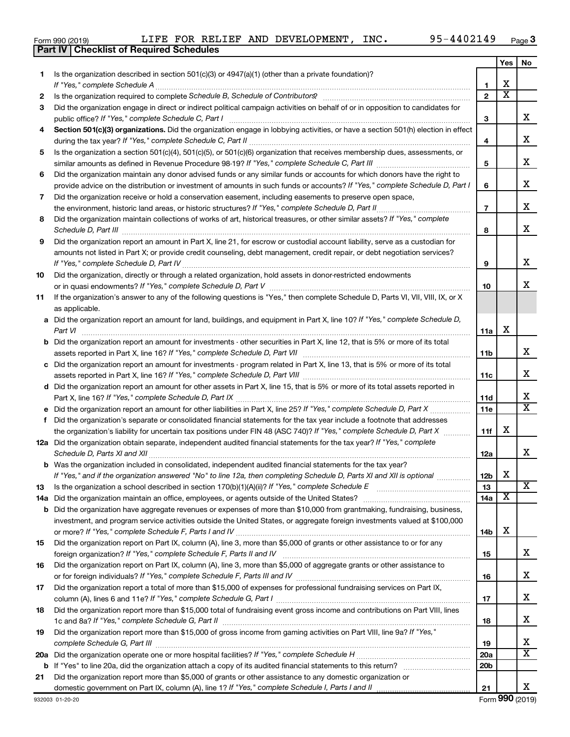|     | 95-4402149<br>LIFE FOR RELIEF AND DEVELOPMENT, INC.<br>Form 990 (2019)<br>Part IV   Checklist of Required Schedules                                                                                                                                                                                                                                                  |                 |     | Page 3                  |  |  |  |  |  |
|-----|----------------------------------------------------------------------------------------------------------------------------------------------------------------------------------------------------------------------------------------------------------------------------------------------------------------------------------------------------------------------|-----------------|-----|-------------------------|--|--|--|--|--|
|     |                                                                                                                                                                                                                                                                                                                                                                      |                 | Yes | No                      |  |  |  |  |  |
| 1.  | Is the organization described in section $501(c)(3)$ or $4947(a)(1)$ (other than a private foundation)?                                                                                                                                                                                                                                                              |                 |     |                         |  |  |  |  |  |
|     |                                                                                                                                                                                                                                                                                                                                                                      | 1               | X   |                         |  |  |  |  |  |
| 2   | Is the organization required to complete Schedule B, Schedule of Contributors? [111] [12] the organization required to complete Schedule B, Schedule of Contributors?                                                                                                                                                                                                | $\overline{2}$  | X   |                         |  |  |  |  |  |
| 3   | Did the organization engage in direct or indirect political campaign activities on behalf of or in opposition to candidates for                                                                                                                                                                                                                                      |                 |     |                         |  |  |  |  |  |
|     |                                                                                                                                                                                                                                                                                                                                                                      | 3               |     | x                       |  |  |  |  |  |
| 4   | Section 501(c)(3) organizations. Did the organization engage in lobbying activities, or have a section 501(h) election in effect                                                                                                                                                                                                                                     | 4               |     | x                       |  |  |  |  |  |
| 5   | Is the organization a section 501(c)(4), 501(c)(5), or 501(c)(6) organization that receives membership dues, assessments, or                                                                                                                                                                                                                                         | 5               |     | x                       |  |  |  |  |  |
| 6   | Did the organization maintain any donor advised funds or any similar funds or accounts for which donors have the right to<br>provide advice on the distribution or investment of amounts in such funds or accounts? If "Yes," complete Schedule D, Part I                                                                                                            | 6               |     | х                       |  |  |  |  |  |
| 7   | Did the organization receive or hold a conservation easement, including easements to preserve open space,                                                                                                                                                                                                                                                            |                 |     |                         |  |  |  |  |  |
|     |                                                                                                                                                                                                                                                                                                                                                                      | $\overline{7}$  |     | х                       |  |  |  |  |  |
| 8   | Did the organization maintain collections of works of art, historical treasures, or other similar assets? If "Yes," complete                                                                                                                                                                                                                                         |                 |     |                         |  |  |  |  |  |
| 9   | Schedule D, Part III <b>Marting Community</b> Construction of the Construction of the Construction of the Construction of the Construction of the Construction of the Construction of the Construction of the Construction of the C<br>Did the organization report an amount in Part X, line 21, for escrow or custodial account liability, serve as a custodian for | 8               |     | х                       |  |  |  |  |  |
|     | amounts not listed in Part X; or provide credit counseling, debt management, credit repair, or debt negotiation services?<br>If "Yes," complete Schedule D, Part IV [[11] Manufacture manufacture Schedule D, Part IV [[11] Manufacture manufacture manufacture manufacture manufacture manufacture manufacture manufacture manufacture manufacture manufac          | 9               |     | х                       |  |  |  |  |  |
| 10  | Did the organization, directly or through a related organization, hold assets in donor-restricted endowments                                                                                                                                                                                                                                                         |                 |     | x                       |  |  |  |  |  |
|     | If the organization's answer to any of the following questions is "Yes," then complete Schedule D, Parts VI, VII, VIII, IX, or X                                                                                                                                                                                                                                     | 10              |     |                         |  |  |  |  |  |
| 11  | as applicable.                                                                                                                                                                                                                                                                                                                                                       |                 |     |                         |  |  |  |  |  |
|     | a Did the organization report an amount for land, buildings, and equipment in Part X, line 10? If "Yes," complete Schedule D,                                                                                                                                                                                                                                        | 11a             | х   |                         |  |  |  |  |  |
|     | <b>b</b> Did the organization report an amount for investments - other securities in Part X, line 12, that is 5% or more of its total                                                                                                                                                                                                                                | 11 <sub>b</sub> |     | x                       |  |  |  |  |  |
|     | c Did the organization report an amount for investments - program related in Part X, line 13, that is 5% or more of its total                                                                                                                                                                                                                                        |                 |     |                         |  |  |  |  |  |
|     |                                                                                                                                                                                                                                                                                                                                                                      | 11c             |     | x                       |  |  |  |  |  |
|     | d Did the organization report an amount for other assets in Part X, line 15, that is 5% or more of its total assets reported in                                                                                                                                                                                                                                      |                 |     |                         |  |  |  |  |  |
|     |                                                                                                                                                                                                                                                                                                                                                                      | 11d             |     | х                       |  |  |  |  |  |
|     |                                                                                                                                                                                                                                                                                                                                                                      | 11e             |     | $\overline{\texttt{x}}$ |  |  |  |  |  |
|     | f Did the organization's separate or consolidated financial statements for the tax year include a footnote that addresses<br>the organization's liability for uncertain tax positions under FIN 48 (ASC 740)? If "Yes," complete Schedule D, Part X                                                                                                                  | 11f             | х   |                         |  |  |  |  |  |
|     | 12a Did the organization obtain separate, independent audited financial statements for the tax year? If "Yes," complete                                                                                                                                                                                                                                              |                 |     |                         |  |  |  |  |  |
|     | <b>b</b> Was the organization included in consolidated, independent audited financial statements for the tax year?                                                                                                                                                                                                                                                   | 12a             |     | x                       |  |  |  |  |  |
|     | If "Yes," and if the organization answered "No" to line 12a, then completing Schedule D, Parts XI and XII is optional <i></i>                                                                                                                                                                                                                                        | 12 <sub>b</sub> | х   |                         |  |  |  |  |  |
| 13  |                                                                                                                                                                                                                                                                                                                                                                      | 13              |     | X                       |  |  |  |  |  |
| 14a |                                                                                                                                                                                                                                                                                                                                                                      | 14a             | х   |                         |  |  |  |  |  |
| b   | Did the organization have aggregate revenues or expenses of more than \$10,000 from grantmaking, fundraising, business,                                                                                                                                                                                                                                              |                 |     |                         |  |  |  |  |  |
|     | investment, and program service activities outside the United States, or aggregate foreign investments valued at \$100,000                                                                                                                                                                                                                                           | 14 <sub>b</sub> | х   |                         |  |  |  |  |  |
| 15  | Did the organization report on Part IX, column (A), line 3, more than \$5,000 of grants or other assistance to or for any                                                                                                                                                                                                                                            |                 |     | х                       |  |  |  |  |  |
| 16  | Did the organization report on Part IX, column (A), line 3, more than \$5,000 of aggregate grants or other assistance to                                                                                                                                                                                                                                             | 15              |     |                         |  |  |  |  |  |
|     |                                                                                                                                                                                                                                                                                                                                                                      | 16              |     | х                       |  |  |  |  |  |
| 17  | Did the organization report a total of more than \$15,000 of expenses for professional fundraising services on Part IX,                                                                                                                                                                                                                                              | 17              |     | х                       |  |  |  |  |  |
| 18  | Did the organization report more than \$15,000 total of fundraising event gross income and contributions on Part VIII, lines                                                                                                                                                                                                                                         | 18              |     | х                       |  |  |  |  |  |
| 19  | Did the organization report more than \$15,000 of gross income from gaming activities on Part VIII, line 9a? If "Yes,"                                                                                                                                                                                                                                               |                 |     |                         |  |  |  |  |  |
|     |                                                                                                                                                                                                                                                                                                                                                                      | 19              |     | х                       |  |  |  |  |  |
| 20a |                                                                                                                                                                                                                                                                                                                                                                      | 20a             |     | $\overline{\textbf{X}}$ |  |  |  |  |  |
| b   |                                                                                                                                                                                                                                                                                                                                                                      | 20 <sub>b</sub> |     |                         |  |  |  |  |  |
| 21  | Did the organization report more than \$5,000 of grants or other assistance to any domestic organization or                                                                                                                                                                                                                                                          |                 |     |                         |  |  |  |  |  |
|     |                                                                                                                                                                                                                                                                                                                                                                      | 21              |     | x                       |  |  |  |  |  |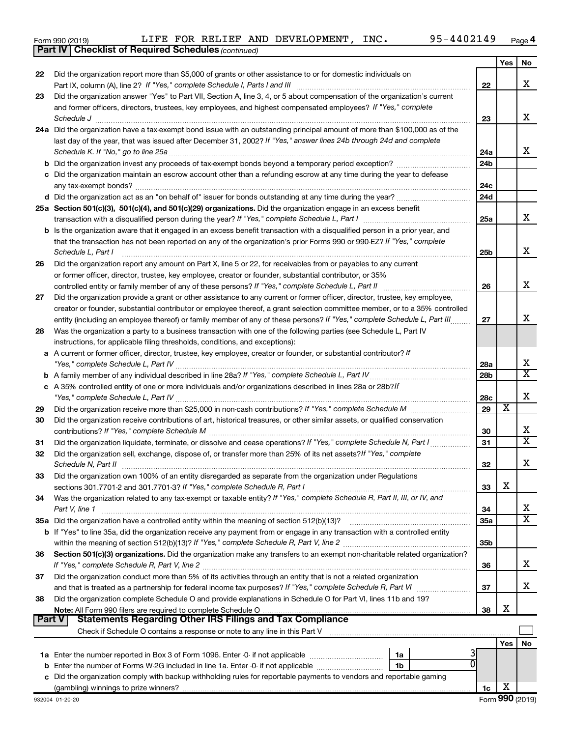|  | Form 990 (2019) |
|--|-----------------|
|  |                 |

*(continued)* **Part IV Checklist of Required Schedules**

|               |                                                                                                                                     |                        | Yes | No                      |
|---------------|-------------------------------------------------------------------------------------------------------------------------------------|------------------------|-----|-------------------------|
| 22            | Did the organization report more than \$5,000 of grants or other assistance to or for domestic individuals on                       |                        |     |                         |
|               |                                                                                                                                     | 22                     |     | x                       |
| 23            | Did the organization answer "Yes" to Part VII, Section A, line 3, 4, or 5 about compensation of the organization's current          |                        |     |                         |
|               | and former officers, directors, trustees, key employees, and highest compensated employees? If "Yes," complete                      |                        |     |                         |
|               | Schedule J                                                                                                                          | 23                     |     | x                       |
|               | 24a Did the organization have a tax-exempt bond issue with an outstanding principal amount of more than \$100,000 as of the         |                        |     |                         |
|               | last day of the year, that was issued after December 31, 2002? If "Yes," answer lines 24b through 24d and complete                  |                        |     |                         |
|               | Schedule K. If "No," go to line 25a                                                                                                 | 24a                    |     | x                       |
|               |                                                                                                                                     | 24 <sub>b</sub>        |     |                         |
|               | c Did the organization maintain an escrow account other than a refunding escrow at any time during the year to defease              |                        |     |                         |
|               | any tax-exempt bonds?                                                                                                               | 24c                    |     |                         |
|               |                                                                                                                                     | 24d                    |     |                         |
|               | 25a Section 501(c)(3), 501(c)(4), and 501(c)(29) organizations. Did the organization engage in an excess benefit                    |                        |     |                         |
|               |                                                                                                                                     | 25a                    |     | x                       |
|               | <b>b</b> Is the organization aware that it engaged in an excess benefit transaction with a disqualified person in a prior year, and |                        |     |                         |
|               | that the transaction has not been reported on any of the organization's prior Forms 990 or 990-EZ? If "Yes," complete               |                        |     |                         |
|               | Schedule L, Part I                                                                                                                  | 25b                    |     | х                       |
| 26            | Did the organization report any amount on Part X, line 5 or 22, for receivables from or payables to any current                     |                        |     |                         |
|               | or former officer, director, trustee, key employee, creator or founder, substantial contributor, or 35%                             |                        |     | x                       |
|               | controlled entity or family member of any of these persons? If "Yes," complete Schedule L, Part II                                  | 26                     |     |                         |
| 27            | Did the organization provide a grant or other assistance to any current or former officer, director, trustee, key employee,         |                        |     |                         |
|               | creator or founder, substantial contributor or employee thereof, a grant selection committee member, or to a 35% controlled         |                        |     | x                       |
|               | entity (including an employee thereof) or family member of any of these persons? If "Yes," complete Schedule L, Part III            | 27                     |     |                         |
| 28            | Was the organization a party to a business transaction with one of the following parties (see Schedule L, Part IV                   |                        |     |                         |
|               | instructions, for applicable filing thresholds, conditions, and exceptions):                                                        |                        |     |                         |
|               | a A current or former officer, director, trustee, key employee, creator or founder, or substantial contributor? If                  |                        |     | х                       |
|               |                                                                                                                                     | 28a<br>28 <sub>b</sub> |     | X                       |
|               |                                                                                                                                     |                        |     |                         |
|               | c A 35% controlled entity of one or more individuals and/or organizations described in lines 28a or 28b?If                          | 28c                    |     | X                       |
|               |                                                                                                                                     | 29                     | х   |                         |
| 29            | Did the organization receive contributions of art, historical treasures, or other similar assets, or qualified conservation         |                        |     |                         |
| 30            |                                                                                                                                     | 30                     |     | х                       |
| 31            | Did the organization liquidate, terminate, or dissolve and cease operations? If "Yes," complete Schedule N, Part I                  | 31                     |     | $\overline{\textbf{X}}$ |
| 32            | Did the organization sell, exchange, dispose of, or transfer more than 25% of its net assets? If "Yes," complete                    |                        |     |                         |
|               | Schedule N, Part II                                                                                                                 | 32                     |     | х                       |
| 33            | Did the organization own 100% of an entity disregarded as separate from the organization under Regulations                          |                        |     |                         |
|               |                                                                                                                                     | 33                     | х   |                         |
| 34            | Was the organization related to any tax-exempt or taxable entity? If "Yes," complete Schedule R, Part II, III, or IV, and           |                        |     |                         |
|               | Part V, line 1                                                                                                                      | 34                     |     | х                       |
|               |                                                                                                                                     | 35a                    |     | $\overline{\text{X}}$   |
|               | b If "Yes" to line 35a, did the organization receive any payment from or engage in any transaction with a controlled entity         |                        |     |                         |
|               |                                                                                                                                     | 35 <sub>b</sub>        |     |                         |
| 36            | Section 501(c)(3) organizations. Did the organization make any transfers to an exempt non-charitable related organization?          |                        |     |                         |
|               |                                                                                                                                     | 36                     |     | х                       |
| 37            | Did the organization conduct more than 5% of its activities through an entity that is not a related organization                    |                        |     |                         |
|               | and that is treated as a partnership for federal income tax purposes? If "Yes," complete Schedule R, Part VI                        | 37                     |     | x                       |
| 38            | Did the organization complete Schedule O and provide explanations in Schedule O for Part VI, lines 11b and 19?                      |                        |     |                         |
|               |                                                                                                                                     | 38                     | X   |                         |
| <b>Part V</b> | <b>Statements Regarding Other IRS Filings and Tax Compliance</b>                                                                    |                        |     |                         |
|               |                                                                                                                                     |                        |     |                         |
|               |                                                                                                                                     |                        | Yes | No                      |
|               | 1a                                                                                                                                  |                        |     |                         |
|               | 1b                                                                                                                                  |                        |     |                         |
|               | c Did the organization comply with backup withholding rules for reportable payments to vendors and reportable gaming                |                        |     |                         |
|               |                                                                                                                                     | 1c                     | х   |                         |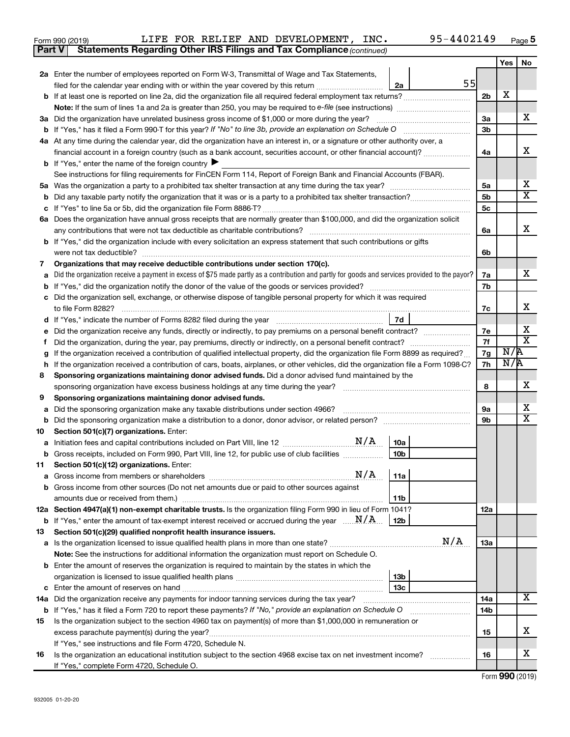| Form 990 (2019) |  |  | LIFE FOR RELIEF AND DEVELOPMENT, INC.                                               | 95-4402149 | Page |
|-----------------|--|--|-------------------------------------------------------------------------------------|------------|------|
|                 |  |  | <b>Part V</b> Statements Regarding Other IRS Filings and Tax Compliance (continued) |            |      |

|         |                                                                                                                                                                                                                              |                | <b>Yes</b> | No                      |  |  |  |  |  |  |
|---------|------------------------------------------------------------------------------------------------------------------------------------------------------------------------------------------------------------------------------|----------------|------------|-------------------------|--|--|--|--|--|--|
|         | 2a Enter the number of employees reported on Form W-3, Transmittal of Wage and Tax Statements,                                                                                                                               |                |            |                         |  |  |  |  |  |  |
|         | 55<br>filed for the calendar year ending with or within the year covered by this return <i>[[[[[[[[[[[[[]]]]</i><br>2a                                                                                                       |                |            |                         |  |  |  |  |  |  |
|         |                                                                                                                                                                                                                              | 2 <sub>b</sub> | х          |                         |  |  |  |  |  |  |
|         |                                                                                                                                                                                                                              |                |            |                         |  |  |  |  |  |  |
|         | 3a Did the organization have unrelated business gross income of \$1,000 or more during the year?                                                                                                                             | 3a             |            | х                       |  |  |  |  |  |  |
|         |                                                                                                                                                                                                                              | 3 <sub>b</sub> |            |                         |  |  |  |  |  |  |
|         | 4a At any time during the calendar year, did the organization have an interest in, or a signature or other authority over, a                                                                                                 |                |            |                         |  |  |  |  |  |  |
|         | financial account in a foreign country (such as a bank account, securities account, or other financial account)?                                                                                                             | 4a             |            | х                       |  |  |  |  |  |  |
|         | <b>b</b> If "Yes," enter the name of the foreign country $\blacktriangleright$                                                                                                                                               |                |            |                         |  |  |  |  |  |  |
|         | See instructions for filing requirements for FinCEN Form 114, Report of Foreign Bank and Financial Accounts (FBAR).                                                                                                          |                |            |                         |  |  |  |  |  |  |
|         | b                                                                                                                                                                                                                            |                |            |                         |  |  |  |  |  |  |
|         |                                                                                                                                                                                                                              |                |            |                         |  |  |  |  |  |  |
|         | 6a Does the organization have annual gross receipts that are normally greater than \$100,000, and did the organization solicit                                                                                               | 5c             |            |                         |  |  |  |  |  |  |
|         | any contributions that were not tax deductible as charitable contributions?                                                                                                                                                  | 6a             |            | х                       |  |  |  |  |  |  |
|         | b If "Yes," did the organization include with every solicitation an express statement that such contributions or gifts                                                                                                       |                |            |                         |  |  |  |  |  |  |
|         | were not tax deductible?                                                                                                                                                                                                     | 6b             |            |                         |  |  |  |  |  |  |
| 7       | Organizations that may receive deductible contributions under section 170(c).                                                                                                                                                |                |            |                         |  |  |  |  |  |  |
|         | Did the organization receive a payment in excess of \$75 made partly as a contribution and partly for goods and services provided to the payor?                                                                              | 7a             |            | x                       |  |  |  |  |  |  |
|         |                                                                                                                                                                                                                              | 7b             |            |                         |  |  |  |  |  |  |
|         | c Did the organization sell, exchange, or otherwise dispose of tangible personal property for which it was required                                                                                                          |                |            |                         |  |  |  |  |  |  |
|         |                                                                                                                                                                                                                              | 7c             |            | х                       |  |  |  |  |  |  |
|         | 7d<br>If "Yes," indicate the number of Forms 8282 filed during the year <i>manumumumumumumumum</i>                                                                                                                           |                |            |                         |  |  |  |  |  |  |
|         | Did the organization receive any funds, directly or indirectly, to pay premiums on a personal benefit contract?                                                                                                              |                |            |                         |  |  |  |  |  |  |
|         | Did the organization, during the year, pay premiums, directly or indirectly, on a personal benefit contract?                                                                                                                 |                |            |                         |  |  |  |  |  |  |
|         | If the organization received a contribution of qualified intellectual property, did the organization file Form 8899 as required?                                                                                             |                |            |                         |  |  |  |  |  |  |
| h       | If the organization received a contribution of cars, boats, airplanes, or other vehicles, did the organization file a Form 1098-C?                                                                                           |                |            |                         |  |  |  |  |  |  |
| 8       | Sponsoring organizations maintaining donor advised funds. Did a donor advised fund maintained by the                                                                                                                         |                |            |                         |  |  |  |  |  |  |
|         |                                                                                                                                                                                                                              | 8              |            | x                       |  |  |  |  |  |  |
| 9       | Sponsoring organizations maintaining donor advised funds.                                                                                                                                                                    |                |            | x                       |  |  |  |  |  |  |
| а       | Did the sponsoring organization make any taxable distributions under section 4966?                                                                                                                                           | 9а<br>9b       |            | $\overline{\textbf{X}}$ |  |  |  |  |  |  |
| b<br>10 | Section 501(c)(7) organizations. Enter:                                                                                                                                                                                      |                |            |                         |  |  |  |  |  |  |
| а       | 10a                                                                                                                                                                                                                          |                |            |                         |  |  |  |  |  |  |
| b       | 10 <sub>b</sub><br>Gross receipts, included on Form 990, Part VIII, line 12, for public use of club facilities                                                                                                               |                |            |                         |  |  |  |  |  |  |
| 11      | Section 501(c)(12) organizations. Enter:                                                                                                                                                                                     |                |            |                         |  |  |  |  |  |  |
|         | 11a                                                                                                                                                                                                                          |                |            |                         |  |  |  |  |  |  |
|         | <b>b</b> Gross income from other sources (Do not net amounts due or paid to other sources against                                                                                                                            |                |            |                         |  |  |  |  |  |  |
|         | 11 <sub>b</sub>                                                                                                                                                                                                              |                |            |                         |  |  |  |  |  |  |
|         | 12a Section 4947(a)(1) non-exempt charitable trusts. Is the organization filing Form 990 in lieu of Form 1041?                                                                                                               | 12a            |            |                         |  |  |  |  |  |  |
|         | <b>b</b> If "Yes," enter the amount of tax-exempt interest received or accrued during the year $\ldots$ $N/A$ .<br>  12b                                                                                                     |                |            |                         |  |  |  |  |  |  |
| 13      | Section 501(c)(29) qualified nonprofit health insurance issuers.                                                                                                                                                             |                |            |                         |  |  |  |  |  |  |
|         | N/A                                                                                                                                                                                                                          | 1За            |            |                         |  |  |  |  |  |  |
|         | Note: See the instructions for additional information the organization must report on Schedule O.                                                                                                                            |                |            |                         |  |  |  |  |  |  |
|         | <b>b</b> Enter the amount of reserves the organization is required to maintain by the states in which the                                                                                                                    |                |            |                         |  |  |  |  |  |  |
|         | 13b                                                                                                                                                                                                                          |                |            |                         |  |  |  |  |  |  |
|         | 13с                                                                                                                                                                                                                          |                |            | X                       |  |  |  |  |  |  |
|         | 14a Did the organization receive any payments for indoor tanning services during the tax year?                                                                                                                               | 14a<br>14b     |            |                         |  |  |  |  |  |  |
| 15      | b If "Yes," has it filed a Form 720 to report these payments? If "No," provide an explanation on Schedule O<br>Is the organization subject to the section 4960 tax on payment(s) of more than \$1,000,000 in remuneration or |                |            |                         |  |  |  |  |  |  |
|         |                                                                                                                                                                                                                              | 15             |            | х                       |  |  |  |  |  |  |
|         | If "Yes," see instructions and file Form 4720, Schedule N.                                                                                                                                                                   |                |            |                         |  |  |  |  |  |  |
| 16      | Is the organization an educational institution subject to the section 4968 excise tax on net investment income?                                                                                                              | 16             |            | x                       |  |  |  |  |  |  |
|         | If "Yes," complete Form 4720, Schedule O.                                                                                                                                                                                    |                |            |                         |  |  |  |  |  |  |

Form (2019) **990**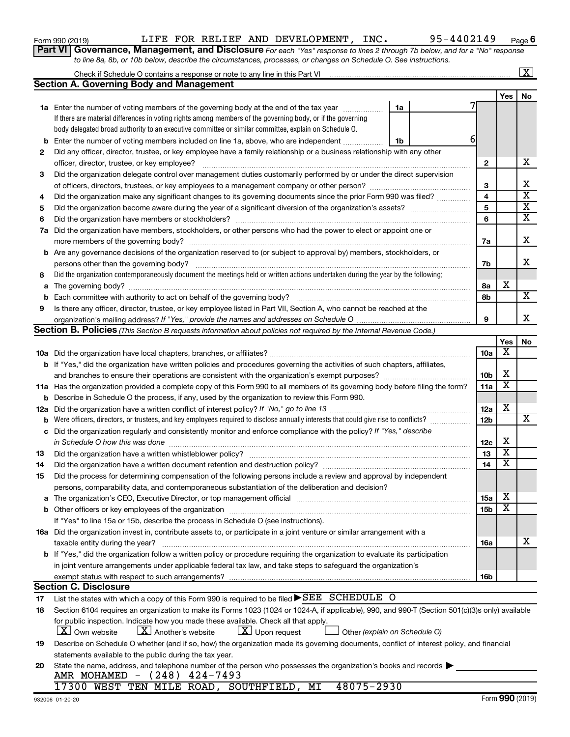932006 01-20-20

| Form 990 (2019) |  |  | LIFE FOR RELIEF AND DEVELOPMENT, | INC. | $-4402149$ | Page |
|-----------------|--|--|----------------------------------|------|------------|------|
|                 |  |  |                                  |      |            |      |

**6**

**Part VI** Governance, Management, and Disclosure For each "Yes" response to lines 2 through 7b below, and for a "No" response *to line 8a, 8b, or 10b below, describe the circumstances, processes, or changes on Schedule O. See instructions.*

|     |                                                                                                                                                                                                                                                                                                         |    |  |                 |                         | X                                                  |  |  |  |  |  |
|-----|---------------------------------------------------------------------------------------------------------------------------------------------------------------------------------------------------------------------------------------------------------------------------------------------------------|----|--|-----------------|-------------------------|----------------------------------------------------|--|--|--|--|--|
|     | <b>Section A. Governing Body and Management</b>                                                                                                                                                                                                                                                         |    |  |                 |                         |                                                    |  |  |  |  |  |
|     |                                                                                                                                                                                                                                                                                                         |    |  |                 | Yes                     | No                                                 |  |  |  |  |  |
|     | <b>1a</b> Enter the number of voting members of the governing body at the end of the tax year                                                                                                                                                                                                           | 1a |  |                 |                         |                                                    |  |  |  |  |  |
|     | If there are material differences in voting rights among members of the governing body, or if the governing                                                                                                                                                                                             |    |  |                 |                         |                                                    |  |  |  |  |  |
|     | body delegated broad authority to an executive committee or similar committee, explain on Schedule O.                                                                                                                                                                                                   |    |  |                 |                         |                                                    |  |  |  |  |  |
| b   | Enter the number of voting members included on line 1a, above, who are independent                                                                                                                                                                                                                      | 1b |  | 6               |                         |                                                    |  |  |  |  |  |
| 2   | Did any officer, director, trustee, or key employee have a family relationship or a business relationship with any other                                                                                                                                                                                |    |  |                 |                         |                                                    |  |  |  |  |  |
|     | officer, director, trustee, or key employee?                                                                                                                                                                                                                                                            |    |  | 2               |                         | x                                                  |  |  |  |  |  |
| 3   | Did the organization delegate control over management duties customarily performed by or under the direct supervision                                                                                                                                                                                   |    |  |                 |                         |                                                    |  |  |  |  |  |
|     |                                                                                                                                                                                                                                                                                                         |    |  | 3               |                         | х                                                  |  |  |  |  |  |
|     | Did the organization make any significant changes to its governing documents since the prior Form 990 was filed?<br>4                                                                                                                                                                                   |    |  |                 |                         |                                                    |  |  |  |  |  |
| 5   |                                                                                                                                                                                                                                                                                                         |    |  |                 |                         |                                                    |  |  |  |  |  |
| 6   |                                                                                                                                                                                                                                                                                                         |    |  | 5<br>6          |                         | $\overline{\textbf{X}}$<br>$\overline{\mathtt{x}}$ |  |  |  |  |  |
| 7a  | Did the organization have members, stockholders, or other persons who had the power to elect or appoint one or                                                                                                                                                                                          |    |  |                 |                         |                                                    |  |  |  |  |  |
|     |                                                                                                                                                                                                                                                                                                         |    |  | 7a              |                         | х                                                  |  |  |  |  |  |
|     | <b>b</b> Are any governance decisions of the organization reserved to (or subject to approval by) members, stockholders, or                                                                                                                                                                             |    |  |                 |                         |                                                    |  |  |  |  |  |
|     | persons other than the governing body?                                                                                                                                                                                                                                                                  |    |  | 7b              |                         | X                                                  |  |  |  |  |  |
| 8   | Did the organization contemporaneously document the meetings held or written actions undertaken during the year by the following:                                                                                                                                                                       |    |  |                 |                         |                                                    |  |  |  |  |  |
|     |                                                                                                                                                                                                                                                                                                         |    |  | 8а              | х                       |                                                    |  |  |  |  |  |
| a   | The governing body? [[11] notice is a construction of the construction of the construction of the construction of the construction of the construction of the construction of the construction of the construction of the cons<br>Each committee with authority to act on behalf of the governing body? |    |  | 8b              |                         | $\overline{\mathbf{X}}$                            |  |  |  |  |  |
| b   | Is there any officer, director, trustee, or key employee listed in Part VII, Section A, who cannot be reached at the                                                                                                                                                                                    |    |  |                 |                         |                                                    |  |  |  |  |  |
| 9   |                                                                                                                                                                                                                                                                                                         |    |  | 9               |                         | X                                                  |  |  |  |  |  |
|     | <b>Section B. Policies</b> (This Section B requests information about policies not required by the Internal Revenue Code.)                                                                                                                                                                              |    |  |                 |                         |                                                    |  |  |  |  |  |
|     |                                                                                                                                                                                                                                                                                                         |    |  |                 | Yes                     | No                                                 |  |  |  |  |  |
|     |                                                                                                                                                                                                                                                                                                         |    |  | 10a             | х                       |                                                    |  |  |  |  |  |
|     |                                                                                                                                                                                                                                                                                                         |    |  |                 |                         |                                                    |  |  |  |  |  |
|     | b If "Yes," did the organization have written policies and procedures governing the activities of such chapters, affiliates,                                                                                                                                                                            |    |  | 10 <sub>b</sub> | х                       |                                                    |  |  |  |  |  |
|     |                                                                                                                                                                                                                                                                                                         |    |  | 11a             | $\overline{\mathbf{x}}$ |                                                    |  |  |  |  |  |
|     | 11a Has the organization provided a complete copy of this Form 990 to all members of its governing body before filing the form?                                                                                                                                                                         |    |  |                 |                         |                                                    |  |  |  |  |  |
| b   | Describe in Schedule O the process, if any, used by the organization to review this Form 990.                                                                                                                                                                                                           |    |  |                 | х                       |                                                    |  |  |  |  |  |
| 12a | Did the organization have a written conflict of interest policy? If "No," go to line 13                                                                                                                                                                                                                 |    |  | 12a             |                         | x                                                  |  |  |  |  |  |
| b   | Were officers, directors, or trustees, and key employees required to disclose annually interests that could give rise to conflicts?                                                                                                                                                                     |    |  | 12 <sub>b</sub> |                         |                                                    |  |  |  |  |  |
| с   | Did the organization regularly and consistently monitor and enforce compliance with the policy? If "Yes," describe                                                                                                                                                                                      |    |  |                 | х                       |                                                    |  |  |  |  |  |
|     | in Schedule O how this was done                                                                                                                                                                                                                                                                         |    |  | 12c             | $\overline{\textbf{x}}$ |                                                    |  |  |  |  |  |
| 13  | Did the organization have a written whistleblower policy?                                                                                                                                                                                                                                               |    |  | 13              | $\overline{\mathbf{x}}$ |                                                    |  |  |  |  |  |
| 14  |                                                                                                                                                                                                                                                                                                         |    |  | 14              |                         |                                                    |  |  |  |  |  |
| 15  | Did the process for determining compensation of the following persons include a review and approval by independent                                                                                                                                                                                      |    |  |                 |                         |                                                    |  |  |  |  |  |
|     | persons, comparability data, and contemporaneous substantiation of the deliberation and decision?                                                                                                                                                                                                       |    |  |                 |                         |                                                    |  |  |  |  |  |
|     | The organization's CEO, Executive Director, or top management official manufactured content of the organization's CEO, Executive Director, or top management official manufactured and the state of the state of the state of                                                                           |    |  | 15a             | Χ                       |                                                    |  |  |  |  |  |
| b   |                                                                                                                                                                                                                                                                                                         |    |  | 15b             | $\overline{\textbf{x}}$ |                                                    |  |  |  |  |  |
|     | If "Yes" to line 15a or 15b, describe the process in Schedule O (see instructions).                                                                                                                                                                                                                     |    |  |                 |                         |                                                    |  |  |  |  |  |
|     | 16a Did the organization invest in, contribute assets to, or participate in a joint venture or similar arrangement with a                                                                                                                                                                               |    |  |                 |                         |                                                    |  |  |  |  |  |
|     | taxable entity during the year?                                                                                                                                                                                                                                                                         |    |  | 16a             |                         | X                                                  |  |  |  |  |  |
|     | b If "Yes," did the organization follow a written policy or procedure requiring the organization to evaluate its participation                                                                                                                                                                          |    |  |                 |                         |                                                    |  |  |  |  |  |
|     | in joint venture arrangements under applicable federal tax law, and take steps to safequard the organization's                                                                                                                                                                                          |    |  |                 |                         |                                                    |  |  |  |  |  |
|     | exempt status with respect to such arrangements?                                                                                                                                                                                                                                                        |    |  | 16b             |                         |                                                    |  |  |  |  |  |
|     | <b>Section C. Disclosure</b>                                                                                                                                                                                                                                                                            |    |  |                 |                         |                                                    |  |  |  |  |  |
| 17  | List the states with which a copy of this Form 990 is required to be filed $\blacktriangleright$ SEE SCHEDULE O                                                                                                                                                                                         |    |  |                 |                         |                                                    |  |  |  |  |  |
| 18  | Section 6104 requires an organization to make its Forms 1023 (1024 or 1024-A, if applicable), 990, and 990-T (Section 501(c)(3)s only) available                                                                                                                                                        |    |  |                 |                         |                                                    |  |  |  |  |  |
|     | for public inspection. Indicate how you made these available. Check all that apply.                                                                                                                                                                                                                     |    |  |                 |                         |                                                    |  |  |  |  |  |
|     | $\lfloor x \rfloor$ Upon request<br><b>X</b> Own website<br>$ \mathbf{X} $ Another's website<br>Other (explain on Schedule O)                                                                                                                                                                           |    |  |                 |                         |                                                    |  |  |  |  |  |
| 19  | Describe on Schedule O whether (and if so, how) the organization made its governing documents, conflict of interest policy, and financial                                                                                                                                                               |    |  |                 |                         |                                                    |  |  |  |  |  |
|     | statements available to the public during the tax year.                                                                                                                                                                                                                                                 |    |  |                 |                         |                                                    |  |  |  |  |  |
| 20  | State the name, address, and telephone number of the person who possesses the organization's books and records                                                                                                                                                                                          |    |  |                 |                         |                                                    |  |  |  |  |  |
|     | AMR MOHAMED - (248) 424-7493                                                                                                                                                                                                                                                                            |    |  |                 |                         |                                                    |  |  |  |  |  |
|     | 48075-2930<br>17300 WEST TEN MILE ROAD, SOUTHFIELD, MI                                                                                                                                                                                                                                                  |    |  |                 |                         |                                                    |  |  |  |  |  |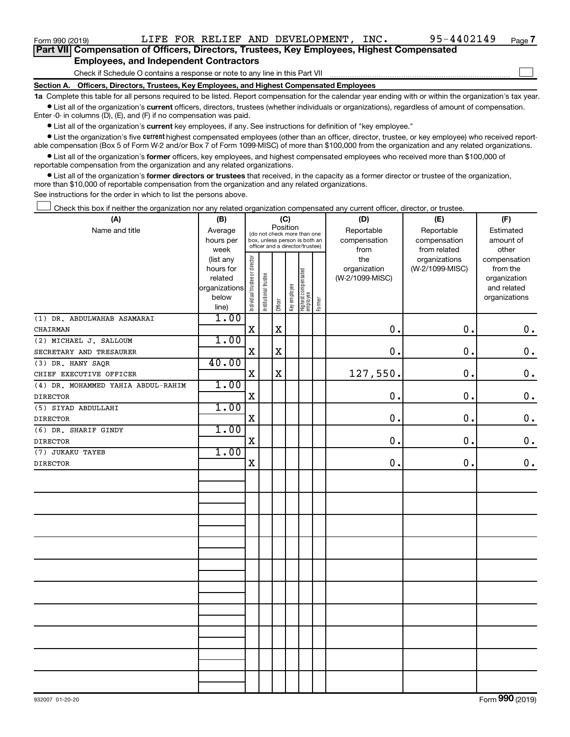Form 990 (2019)  $L$  LIFE FOR RELIEF AND DEVELOPMENT, INC.  $95-4402149$   $_{Page}$ 

 $\Box$ 

| Part VII Compensation of Officers, Directors, Trustees, Key Employees, Highest Compensated |
|--------------------------------------------------------------------------------------------|
| <b>Employees, and Independent Contractors</b>                                              |

Check if Schedule O contains a response or note to any line in this Part VII

**Section A. Officers, Directors, Trustees, Key Employees, and Highest Compensated Employees**

**1a**  Complete this table for all persons required to be listed. Report compensation for the calendar year ending with or within the organization's tax year.  $\bullet$  List all of the organization's current officers, directors, trustees (whether individuals or organizations), regardless of amount of compensation.

Enter -0- in columns (D), (E), and (F) if no compensation was paid.

**•** List all of the organization's current key employees, if any. See instructions for definition of "key employee."

• List the organization's five *current* highest compensated employees (other than an officer, director, trustee, or key employee) who received reportable compensation (Box 5 of Form W-2 and/or Box 7 of Form 1099-MISC) of more than \$100,000 from the organization and any related organizations.

 $\bullet$  List all of the organization's former officers, key employees, and highest compensated employees who received more than \$100,000 of reportable compensation from the organization and any related organizations.

**•** List all of the organization's former directors or trustees that received, in the capacity as a former director or trustee of the organization, more than \$10,000 of reportable compensation from the organization and any related organizations.

See instructions for the order in which to list the persons above.

Check this box if neither the organization nor any related organization compensated any current officer, director, or trustee.  $\Box$ 

| (A)                                | (B)                                                | (C)                            |                               |             |                                 |                                  |            | (D)             | (E)             | (F)           |
|------------------------------------|----------------------------------------------------|--------------------------------|-------------------------------|-------------|---------------------------------|----------------------------------|------------|-----------------|-----------------|---------------|
| Name and title                     | Position<br>Average<br>(do not check more than one |                                |                               |             |                                 |                                  | Reportable | Reportable      | Estimated       |               |
|                                    | hours per                                          |                                | box, unless person is both an |             |                                 |                                  |            | compensation    | compensation    | amount of     |
|                                    | week                                               |                                |                               |             | officer and a director/trustee) |                                  |            | from            | from related    | other         |
|                                    | (list any                                          |                                |                               |             |                                 |                                  |            | the             | organizations   | compensation  |
|                                    | hours for                                          |                                |                               |             |                                 |                                  |            | organization    | (W-2/1099-MISC) | from the      |
|                                    | related                                            |                                |                               |             |                                 |                                  |            | (W-2/1099-MISC) |                 | organization  |
|                                    | organizations                                      |                                |                               |             |                                 |                                  |            |                 |                 | and related   |
|                                    | below<br>line)                                     | Individual trustee or director | Institutional trustee         | Officer     | Key employee                    | Highest compensated<br> employee | Former     |                 |                 | organizations |
| (1) DR. ABDULWAHAB ASAMARAI        | 1.00                                               |                                |                               |             |                                 |                                  |            |                 |                 |               |
| CHAIRMAN                           |                                                    | $\mathbf X$                    |                               | $\mathbf X$ |                                 |                                  |            | 0.              | 0.              | $\mathbf 0$ . |
| (2) MICHAEL J. SALLOUM             | 1.00                                               |                                |                               |             |                                 |                                  |            |                 |                 |               |
| SECRETARY AND TRESAURER            |                                                    | $\mathbf X$                    |                               | $\mathbf X$ |                                 |                                  |            | 0.              | 0.              | $\mathbf 0$ . |
| (3) DR. HANY SAQR                  | 40.00                                              |                                |                               |             |                                 |                                  |            |                 |                 |               |
| CHIEF EXECUTIVE OFFICER            |                                                    | X                              |                               | $\mathbf X$ |                                 |                                  |            | 127,550.        | 0.              | $\mathbf 0$ . |
| (4) DR. MOHAMMED YAHIA ABDUL-RAHIM | 1.00                                               |                                |                               |             |                                 |                                  |            |                 |                 |               |
| <b>DIRECTOR</b>                    |                                                    | $\mathbf X$                    |                               |             |                                 |                                  |            | $\mathbf 0$ .   | 0.              | $\mathbf 0$ . |
| (5) SIYAD ABDULLAHI                | 1.00                                               |                                |                               |             |                                 |                                  |            |                 |                 |               |
| <b>DIRECTOR</b>                    |                                                    | $\mathbf X$                    |                               |             |                                 |                                  |            | 0.              | 0.              | $\mathbf 0$ . |
| (6) DR. SHARIF GINDY               | 1.00                                               |                                |                               |             |                                 |                                  |            |                 |                 |               |
| <b>DIRECTOR</b>                    |                                                    | X                              |                               |             |                                 |                                  |            | $\mathbf 0$ .   | $\mathbf 0$ .   | $\mathbf 0$ . |
| (7) JUKAKU TAYEB                   | 1.00                                               |                                |                               |             |                                 |                                  |            |                 |                 |               |
| <b>DIRECTOR</b>                    |                                                    | X                              |                               |             |                                 |                                  |            | 0.              | 0.              | $\mathbf 0$ . |
|                                    |                                                    |                                |                               |             |                                 |                                  |            |                 |                 |               |
|                                    |                                                    |                                |                               |             |                                 |                                  |            |                 |                 |               |
|                                    |                                                    |                                |                               |             |                                 |                                  |            |                 |                 |               |
|                                    |                                                    |                                |                               |             |                                 |                                  |            |                 |                 |               |
|                                    |                                                    |                                |                               |             |                                 |                                  |            |                 |                 |               |
|                                    |                                                    |                                |                               |             |                                 |                                  |            |                 |                 |               |
|                                    |                                                    |                                |                               |             |                                 |                                  |            |                 |                 |               |
|                                    |                                                    |                                |                               |             |                                 |                                  |            |                 |                 |               |
|                                    |                                                    |                                |                               |             |                                 |                                  |            |                 |                 |               |
|                                    |                                                    |                                |                               |             |                                 |                                  |            |                 |                 |               |
|                                    |                                                    |                                |                               |             |                                 |                                  |            |                 |                 |               |
|                                    |                                                    |                                |                               |             |                                 |                                  |            |                 |                 |               |
|                                    |                                                    |                                |                               |             |                                 |                                  |            |                 |                 |               |
|                                    |                                                    |                                |                               |             |                                 |                                  |            |                 |                 |               |
|                                    |                                                    |                                |                               |             |                                 |                                  |            |                 |                 |               |
|                                    |                                                    |                                |                               |             |                                 |                                  |            |                 |                 |               |
|                                    |                                                    |                                |                               |             |                                 |                                  |            |                 |                 |               |
|                                    |                                                    |                                |                               |             |                                 |                                  |            |                 |                 |               |
|                                    |                                                    |                                |                               |             |                                 |                                  |            |                 |                 |               |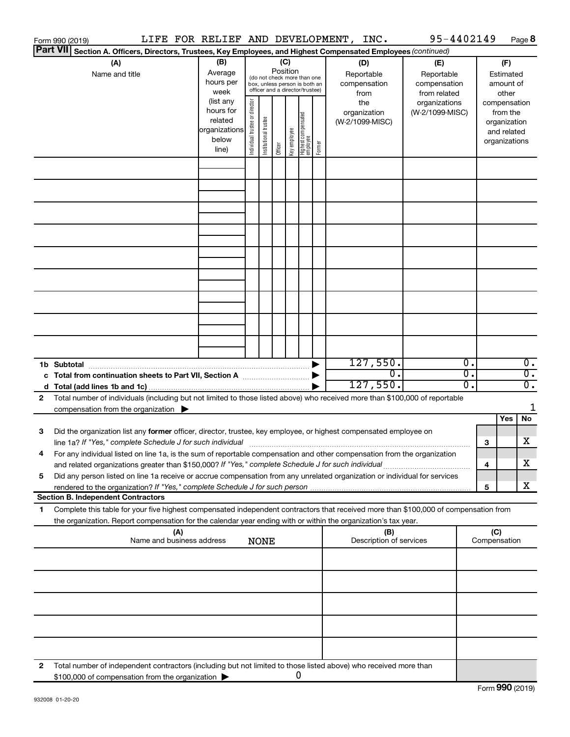|    | Form 990 (2019)                                                                                                                                                                                                                 |                                                                                                        |                                | LIFE FOR RELIEF AND DEVELOPMENT, INC. |                                                                                                                    |              |                                   |        |  |                                        |                                                                                                |                              | 95-4402149 |                                                                          |              |     | Page 8                               |
|----|---------------------------------------------------------------------------------------------------------------------------------------------------------------------------------------------------------------------------------|--------------------------------------------------------------------------------------------------------|--------------------------------|---------------------------------------|--------------------------------------------------------------------------------------------------------------------|--------------|-----------------------------------|--------|--|----------------------------------------|------------------------------------------------------------------------------------------------|------------------------------|------------|--------------------------------------------------------------------------|--------------|-----|--------------------------------------|
|    | <b>Part VII</b>                                                                                                                                                                                                                 | Section A. Officers, Directors, Trustees, Key Employees, and Highest Compensated Employees (continued) |                                |                                       |                                                                                                                    |              |                                   |        |  |                                        |                                                                                                |                              |            |                                                                          |              |     |                                      |
|    | (A)<br>Name and title                                                                                                                                                                                                           |                                                                                                        |                                | (B)<br>Average<br>hours per<br>week   | (C)<br>Position<br>(do not check more than one<br>box, unless person is both an<br>officer and a director/trustee) |              |                                   |        |  |                                        | (D)<br>(E)<br>Reportable<br>Reportable<br>compensation<br>compensation<br>from related<br>from |                              |            | (F)<br>Estimated<br>amount of<br>other                                   |              |     |                                      |
|    |                                                                                                                                                                                                                                 | (list any<br>hours for<br>related<br>organizations<br>below<br>line)                                   | Individual trustee or director | Institutional trustee                 | Officer                                                                                                            | Key employee | Highest compensated<br>  employee | Former |  | the<br>organization<br>(W-2/1099-MISC) | organizations<br>(W-2/1099-MISC)                                                               |                              |            | compensation<br>from the<br>organization<br>and related<br>organizations |              |     |                                      |
|    |                                                                                                                                                                                                                                 |                                                                                                        |                                |                                       |                                                                                                                    |              |                                   |        |  |                                        |                                                                                                |                              |            |                                                                          |              |     |                                      |
|    |                                                                                                                                                                                                                                 |                                                                                                        |                                |                                       |                                                                                                                    |              |                                   |        |  |                                        |                                                                                                |                              |            |                                                                          |              |     |                                      |
|    |                                                                                                                                                                                                                                 |                                                                                                        |                                |                                       |                                                                                                                    |              |                                   |        |  |                                        |                                                                                                |                              |            |                                                                          |              |     |                                      |
|    |                                                                                                                                                                                                                                 |                                                                                                        |                                |                                       |                                                                                                                    |              |                                   |        |  |                                        |                                                                                                |                              |            |                                                                          |              |     |                                      |
|    |                                                                                                                                                                                                                                 |                                                                                                        |                                |                                       |                                                                                                                    |              |                                   |        |  |                                        |                                                                                                |                              |            |                                                                          |              |     |                                      |
|    |                                                                                                                                                                                                                                 |                                                                                                        |                                |                                       |                                                                                                                    |              |                                   |        |  |                                        |                                                                                                |                              |            |                                                                          |              |     |                                      |
|    |                                                                                                                                                                                                                                 |                                                                                                        |                                |                                       |                                                                                                                    |              |                                   |        |  |                                        |                                                                                                |                              |            |                                                                          |              |     |                                      |
|    |                                                                                                                                                                                                                                 |                                                                                                        |                                |                                       |                                                                                                                    |              |                                   |        |  |                                        |                                                                                                |                              |            |                                                                          |              |     |                                      |
|    | 1b Subtotal                                                                                                                                                                                                                     |                                                                                                        |                                |                                       |                                                                                                                    |              |                                   |        |  |                                        |                                                                                                | 127,550.                     |            | 0.                                                                       |              |     | $\overline{0}$ .                     |
|    |                                                                                                                                                                                                                                 |                                                                                                        |                                |                                       |                                                                                                                    |              |                                   |        |  |                                        |                                                                                                | $\overline{0}$ .<br>127,550. |            | σ.<br>о.                                                                 |              |     | $\overline{0}$ .<br>$\overline{0}$ . |
| 2  | Total number of individuals (including but not limited to those listed above) who received more than \$100,000 of reportable<br>compensation from the organization $\blacktriangleright$                                        |                                                                                                        |                                |                                       |                                                                                                                    |              |                                   |        |  |                                        |                                                                                                |                              |            |                                                                          |              |     | 1                                    |
|    |                                                                                                                                                                                                                                 |                                                                                                        |                                |                                       |                                                                                                                    |              |                                   |        |  |                                        |                                                                                                |                              |            |                                                                          |              | Yes | No                                   |
| 3  | Did the organization list any former officer, director, trustee, key employee, or highest compensated employee on                                                                                                               |                                                                                                        |                                |                                       |                                                                                                                    |              |                                   |        |  |                                        |                                                                                                |                              |            |                                                                          | 3            |     | х                                    |
|    | For any individual listed on line 1a, is the sum of reportable compensation and other compensation from the organization<br>and related organizations greater than \$150,000? If "Yes," complete Schedule J for such individual |                                                                                                        |                                |                                       |                                                                                                                    |              |                                   |        |  |                                        |                                                                                                |                              |            |                                                                          | 4            |     | х                                    |
| 5  | Did any person listed on line 1a receive or accrue compensation from any unrelated organization or individual for services                                                                                                      |                                                                                                        |                                |                                       |                                                                                                                    |              |                                   |        |  |                                        |                                                                                                |                              |            |                                                                          | 5            |     | х                                    |
| 1. | <b>Section B. Independent Contractors</b><br>Complete this table for your five highest compensated independent contractors that received more than \$100,000 of compensation from                                               |                                                                                                        |                                |                                       |                                                                                                                    |              |                                   |        |  |                                        |                                                                                                |                              |            |                                                                          |              |     |                                      |
|    | the organization. Report compensation for the calendar year ending with or within the organization's tax year.                                                                                                                  |                                                                                                        | (A)                            |                                       |                                                                                                                    |              |                                   |        |  |                                        |                                                                                                | (B)                          |            |                                                                          | (C)          |     |                                      |
|    |                                                                                                                                                                                                                                 | Name and business address                                                                              |                                |                                       |                                                                                                                    | <b>NONE</b>  |                                   |        |  |                                        |                                                                                                | Description of services      |            |                                                                          | Compensation |     |                                      |
|    |                                                                                                                                                                                                                                 |                                                                                                        |                                |                                       |                                                                                                                    |              |                                   |        |  |                                        |                                                                                                |                              |            |                                                                          |              |     |                                      |
|    |                                                                                                                                                                                                                                 |                                                                                                        |                                |                                       |                                                                                                                    |              |                                   |        |  |                                        |                                                                                                |                              |            |                                                                          |              |     |                                      |
|    |                                                                                                                                                                                                                                 |                                                                                                        |                                |                                       |                                                                                                                    |              |                                   |        |  |                                        |                                                                                                |                              |            |                                                                          |              |     |                                      |
|    |                                                                                                                                                                                                                                 |                                                                                                        |                                |                                       |                                                                                                                    |              |                                   |        |  |                                        |                                                                                                |                              |            |                                                                          |              |     |                                      |
| 2  | Total number of independent contractors (including but not limited to those listed above) who received more than<br>\$100,000 of compensation from the organization                                                             |                                                                                                        |                                |                                       |                                                                                                                    |              |                                   | 0      |  |                                        |                                                                                                |                              |            |                                                                          |              |     |                                      |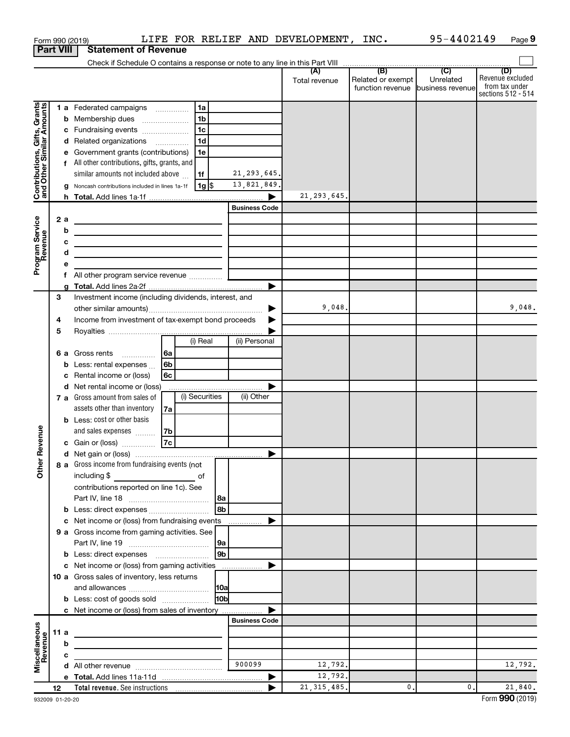|                                                           | Form 990 (2019)  | LIFE FOR RELIEF AND DEVELOPMENT, INC.                                                                                 |                          |                                   | 95-4402149     | Page 9                  |
|-----------------------------------------------------------|------------------|-----------------------------------------------------------------------------------------------------------------------|--------------------------|-----------------------------------|----------------|-------------------------|
|                                                           | <b>Part VIII</b> | <b>Statement of Revenue</b>                                                                                           |                          |                                   |                |                         |
|                                                           |                  |                                                                                                                       |                          |                                   |                |                         |
|                                                           |                  |                                                                                                                       |                          | Related or exempt                 | Unrelated      | (D)<br>Revenue excluded |
|                                                           |                  |                                                                                                                       | Total revenue            | function revenue business revenue |                | from tax under          |
|                                                           |                  |                                                                                                                       |                          |                                   |                | sections 512 - 514      |
| Contributions, Gifts, Grants<br>and Other Similar Amounts |                  | 1a<br>1 a Federated campaigns                                                                                         |                          |                                   |                |                         |
|                                                           |                  | 1 <sub>b</sub><br><b>b</b> Membership dues                                                                            |                          |                                   |                |                         |
|                                                           |                  | 1 <sub>c</sub><br>c Fundraising events                                                                                |                          |                                   |                |                         |
|                                                           |                  | 1 <sub>d</sub><br>d Related organizations                                                                             |                          |                                   |                |                         |
|                                                           |                  | e Government grants (contributions)<br>1е                                                                             |                          |                                   |                |                         |
|                                                           |                  | f All other contributions, gifts, grants, and                                                                         |                          |                                   |                |                         |
|                                                           |                  | similar amounts not included above<br>21, 293, 645.<br>1f                                                             |                          |                                   |                |                         |
|                                                           |                  | 13,821,849.<br>g Noncash contributions included in lines 1a-1f<br> 1g                                                 |                          |                                   |                |                         |
|                                                           |                  |                                                                                                                       | 21, 293, 645.            |                                   |                |                         |
|                                                           |                  | <b>Business Code</b>                                                                                                  |                          |                                   |                |                         |
|                                                           | 2a               | <u> 1989 - Johann John Stein, mars an deutscher Stein († 1958)</u>                                                    |                          |                                   |                |                         |
|                                                           | b                | <u> 1989 - Johann Harry Barn, mars and de Branch and de Branch and de Branch and de Branch and de Branch and de B</u> |                          |                                   |                |                         |
|                                                           | c                |                                                                                                                       |                          |                                   |                |                         |
|                                                           | d                |                                                                                                                       |                          |                                   |                |                         |
| Program Service<br>Revenue                                | е                |                                                                                                                       |                          |                                   |                |                         |
|                                                           |                  | f All other program service revenue <i>minimum</i>                                                                    |                          |                                   |                |                         |
|                                                           |                  |                                                                                                                       |                          |                                   |                |                         |
|                                                           | З                | Investment income (including dividends, interest, and                                                                 |                          |                                   |                |                         |
|                                                           |                  |                                                                                                                       | 9,048.<br>▶              |                                   |                | 9,048.                  |
|                                                           | 4                | Income from investment of tax-exempt bond proceeds                                                                    | ▶                        |                                   |                |                         |
|                                                           | 5                |                                                                                                                       |                          |                                   |                |                         |
|                                                           |                  | (i) Real<br>(ii) Personal                                                                                             |                          |                                   |                |                         |
|                                                           |                  |                                                                                                                       |                          |                                   |                |                         |
|                                                           |                  | <b>b</b> Less: rental expenses<br>l 6b                                                                                |                          |                                   |                |                         |
|                                                           |                  | c Rental income or (loss)<br>6с                                                                                       |                          |                                   |                |                         |
|                                                           |                  | d Net rental income or (loss)                                                                                         |                          |                                   |                |                         |
|                                                           |                  | (i) Securities<br>(ii) Other<br>7 a Gross amount from sales of                                                        |                          |                                   |                |                         |
|                                                           |                  | assets other than inventory                                                                                           |                          |                                   |                |                         |
|                                                           |                  | 7a<br><b>b</b> Less: cost or other basis                                                                              |                          |                                   |                |                         |
|                                                           |                  |                                                                                                                       |                          |                                   |                |                         |
| enue                                                      |                  | and sales expenses<br>7b<br>7c                                                                                        |                          |                                   |                |                         |
|                                                           |                  | c Gain or (loss)                                                                                                      |                          |                                   |                |                         |
|                                                           |                  |                                                                                                                       |                          |                                   |                |                         |
| Other Rev                                                 |                  | 8 a Gross income from fundraising events (not                                                                         |                          |                                   |                |                         |
|                                                           |                  | including \$                                                                                                          |                          |                                   |                |                         |
|                                                           |                  | contributions reported on line 1c). See                                                                               |                          |                                   |                |                         |
|                                                           |                  | 8a<br>8b                                                                                                              |                          |                                   |                |                         |
|                                                           |                  |                                                                                                                       |                          |                                   |                |                         |
|                                                           |                  | c Net income or (loss) from fundraising events<br>.                                                                   |                          |                                   |                |                         |
|                                                           |                  | 9 a Gross income from gaming activities. See                                                                          |                          |                                   |                |                         |
|                                                           |                  | 9а<br>9 <sub>b</sub>                                                                                                  |                          |                                   |                |                         |
|                                                           |                  |                                                                                                                       |                          |                                   |                |                         |
|                                                           |                  | c Net income or (loss) from gaming activities                                                                         |                          |                                   |                |                         |
|                                                           |                  | 10 a Gross sales of inventory, less returns                                                                           |                          |                                   |                |                         |
|                                                           |                  |                                                                                                                       |                          |                                   |                |                         |
|                                                           |                  | 10 <sub>b</sub><br><b>b</b> Less: cost of goods sold                                                                  |                          |                                   |                |                         |
|                                                           |                  | c Net income or (loss) from sales of inventory                                                                        |                          |                                   |                |                         |
|                                                           |                  | <b>Business Code</b>                                                                                                  |                          |                                   |                |                         |
|                                                           | 11 a             |                                                                                                                       |                          |                                   |                |                         |
| Miscellaneous<br>Revenue                                  | b                |                                                                                                                       |                          |                                   |                |                         |
|                                                           | с                | 900099                                                                                                                |                          |                                   |                |                         |
|                                                           |                  |                                                                                                                       | 12,792.                  |                                   |                | 12,792.                 |
|                                                           |                  |                                                                                                                       | 12,792.<br>21, 315, 485. | 0.                                | $\mathbf{0}$ . | 21,840.                 |
|                                                           | 12               |                                                                                                                       |                          |                                   |                |                         |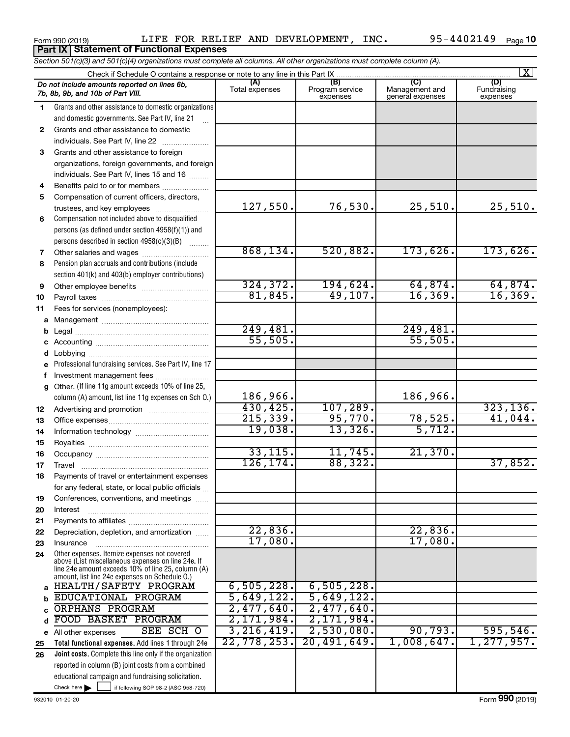Form 990 (2019)  $L$  LIFE FOR RELIEF AND DEVELOPMENT, INC.  $95-4402149$   $_{\rm Page}$ Form 990 (2019) LIFE FOR RELI<br>**Part IX** Statement of Functional Expenses

|                                                                                    | Section 501(c)(3) and 501(c)(4) organizations must complete all columns. All other organizations must complete column (A).                                                                                 |                       |                                    |                                           |                                |  |  |  |  |  |  |
|------------------------------------------------------------------------------------|------------------------------------------------------------------------------------------------------------------------------------------------------------------------------------------------------------|-----------------------|------------------------------------|-------------------------------------------|--------------------------------|--|--|--|--|--|--|
| X <br>Check if Schedule O contains a response or note to any line in this Part IX. |                                                                                                                                                                                                            |                       |                                    |                                           |                                |  |  |  |  |  |  |
|                                                                                    | Do not include amounts reported on lines 6b,<br>7b, 8b, 9b, and 10b of Part VIII.                                                                                                                          | (A)<br>Total expenses | (B)<br>Program service<br>expenses | (C)<br>Management and<br>general expenses | (D)<br>Fundraising<br>expenses |  |  |  |  |  |  |
| 1                                                                                  | Grants and other assistance to domestic organizations                                                                                                                                                      |                       |                                    |                                           |                                |  |  |  |  |  |  |
|                                                                                    | and domestic governments. See Part IV, line 21                                                                                                                                                             |                       |                                    |                                           |                                |  |  |  |  |  |  |
| $\mathbf{2}$                                                                       | Grants and other assistance to domestic                                                                                                                                                                    |                       |                                    |                                           |                                |  |  |  |  |  |  |
|                                                                                    | individuals. See Part IV, line 22                                                                                                                                                                          |                       |                                    |                                           |                                |  |  |  |  |  |  |
| 3                                                                                  | Grants and other assistance to foreign                                                                                                                                                                     |                       |                                    |                                           |                                |  |  |  |  |  |  |
|                                                                                    | organizations, foreign governments, and foreign                                                                                                                                                            |                       |                                    |                                           |                                |  |  |  |  |  |  |
|                                                                                    | individuals. See Part IV, lines 15 and 16                                                                                                                                                                  |                       |                                    |                                           |                                |  |  |  |  |  |  |
| 4                                                                                  | Benefits paid to or for members                                                                                                                                                                            |                       |                                    |                                           |                                |  |  |  |  |  |  |
| 5                                                                                  | Compensation of current officers, directors,                                                                                                                                                               |                       |                                    |                                           |                                |  |  |  |  |  |  |
|                                                                                    | trustees, and key employees                                                                                                                                                                                | 127,550.              | 76,530.                            | 25,510.                                   | 25,510.                        |  |  |  |  |  |  |
| 6                                                                                  | Compensation not included above to disqualified                                                                                                                                                            |                       |                                    |                                           |                                |  |  |  |  |  |  |
|                                                                                    | persons (as defined under section 4958(f)(1)) and                                                                                                                                                          |                       |                                    |                                           |                                |  |  |  |  |  |  |
|                                                                                    | persons described in section 4958(c)(3)(B)                                                                                                                                                                 |                       |                                    |                                           |                                |  |  |  |  |  |  |
| 7                                                                                  |                                                                                                                                                                                                            | 868, 134.             | 520,882.                           | $173,626$ .                               | 173,626.                       |  |  |  |  |  |  |
| 8                                                                                  | Pension plan accruals and contributions (include                                                                                                                                                           |                       |                                    |                                           |                                |  |  |  |  |  |  |
|                                                                                    | section 401(k) and 403(b) employer contributions)                                                                                                                                                          |                       |                                    |                                           |                                |  |  |  |  |  |  |
| 9                                                                                  |                                                                                                                                                                                                            | 324, 372.<br>81,845.  | 194,624.<br>49, 107.               | 64,874.<br>16, 369.                       | $\frac{64,874.}{16,369.}$      |  |  |  |  |  |  |
| 10                                                                                 |                                                                                                                                                                                                            |                       |                                    |                                           |                                |  |  |  |  |  |  |
| 11                                                                                 | Fees for services (nonemployees):                                                                                                                                                                          |                       |                                    |                                           |                                |  |  |  |  |  |  |
| a                                                                                  |                                                                                                                                                                                                            | 249,481.              |                                    | 249,481.                                  |                                |  |  |  |  |  |  |
|                                                                                    |                                                                                                                                                                                                            | 55,505.               |                                    | 55,505.                                   |                                |  |  |  |  |  |  |
|                                                                                    |                                                                                                                                                                                                            |                       |                                    |                                           |                                |  |  |  |  |  |  |
| d                                                                                  | Professional fundraising services. See Part IV, line 17                                                                                                                                                    |                       |                                    |                                           |                                |  |  |  |  |  |  |
|                                                                                    | Investment management fees                                                                                                                                                                                 |                       |                                    |                                           |                                |  |  |  |  |  |  |
| g                                                                                  | Other. (If line 11g amount exceeds 10% of line 25,                                                                                                                                                         |                       |                                    |                                           |                                |  |  |  |  |  |  |
|                                                                                    | column (A) amount, list line 11g expenses on Sch O.)                                                                                                                                                       | 186,966.              |                                    | 186,966.                                  |                                |  |  |  |  |  |  |
| 12                                                                                 |                                                                                                                                                                                                            | 430,425.              | 107,289.                           |                                           | 323, 136.                      |  |  |  |  |  |  |
| 13                                                                                 |                                                                                                                                                                                                            | 215,339.              | 95,770.                            | 78,525.                                   | 41,044.                        |  |  |  |  |  |  |
| 14                                                                                 |                                                                                                                                                                                                            | 19,038.               | 13,326.                            | 5,712.                                    |                                |  |  |  |  |  |  |
| 15                                                                                 |                                                                                                                                                                                                            |                       |                                    |                                           |                                |  |  |  |  |  |  |
| 16                                                                                 |                                                                                                                                                                                                            | 33, 115.              | 11,745.                            | 21,370.                                   |                                |  |  |  |  |  |  |
| 17                                                                                 |                                                                                                                                                                                                            | 126, 174.             | 88,322.                            |                                           | 37,852.                        |  |  |  |  |  |  |
| 18                                                                                 | Payments of travel or entertainment expenses                                                                                                                                                               |                       |                                    |                                           |                                |  |  |  |  |  |  |
|                                                                                    | for any federal, state, or local public officials                                                                                                                                                          |                       |                                    |                                           |                                |  |  |  |  |  |  |
| 19                                                                                 | Conferences, conventions, and meetings                                                                                                                                                                     |                       |                                    |                                           |                                |  |  |  |  |  |  |
| 20                                                                                 | Interest                                                                                                                                                                                                   |                       |                                    |                                           |                                |  |  |  |  |  |  |
| 21                                                                                 |                                                                                                                                                                                                            |                       |                                    |                                           |                                |  |  |  |  |  |  |
| 22                                                                                 | Depreciation, depletion, and amortization                                                                                                                                                                  | 22,836.               |                                    | 22,836.                                   |                                |  |  |  |  |  |  |
| 23                                                                                 | Insurance                                                                                                                                                                                                  | 17,080.               |                                    | 17,080.                                   |                                |  |  |  |  |  |  |
| 24                                                                                 | Other expenses. Itemize expenses not covered<br>above (List miscellaneous expenses on line 24e. If<br>line 24e amount exceeds 10% of line 25, column (A)<br>amount, list line 24e expenses on Schedule O.) |                       |                                    |                                           |                                |  |  |  |  |  |  |
| a                                                                                  | HEALTH/SAFETY PROGRAM                                                                                                                                                                                      | 6,505,228.            | 6,505,228.                         |                                           |                                |  |  |  |  |  |  |
|                                                                                    | EDUCATIONAL PROGRAM                                                                                                                                                                                        | 5,649,122.            | 5,649,122.                         |                                           |                                |  |  |  |  |  |  |
|                                                                                    | <b>ORPHANS PROGRAM</b>                                                                                                                                                                                     | $2,477,640$ .         | 2,477,640.                         |                                           |                                |  |  |  |  |  |  |
| d                                                                                  | FOOD BASKET PROGRAM                                                                                                                                                                                        | 2,171,984.            | 2,171,984.                         |                                           |                                |  |  |  |  |  |  |
|                                                                                    | SEE SCH O<br>e All other expenses                                                                                                                                                                          | 3, 216, 419.          | 2,530,080.                         | 90, 793.                                  | 595,546.                       |  |  |  |  |  |  |
| 25                                                                                 | Total functional expenses. Add lines 1 through 24e                                                                                                                                                         | 22,778,253.           | 20,491,649.                        | 1,008,647.                                | 1, 277, 957.                   |  |  |  |  |  |  |
| 26                                                                                 | Joint costs. Complete this line only if the organization                                                                                                                                                   |                       |                                    |                                           |                                |  |  |  |  |  |  |
|                                                                                    | reported in column (B) joint costs from a combined                                                                                                                                                         |                       |                                    |                                           |                                |  |  |  |  |  |  |
|                                                                                    | educational campaign and fundraising solicitation.                                                                                                                                                         |                       |                                    |                                           |                                |  |  |  |  |  |  |
|                                                                                    | Check here $\blacktriangleright$<br>if following SOP 98-2 (ASC 958-720)                                                                                                                                    |                       |                                    |                                           |                                |  |  |  |  |  |  |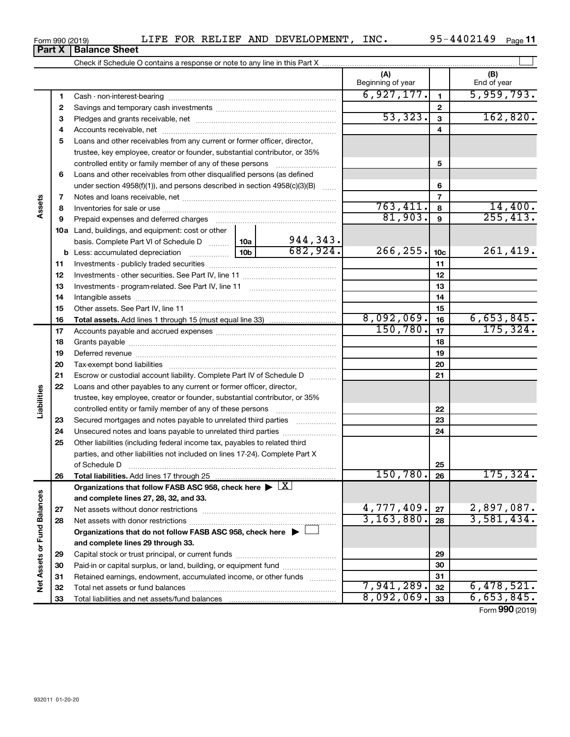| Form 990 (2019) | LIFE | FOR | . RELIEF | AND | <b>DEVELOPMENT</b> | INC. | 4402149<br>$QF -$ | Page |  |
|-----------------|------|-----|----------|-----|--------------------|------|-------------------|------|--|
|-----------------|------|-----|----------|-----|--------------------|------|-------------------|------|--|

|                             |    |                                                                                                                      |                 |          | (A)<br>Beginning of year |                 | (B)<br>End of year              |
|-----------------------------|----|----------------------------------------------------------------------------------------------------------------------|-----------------|----------|--------------------------|-----------------|---------------------------------|
|                             | 1  |                                                                                                                      |                 |          | 6,927,177.               | $\mathbf{1}$    | 5,959,793.                      |
|                             | 2  |                                                                                                                      |                 |          |                          | $\mathbf{2}$    |                                 |
|                             | з  |                                                                                                                      |                 |          | 53,323.                  | $\mathbf{3}$    | 162,820.                        |
|                             | 4  |                                                                                                                      |                 |          |                          | 4               |                                 |
|                             | 5  | Loans and other receivables from any current or former officer, director,                                            |                 |          |                          |                 |                                 |
|                             |    | trustee, key employee, creator or founder, substantial contributor, or 35%                                           |                 |          |                          |                 |                                 |
|                             |    | controlled entity or family member of any of these persons                                                           |                 |          |                          | 5               |                                 |
|                             | 6  | Loans and other receivables from other disqualified persons (as defined                                              |                 |          |                          |                 |                                 |
|                             |    | under section $4958(f)(1)$ , and persons described in section $4958(c)(3)(B)$                                        |                 | $\ldots$ |                          | 6               |                                 |
|                             | 7  |                                                                                                                      |                 |          |                          | $\overline{7}$  |                                 |
| Assets                      | 8  |                                                                                                                      |                 |          | 763,411.                 | 8               | 14,400.                         |
|                             | 9  | Prepaid expenses and deferred charges                                                                                |                 |          | 81,903.                  | $\mathbf{9}$    | 255, 413.                       |
|                             |    | <b>10a</b> Land, buildings, and equipment: cost or other                                                             |                 |          |                          |                 |                                 |
|                             |    | basis. Complete Part VI of Schedule D                                                                                | 10a             | 944,343. |                          |                 |                                 |
|                             |    | <b>b</b> Less: accumulated depreciation                                                                              | 10 <sub>b</sub> | 682,924. | 266,255.                 | 10 <sub>c</sub> | 261,419.                        |
|                             | 11 |                                                                                                                      |                 |          |                          | 11              |                                 |
|                             | 12 |                                                                                                                      |                 |          |                          | 12              |                                 |
|                             | 13 |                                                                                                                      |                 |          | 13                       |                 |                                 |
|                             | 14 |                                                                                                                      |                 | 14       |                          |                 |                                 |
|                             | 15 |                                                                                                                      |                 | 15       |                          |                 |                                 |
|                             | 16 |                                                                                                                      |                 |          | 8,092,069.               | 16              | 6,653,845.                      |
|                             | 17 |                                                                                                                      | 150, 780.       | 17       | 175,324.                 |                 |                                 |
|                             | 18 |                                                                                                                      |                 | 18       |                          |                 |                                 |
|                             | 19 |                                                                                                                      |                 | 19       |                          |                 |                                 |
|                             | 20 |                                                                                                                      |                 | 20       |                          |                 |                                 |
|                             | 21 | Escrow or custodial account liability. Complete Part IV of Schedule D                                                |                 |          |                          | 21              |                                 |
|                             | 22 | Loans and other payables to any current or former officer, director,                                                 |                 |          |                          |                 |                                 |
| Liabilities                 |    | trustee, key employee, creator or founder, substantial contributor, or 35%                                           |                 |          |                          |                 |                                 |
|                             |    | controlled entity or family member of any of these persons [                                                         |                 |          |                          | 22              |                                 |
|                             | 23 | Secured mortgages and notes payable to unrelated third parties                                                       |                 |          |                          | 23              |                                 |
|                             | 24 |                                                                                                                      |                 |          |                          | 24              |                                 |
|                             | 25 | Other liabilities (including federal income tax, payables to related third                                           |                 |          |                          |                 |                                 |
|                             |    | parties, and other liabilities not included on lines 17-24). Complete Part X                                         |                 |          |                          |                 |                                 |
|                             |    | of Schedule D <b>contained a contained a contained a contained a contained a contained a contained a contained a</b> |                 |          |                          | 25              |                                 |
|                             | 26 | Total liabilities. Add lines 17 through 25                                                                           |                 |          | 150, 780.                | 26              | <u>175,324.</u>                 |
|                             |    | Organizations that follow FASB ASC 958, check here $\blacktriangleright \lfloor \underline{X} \rfloor$               |                 |          |                          |                 |                                 |
|                             |    | and complete lines 27, 28, 32, and 33.                                                                               |                 |          |                          |                 |                                 |
|                             | 27 |                                                                                                                      |                 |          | 4,777,409.               | 27              | $\frac{2,897,087.}{3,581,434.}$ |
|                             | 28 |                                                                                                                      |                 |          | 3,163,880.               | 28              |                                 |
|                             |    | Organizations that do not follow FASB ASC 958, check here ▶ U                                                        |                 |          |                          |                 |                                 |
|                             |    | and complete lines 29 through 33.                                                                                    |                 |          |                          |                 |                                 |
|                             | 29 |                                                                                                                      |                 |          |                          | 29              |                                 |
| Net Assets or Fund Balances | 30 | Paid-in or capital surplus, or land, building, or equipment fund                                                     |                 |          |                          | 30              |                                 |
|                             | 31 | Retained earnings, endowment, accumulated income, or other funds                                                     |                 |          |                          | 31              |                                 |
|                             | 32 |                                                                                                                      |                 |          | 7,941,289.               | 32              | 6,478,521.                      |
|                             | 33 |                                                                                                                      |                 |          | 8,092,069.               | 33              | 6,653,845.                      |

**Part X** | Balance Sheet

95-4402149 Page 11

Form (2019) **990**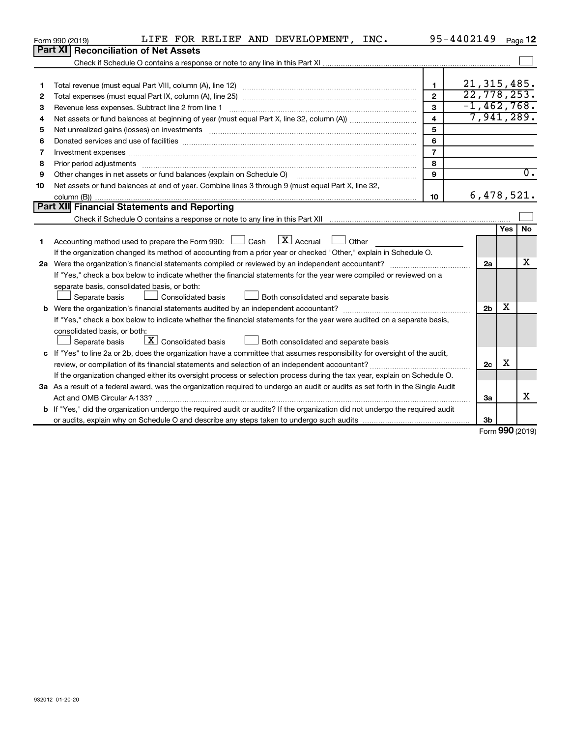|    | LIFE FOR RELIEF AND DEVELOPMENT, INC.<br>Form 990 (2019)                                                                        |                | 95-4402149     |        | Page 12          |
|----|---------------------------------------------------------------------------------------------------------------------------------|----------------|----------------|--------|------------------|
|    | <b>Part XI</b><br><b>Reconciliation of Net Assets</b>                                                                           |                |                |        |                  |
|    |                                                                                                                                 |                |                |        |                  |
|    |                                                                                                                                 |                |                |        |                  |
| 1  |                                                                                                                                 | $\mathbf{1}$   | 21, 315, 485.  |        |                  |
| 2  |                                                                                                                                 | $\mathbf{2}$   | 22,778,253.    |        |                  |
| 3  | Revenue less expenses. Subtract line 2 from line 1                                                                              | 3              | $-1,462,768.$  |        |                  |
| 4  |                                                                                                                                 | 4              | 7,941,289.     |        |                  |
| 5  |                                                                                                                                 | 5              |                |        |                  |
| 6  |                                                                                                                                 | 6              |                |        |                  |
| 7  |                                                                                                                                 | $\overline{7}$ |                |        |                  |
| 8  |                                                                                                                                 | 8              |                |        |                  |
| 9  | Other changes in net assets or fund balances (explain on Schedule O)                                                            | 9              |                |        | $\overline{0}$ . |
| 10 | Net assets or fund balances at end of year. Combine lines 3 through 9 (must equal Part X, line 32,                              |                |                |        |                  |
|    |                                                                                                                                 | 10             | 6,478,521.     |        |                  |
|    | <b>Part XII Financial Statements and Reporting</b>                                                                              |                |                |        |                  |
|    |                                                                                                                                 |                |                |        |                  |
|    |                                                                                                                                 |                |                | Yes    | No               |
| 1  | $\lfloor x \rfloor$ Accrual<br>Accounting method used to prepare the Form 990: $\Box$ Cash<br>$\Box$ Other                      |                |                |        |                  |
|    | If the organization changed its method of accounting from a prior year or checked "Other," explain in Schedule O.               |                |                |        |                  |
|    |                                                                                                                                 |                | 2a             |        | х                |
|    | If "Yes," check a box below to indicate whether the financial statements for the year were compiled or reviewed on a            |                |                |        |                  |
|    | separate basis, consolidated basis, or both:                                                                                    |                |                |        |                  |
|    | Both consolidated and separate basis<br>Separate basis<br>Consolidated basis                                                    |                |                |        |                  |
|    |                                                                                                                                 |                | 2 <sub>b</sub> | х      |                  |
|    | If "Yes," check a box below to indicate whether the financial statements for the year were audited on a separate basis,         |                |                |        |                  |
|    | consolidated basis, or both:                                                                                                    |                |                |        |                  |
|    | $\lfloor x \rfloor$ Consolidated basis<br>Separate basis<br>Both consolidated and separate basis                                |                |                |        |                  |
|    | c If "Yes" to line 2a or 2b, does the organization have a committee that assumes responsibility for oversight of the audit,     |                |                |        |                  |
|    |                                                                                                                                 |                | 2c             | X      |                  |
|    | If the organization changed either its oversight process or selection process during the tax year, explain on Schedule O.       |                |                |        |                  |
|    | 3a As a result of a federal award, was the organization required to undergo an audit or audits as set forth in the Single Audit |                |                |        |                  |
|    | Act and OMB Circular A-133?                                                                                                     |                | За             |        | х                |
|    | b If "Yes," did the organization undergo the required audit or audits? If the organization did not undergo the required audit   |                |                |        |                  |
|    |                                                                                                                                 |                | 3b             | $\sim$ |                  |

Form (2019) **990**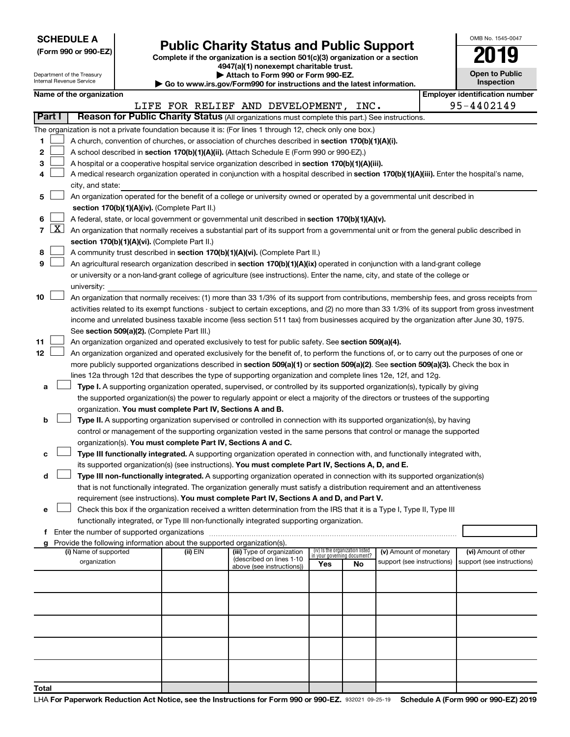| <b>SCHEDULE A</b> |  |
|-------------------|--|
|-------------------|--|

Department of the Treasury

| (Form 990 or 990-EZ) |  |  |
|----------------------|--|--|
|                      |  |  |

Form 990 or 990-EZ) **Public Charity Status and Public Support**<br>
Complete if the organization is a section 501(c)(3) organization or a section<br> **2019 4947(a)(1) nonexempt charitable trust.**

**| Attach to Form 990 or Form 990-EZ.** 

| OMB No 1545-0047                    |
|-------------------------------------|
| '(119                               |
| <b>Open to Public</b><br>Inspection |

|        | nternal Revenue Service<br>Inspection<br>Go to www.irs.gov/Form990 for instructions and the latest information. |                                                                                                                                                                                            |                          |                                             |                                                                        |                                                                                                                                                                                                                     |     |                                   |                            |  |                                       |  |
|--------|-----------------------------------------------------------------------------------------------------------------|--------------------------------------------------------------------------------------------------------------------------------------------------------------------------------------------|--------------------------|---------------------------------------------|------------------------------------------------------------------------|---------------------------------------------------------------------------------------------------------------------------------------------------------------------------------------------------------------------|-----|-----------------------------------|----------------------------|--|---------------------------------------|--|
|        |                                                                                                                 |                                                                                                                                                                                            | Name of the organization |                                             |                                                                        |                                                                                                                                                                                                                     |     |                                   |                            |  | <b>Employer identification number</b> |  |
|        | Part I                                                                                                          |                                                                                                                                                                                            |                          |                                             |                                                                        | LIFE FOR RELIEF AND DEVELOPMENT, INC.<br>Reason for Public Charity Status (All organizations must complete this part.) See instructions.                                                                            |     |                                   |                            |  | 95-4402149                            |  |
|        |                                                                                                                 |                                                                                                                                                                                            |                          |                                             |                                                                        |                                                                                                                                                                                                                     |     |                                   |                            |  |                                       |  |
|        |                                                                                                                 |                                                                                                                                                                                            |                          |                                             |                                                                        | The organization is not a private foundation because it is: (For lines 1 through 12, check only one box.)                                                                                                           |     |                                   |                            |  |                                       |  |
| 1      |                                                                                                                 |                                                                                                                                                                                            |                          |                                             |                                                                        | A church, convention of churches, or association of churches described in section 170(b)(1)(A)(i).                                                                                                                  |     |                                   |                            |  |                                       |  |
| 2      |                                                                                                                 |                                                                                                                                                                                            |                          |                                             |                                                                        | A school described in section 170(b)(1)(A)(ii). (Attach Schedule E (Form 990 or 990-EZ).)                                                                                                                           |     |                                   |                            |  |                                       |  |
| З      |                                                                                                                 |                                                                                                                                                                                            |                          |                                             |                                                                        | A hospital or a cooperative hospital service organization described in section 170(b)(1)(A)(iii).                                                                                                                   |     |                                   |                            |  |                                       |  |
| 4      |                                                                                                                 |                                                                                                                                                                                            | city, and state:         |                                             |                                                                        | A medical research organization operated in conjunction with a hospital described in section 170(b)(1)(A)(iii). Enter the hospital's name,                                                                          |     |                                   |                            |  |                                       |  |
|        |                                                                                                                 |                                                                                                                                                                                            |                          |                                             |                                                                        |                                                                                                                                                                                                                     |     |                                   |                            |  |                                       |  |
| 5      |                                                                                                                 |                                                                                                                                                                                            |                          |                                             |                                                                        | An organization operated for the benefit of a college or university owned or operated by a governmental unit described in                                                                                           |     |                                   |                            |  |                                       |  |
|        |                                                                                                                 |                                                                                                                                                                                            |                          |                                             | section 170(b)(1)(A)(iv). (Complete Part II.)                          |                                                                                                                                                                                                                     |     |                                   |                            |  |                                       |  |
| 6<br>7 | $\lfloor x \rfloor$                                                                                             |                                                                                                                                                                                            |                          |                                             |                                                                        | A federal, state, or local government or governmental unit described in section 170(b)(1)(A)(v).                                                                                                                    |     |                                   |                            |  |                                       |  |
|        |                                                                                                                 | An organization that normally receives a substantial part of its support from a governmental unit or from the general public described in<br>section 170(b)(1)(A)(vi). (Complete Part II.) |                          |                                             |                                                                        |                                                                                                                                                                                                                     |     |                                   |                            |  |                                       |  |
|        |                                                                                                                 |                                                                                                                                                                                            |                          |                                             |                                                                        |                                                                                                                                                                                                                     |     |                                   |                            |  |                                       |  |
| 8      |                                                                                                                 |                                                                                                                                                                                            |                          |                                             |                                                                        | A community trust described in section 170(b)(1)(A)(vi). (Complete Part II.)                                                                                                                                        |     |                                   |                            |  |                                       |  |
| 9      |                                                                                                                 |                                                                                                                                                                                            |                          |                                             |                                                                        | An agricultural research organization described in section 170(b)(1)(A)(ix) operated in conjunction with a land-grant college                                                                                       |     |                                   |                            |  |                                       |  |
|        |                                                                                                                 |                                                                                                                                                                                            |                          |                                             |                                                                        | or university or a non-land-grant college of agriculture (see instructions). Enter the name, city, and state of the college or                                                                                      |     |                                   |                            |  |                                       |  |
|        |                                                                                                                 |                                                                                                                                                                                            | university:              |                                             |                                                                        |                                                                                                                                                                                                                     |     |                                   |                            |  |                                       |  |
| 10     |                                                                                                                 |                                                                                                                                                                                            |                          |                                             |                                                                        | An organization that normally receives: (1) more than 33 1/3% of its support from contributions, membership fees, and gross receipts from                                                                           |     |                                   |                            |  |                                       |  |
|        |                                                                                                                 |                                                                                                                                                                                            |                          |                                             |                                                                        | activities related to its exempt functions - subject to certain exceptions, and (2) no more than 33 1/3% of its support from gross investment                                                                       |     |                                   |                            |  |                                       |  |
|        |                                                                                                                 |                                                                                                                                                                                            |                          |                                             |                                                                        | income and unrelated business taxable income (less section 511 tax) from businesses acquired by the organization after June 30, 1975.                                                                               |     |                                   |                            |  |                                       |  |
|        |                                                                                                                 |                                                                                                                                                                                            |                          |                                             | See section 509(a)(2). (Complete Part III.)                            |                                                                                                                                                                                                                     |     |                                   |                            |  |                                       |  |
| 11     |                                                                                                                 |                                                                                                                                                                                            |                          |                                             |                                                                        | An organization organized and operated exclusively to test for public safety. See section 509(a)(4).                                                                                                                |     |                                   |                            |  |                                       |  |
| 12     |                                                                                                                 |                                                                                                                                                                                            |                          |                                             |                                                                        | An organization organized and operated exclusively for the benefit of, to perform the functions of, or to carry out the purposes of one or                                                                          |     |                                   |                            |  |                                       |  |
|        |                                                                                                                 |                                                                                                                                                                                            |                          |                                             |                                                                        | more publicly supported organizations described in section 509(a)(1) or section 509(a)(2). See section 509(a)(3). Check the box in                                                                                  |     |                                   |                            |  |                                       |  |
|        |                                                                                                                 |                                                                                                                                                                                            |                          |                                             |                                                                        | lines 12a through 12d that describes the type of supporting organization and complete lines 12e, 12f, and 12g.                                                                                                      |     |                                   |                            |  |                                       |  |
| а      |                                                                                                                 |                                                                                                                                                                                            |                          |                                             |                                                                        | Type I. A supporting organization operated, supervised, or controlled by its supported organization(s), typically by giving                                                                                         |     |                                   |                            |  |                                       |  |
|        |                                                                                                                 |                                                                                                                                                                                            |                          |                                             |                                                                        | the supported organization(s) the power to regularly appoint or elect a majority of the directors or trustees of the supporting                                                                                     |     |                                   |                            |  |                                       |  |
|        |                                                                                                                 |                                                                                                                                                                                            |                          |                                             | organization. You must complete Part IV, Sections A and B.             |                                                                                                                                                                                                                     |     |                                   |                            |  |                                       |  |
| b      |                                                                                                                 |                                                                                                                                                                                            |                          |                                             |                                                                        | Type II. A supporting organization supervised or controlled in connection with its supported organization(s), by having                                                                                             |     |                                   |                            |  |                                       |  |
|        |                                                                                                                 |                                                                                                                                                                                            |                          |                                             |                                                                        | control or management of the supporting organization vested in the same persons that control or manage the supported                                                                                                |     |                                   |                            |  |                                       |  |
|        |                                                                                                                 |                                                                                                                                                                                            |                          |                                             |                                                                        | organization(s). You must complete Part IV, Sections A and C.                                                                                                                                                       |     |                                   |                            |  |                                       |  |
| с      |                                                                                                                 |                                                                                                                                                                                            |                          |                                             |                                                                        | Type III functionally integrated. A supporting organization operated in connection with, and functionally integrated with,                                                                                          |     |                                   |                            |  |                                       |  |
|        |                                                                                                                 |                                                                                                                                                                                            |                          |                                             |                                                                        | its supported organization(s) (see instructions). You must complete Part IV, Sections A, D, and E.                                                                                                                  |     |                                   |                            |  |                                       |  |
| d      |                                                                                                                 |                                                                                                                                                                                            |                          |                                             |                                                                        | Type III non-functionally integrated. A supporting organization operated in connection with its supported organization(s)                                                                                           |     |                                   |                            |  |                                       |  |
|        |                                                                                                                 |                                                                                                                                                                                            |                          |                                             |                                                                        | that is not functionally integrated. The organization generally must satisfy a distribution requirement and an attentiveness                                                                                        |     |                                   |                            |  |                                       |  |
|        |                                                                                                                 |                                                                                                                                                                                            |                          |                                             |                                                                        | requirement (see instructions). You must complete Part IV, Sections A and D, and Part V.<br>Check this box if the organization received a written determination from the IRS that it is a Type I, Type II, Type III |     |                                   |                            |  |                                       |  |
| е      |                                                                                                                 |                                                                                                                                                                                            |                          |                                             |                                                                        | functionally integrated, or Type III non-functionally integrated supporting organization.                                                                                                                           |     |                                   |                            |  |                                       |  |
|        |                                                                                                                 |                                                                                                                                                                                            |                          | Enter the number of supported organizations |                                                                        |                                                                                                                                                                                                                     |     |                                   |                            |  |                                       |  |
| f      |                                                                                                                 |                                                                                                                                                                                            |                          |                                             | Provide the following information about the supported organization(s). |                                                                                                                                                                                                                     |     |                                   |                            |  |                                       |  |
|        |                                                                                                                 |                                                                                                                                                                                            | (i) Name of supported    |                                             | (ii) EIN                                                               | (iii) Type of organization                                                                                                                                                                                          |     | (iv) Is the organization listed   | (v) Amount of monetary     |  | (vi) Amount of other                  |  |
|        |                                                                                                                 |                                                                                                                                                                                            | organization             |                                             |                                                                        | (described on lines 1-10                                                                                                                                                                                            | Yes | in your governing document?<br>No | support (see instructions) |  | support (see instructions)            |  |
|        |                                                                                                                 |                                                                                                                                                                                            |                          |                                             |                                                                        | above (see instructions))                                                                                                                                                                                           |     |                                   |                            |  |                                       |  |
|        |                                                                                                                 |                                                                                                                                                                                            |                          |                                             |                                                                        |                                                                                                                                                                                                                     |     |                                   |                            |  |                                       |  |
|        |                                                                                                                 |                                                                                                                                                                                            |                          |                                             |                                                                        |                                                                                                                                                                                                                     |     |                                   |                            |  |                                       |  |
|        |                                                                                                                 |                                                                                                                                                                                            |                          |                                             |                                                                        |                                                                                                                                                                                                                     |     |                                   |                            |  |                                       |  |
|        |                                                                                                                 |                                                                                                                                                                                            |                          |                                             |                                                                        |                                                                                                                                                                                                                     |     |                                   |                            |  |                                       |  |
|        |                                                                                                                 |                                                                                                                                                                                            |                          |                                             |                                                                        |                                                                                                                                                                                                                     |     |                                   |                            |  |                                       |  |
|        |                                                                                                                 |                                                                                                                                                                                            |                          |                                             |                                                                        |                                                                                                                                                                                                                     |     |                                   |                            |  |                                       |  |
|        |                                                                                                                 |                                                                                                                                                                                            |                          |                                             |                                                                        |                                                                                                                                                                                                                     |     |                                   |                            |  |                                       |  |
|        |                                                                                                                 |                                                                                                                                                                                            |                          |                                             |                                                                        |                                                                                                                                                                                                                     |     |                                   |                            |  |                                       |  |
|        |                                                                                                                 |                                                                                                                                                                                            |                          |                                             |                                                                        |                                                                                                                                                                                                                     |     |                                   |                            |  |                                       |  |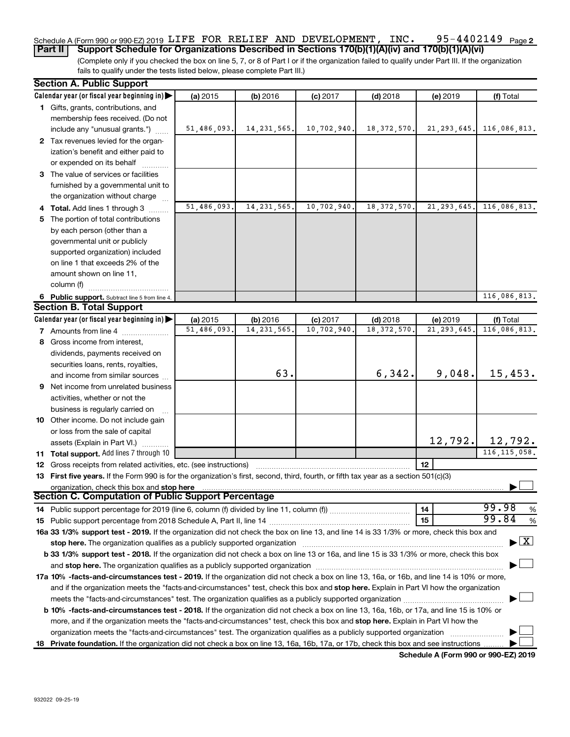#### 95-4402149 Page 2 Schedule A (Form 990 or 990-EZ) 2019 LIFE FOR RELIEF AND DEVELOPMENT, INC. 95-4402149  $\,$  Page **Part II Support Schedule for Organizations Described in Sections 170(b)(1)(A)(iv) and 170(b)(1)(A)(vi)**

(Complete only if you checked the box on line 5, 7, or 8 of Part I or if the organization failed to qualify under Part III. If the organization fails to qualify under the tests listed below, please complete Part III.)

|    | <b>Section A. Public Support</b>                                                                                                                                                                                               |             |               |             |               |               |                                    |  |  |
|----|--------------------------------------------------------------------------------------------------------------------------------------------------------------------------------------------------------------------------------|-------------|---------------|-------------|---------------|---------------|------------------------------------|--|--|
|    | Calendar year (or fiscal year beginning in)                                                                                                                                                                                    | (a) 2015    | (b) 2016      | $(c)$ 2017  | $(d)$ 2018    | (e) 2019      | (f) Total                          |  |  |
|    | 1 Gifts, grants, contributions, and                                                                                                                                                                                            |             |               |             |               |               |                                    |  |  |
|    | membership fees received. (Do not                                                                                                                                                                                              |             |               |             |               |               |                                    |  |  |
|    | include any "unusual grants.")                                                                                                                                                                                                 | 51,486,093. | 14, 231, 565. | 10,702,940. | 18, 372, 570. | 21, 293, 645. | 116,086,813.                       |  |  |
|    | 2 Tax revenues levied for the organ-                                                                                                                                                                                           |             |               |             |               |               |                                    |  |  |
|    | ization's benefit and either paid to                                                                                                                                                                                           |             |               |             |               |               |                                    |  |  |
|    | or expended on its behalf                                                                                                                                                                                                      |             |               |             |               |               |                                    |  |  |
|    | 3 The value of services or facilities                                                                                                                                                                                          |             |               |             |               |               |                                    |  |  |
|    | furnished by a governmental unit to                                                                                                                                                                                            |             |               |             |               |               |                                    |  |  |
|    | the organization without charge                                                                                                                                                                                                |             |               |             |               |               |                                    |  |  |
|    | 4 Total. Add lines 1 through 3                                                                                                                                                                                                 | 51,486,093. | 14, 231, 565. | 10,702,940  | 18, 372, 570  | 21, 293, 645. | 116,086,813.                       |  |  |
|    | 5 The portion of total contributions                                                                                                                                                                                           |             |               |             |               |               |                                    |  |  |
|    | by each person (other than a                                                                                                                                                                                                   |             |               |             |               |               |                                    |  |  |
|    | governmental unit or publicly                                                                                                                                                                                                  |             |               |             |               |               |                                    |  |  |
|    | supported organization) included                                                                                                                                                                                               |             |               |             |               |               |                                    |  |  |
|    | on line 1 that exceeds 2% of the                                                                                                                                                                                               |             |               |             |               |               |                                    |  |  |
|    | amount shown on line 11,                                                                                                                                                                                                       |             |               |             |               |               |                                    |  |  |
|    | column (f)                                                                                                                                                                                                                     |             |               |             |               |               |                                    |  |  |
|    | 6 Public support. Subtract line 5 from line 4.                                                                                                                                                                                 |             |               |             |               |               | 116,086,813.                       |  |  |
|    | <b>Section B. Total Support</b>                                                                                                                                                                                                |             |               |             |               |               |                                    |  |  |
|    | Calendar year (or fiscal year beginning in)                                                                                                                                                                                    | (a) 2015    | (b) 2016      | $(c)$ 2017  | $(d)$ 2018    | (e) 2019      | (f) Total                          |  |  |
|    | <b>7</b> Amounts from line 4                                                                                                                                                                                                   | 51,486,093  | 14, 231, 565  | 10,702,940  | 18, 372, 570  | 21, 293, 645  | 116,086,813.                       |  |  |
| 8  | Gross income from interest,                                                                                                                                                                                                    |             |               |             |               |               |                                    |  |  |
|    |                                                                                                                                                                                                                                |             |               |             |               |               |                                    |  |  |
|    | dividends, payments received on                                                                                                                                                                                                |             |               |             |               |               |                                    |  |  |
|    | securities loans, rents, royalties,                                                                                                                                                                                            |             | 63.           |             | 6,342.        | 9,048.        | 15,453.                            |  |  |
|    | and income from similar sources                                                                                                                                                                                                |             |               |             |               |               |                                    |  |  |
|    | <b>9</b> Net income from unrelated business                                                                                                                                                                                    |             |               |             |               |               |                                    |  |  |
|    | activities, whether or not the                                                                                                                                                                                                 |             |               |             |               |               |                                    |  |  |
|    | business is regularly carried on                                                                                                                                                                                               |             |               |             |               |               |                                    |  |  |
|    | 10 Other income. Do not include gain                                                                                                                                                                                           |             |               |             |               |               |                                    |  |  |
|    | or loss from the sale of capital                                                                                                                                                                                               |             |               |             |               | 12,792.       | 12,792.                            |  |  |
|    | assets (Explain in Part VI.)                                                                                                                                                                                                   |             |               |             |               |               |                                    |  |  |
|    | 11 Total support. Add lines 7 through 10                                                                                                                                                                                       |             |               |             |               |               | 116, 115, 058.                     |  |  |
|    | <b>12</b> Gross receipts from related activities, etc. (see instructions)                                                                                                                                                      |             |               |             |               | 12            |                                    |  |  |
|    | 13 First five years. If the Form 990 is for the organization's first, second, third, fourth, or fifth tax year as a section 501(c)(3)                                                                                          |             |               |             |               |               |                                    |  |  |
|    | organization, check this box and stop here<br><b>Section C. Computation of Public Support Percentage</b>                                                                                                                       |             |               |             |               |               |                                    |  |  |
|    |                                                                                                                                                                                                                                |             |               |             |               |               | 99.98                              |  |  |
|    |                                                                                                                                                                                                                                |             |               |             |               | 14            | %<br>99.84                         |  |  |
|    |                                                                                                                                                                                                                                |             |               |             |               | 15            | %                                  |  |  |
|    | 16a 33 1/3% support test - 2019. If the organization did not check the box on line 13, and line 14 is 33 1/3% or more, check this box and                                                                                      |             |               |             |               |               | $\blacktriangleright$ $\mathbf{X}$ |  |  |
|    | stop here. The organization qualifies as a publicly supported organization manufaction manufacture or the organization manufacture or the organization manufacture or the organization manufacture or the state of the state o |             |               |             |               |               |                                    |  |  |
|    | b 33 1/3% support test - 2018. If the organization did not check a box on line 13 or 16a, and line 15 is 33 1/3% or more, check this box                                                                                       |             |               |             |               |               |                                    |  |  |
|    | and stop here. The organization qualifies as a publicly supported organization [11] manuscription manuscription manuscription manuscription manuscription manuscription manuscription manuscription manuscription manuscriptio |             |               |             |               |               |                                    |  |  |
|    | 17a 10% -facts-and-circumstances test - 2019. If the organization did not check a box on line 13, 16a, or 16b, and line 14 is 10% or more,                                                                                     |             |               |             |               |               |                                    |  |  |
|    | and if the organization meets the "facts-and-circumstances" test, check this box and stop here. Explain in Part VI how the organization                                                                                        |             |               |             |               |               |                                    |  |  |
|    |                                                                                                                                                                                                                                |             |               |             |               |               |                                    |  |  |
|    | b 10% -facts-and-circumstances test - 2018. If the organization did not check a box on line 13, 16a, 16b, or 17a, and line 15 is 10% or                                                                                        |             |               |             |               |               |                                    |  |  |
|    | more, and if the organization meets the "facts-and-circumstances" test, check this box and stop here. Explain in Part VI how the                                                                                               |             |               |             |               |               |                                    |  |  |
|    | organization meets the "facts-and-circumstances" test. The organization qualifies as a publicly supported organization                                                                                                         |             |               |             |               |               |                                    |  |  |
| 18 | <b>Private foundation.</b> If the organization did not check a box on line 13, 16a, 16b, 17a, or 17b, check this box and see instructions                                                                                      |             |               |             |               |               |                                    |  |  |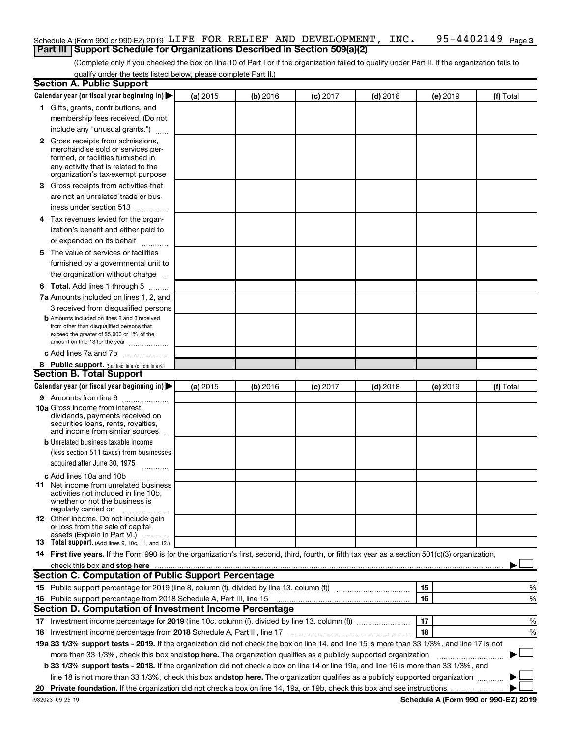#### 95-4402149 Page 3 Schedule A (Form 990 or 990-EZ) 2019 LIFE FOR RELIEF AND DEVELOPMENT, INC. 95-4402149  $\,$  Page **Part III Support Schedule for Organizations Described in Section 509(a)(2)**

(Complete only if you checked the box on line 10 of Part I or if the organization failed to qualify under Part II. If the organization fails to qualify under the tests listed below, please complete Part II.)

| <b>Section A. Public Support</b>                                                                                                                                                                                               |          |          |                 |            |          |           |
|--------------------------------------------------------------------------------------------------------------------------------------------------------------------------------------------------------------------------------|----------|----------|-----------------|------------|----------|-----------|
| Calendar year (or fiscal year beginning in)                                                                                                                                                                                    | (a) 2015 | (b) 2016 | $(c)$ 2017      | $(d)$ 2018 | (e) 2019 | (f) Total |
| 1 Gifts, grants, contributions, and                                                                                                                                                                                            |          |          |                 |            |          |           |
| membership fees received. (Do not                                                                                                                                                                                              |          |          |                 |            |          |           |
| include any "unusual grants.")                                                                                                                                                                                                 |          |          |                 |            |          |           |
| 2 Gross receipts from admissions,                                                                                                                                                                                              |          |          |                 |            |          |           |
| merchandise sold or services per-                                                                                                                                                                                              |          |          |                 |            |          |           |
| formed, or facilities furnished in                                                                                                                                                                                             |          |          |                 |            |          |           |
| any activity that is related to the<br>organization's tax-exempt purpose                                                                                                                                                       |          |          |                 |            |          |           |
| 3 Gross receipts from activities that                                                                                                                                                                                          |          |          |                 |            |          |           |
| are not an unrelated trade or bus-                                                                                                                                                                                             |          |          |                 |            |          |           |
| iness under section 513                                                                                                                                                                                                        |          |          |                 |            |          |           |
| 4 Tax revenues levied for the organ-                                                                                                                                                                                           |          |          |                 |            |          |           |
| ization's benefit and either paid to                                                                                                                                                                                           |          |          |                 |            |          |           |
| or expended on its behalf                                                                                                                                                                                                      |          |          |                 |            |          |           |
| 5 The value of services or facilities                                                                                                                                                                                          |          |          |                 |            |          |           |
| furnished by a governmental unit to                                                                                                                                                                                            |          |          |                 |            |          |           |
| the organization without charge                                                                                                                                                                                                |          |          |                 |            |          |           |
| <b>6 Total.</b> Add lines 1 through 5                                                                                                                                                                                          |          |          |                 |            |          |           |
| 7a Amounts included on lines 1, 2, and                                                                                                                                                                                         |          |          |                 |            |          |           |
| 3 received from disqualified persons                                                                                                                                                                                           |          |          |                 |            |          |           |
| <b>b</b> Amounts included on lines 2 and 3 received                                                                                                                                                                            |          |          |                 |            |          |           |
| from other than disqualified persons that                                                                                                                                                                                      |          |          |                 |            |          |           |
| exceed the greater of \$5,000 or 1% of the                                                                                                                                                                                     |          |          |                 |            |          |           |
| amount on line 13 for the year<br>c Add lines 7a and 7b                                                                                                                                                                        |          |          |                 |            |          |           |
|                                                                                                                                                                                                                                |          |          |                 |            |          |           |
| 8 Public support. (Subtract line 7c from line 6.)<br><b>Section B. Total Support</b>                                                                                                                                           |          |          |                 |            |          |           |
| Calendar year (or fiscal year beginning in)                                                                                                                                                                                    | (a) 2015 | (b) 2016 | <b>(c)</b> 2017 | $(d)$ 2018 | (e) 2019 | (f) Total |
| <b>9</b> Amounts from line 6                                                                                                                                                                                                   |          |          |                 |            |          |           |
| <b>10a</b> Gross income from interest,                                                                                                                                                                                         |          |          |                 |            |          |           |
| dividends, payments received on                                                                                                                                                                                                |          |          |                 |            |          |           |
| securities loans, rents, royalties,                                                                                                                                                                                            |          |          |                 |            |          |           |
| and income from similar sources                                                                                                                                                                                                |          |          |                 |            |          |           |
| <b>b</b> Unrelated business taxable income<br>(less section 511 taxes) from businesses                                                                                                                                         |          |          |                 |            |          |           |
|                                                                                                                                                                                                                                |          |          |                 |            |          |           |
| acquired after June 30, 1975<br>$\frac{1}{2}$                                                                                                                                                                                  |          |          |                 |            |          |           |
| c Add lines 10a and 10b                                                                                                                                                                                                        |          |          |                 |            |          |           |
| 11 Net income from unrelated business<br>activities not included in line 10b.                                                                                                                                                  |          |          |                 |            |          |           |
| whether or not the business is                                                                                                                                                                                                 |          |          |                 |            |          |           |
| regularly carried on                                                                                                                                                                                                           |          |          |                 |            |          |           |
| <b>12</b> Other income. Do not include gain<br>or loss from the sale of capital                                                                                                                                                |          |          |                 |            |          |           |
| assets (Explain in Part VI.)                                                                                                                                                                                                   |          |          |                 |            |          |           |
| <b>13</b> Total support. (Add lines 9, 10c, 11, and 12.)                                                                                                                                                                       |          |          |                 |            |          |           |
| 14 First five years. If the Form 990 is for the organization's first, second, third, fourth, or fifth tax year as a section 501(c)(3) organization,                                                                            |          |          |                 |            |          |           |
| check this box and stop here measurements and stop here and stop here are all the substitutions of the state of the state of the state of the state of the state of the state of the state of the state of the state of the st |          |          |                 |            |          |           |
| Section C. Computation of Public Support Percentage                                                                                                                                                                            |          |          |                 |            |          |           |
|                                                                                                                                                                                                                                |          |          |                 |            | 15       | %         |
| 16 Public support percentage from 2018 Schedule A, Part III, line 15                                                                                                                                                           |          |          |                 |            | 16       | %         |
| Section D. Computation of Investment Income Percentage                                                                                                                                                                         |          |          |                 |            |          |           |
| 17 Investment income percentage for 2019 (line 10c, column (f), divided by line 13, column (f))                                                                                                                                |          |          |                 |            | 17       | %         |
| 18 Investment income percentage from 2018 Schedule A, Part III, line 17                                                                                                                                                        |          |          |                 |            | 18       | %         |
| 19a 33 1/3% support tests - 2019. If the organization did not check the box on line 14, and line 15 is more than 33 1/3%, and line 17 is not                                                                                   |          |          |                 |            |          |           |
| more than 33 1/3%, check this box and stop here. The organization qualifies as a publicly supported organization                                                                                                               |          |          |                 |            |          |           |
| b 33 1/3% support tests - 2018. If the organization did not check a box on line 14 or line 19a, and line 16 is more than 33 1/3%, and                                                                                          |          |          |                 |            |          |           |
| line 18 is not more than 33 1/3%, check this box and stop here. The organization qualifies as a publicly supported organization                                                                                                |          |          |                 |            |          |           |
|                                                                                                                                                                                                                                |          |          |                 |            |          |           |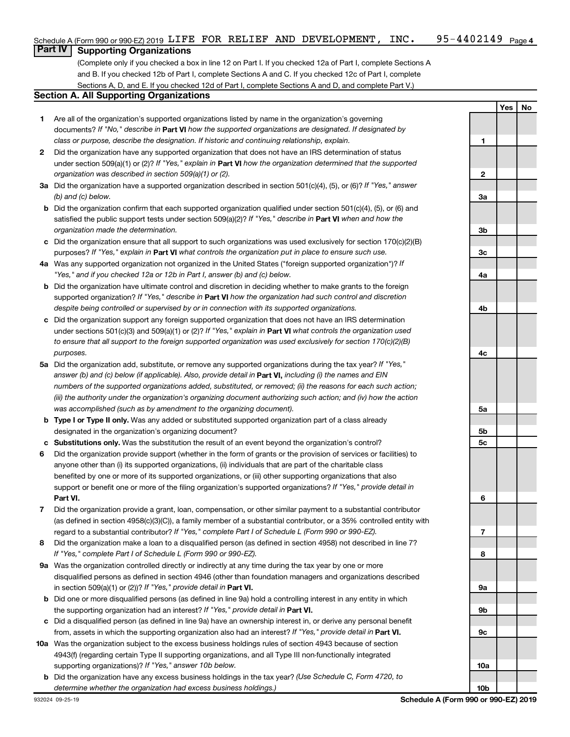# **Part IV Supporting Organizations**

(Complete only if you checked a box in line 12 on Part I. If you checked 12a of Part I, complete Sections A and B. If you checked 12b of Part I, complete Sections A and C. If you checked 12c of Part I, complete Sections A, D, and E. If you checked 12d of Part I, complete Sections A and D, and complete Part V.)

### **Section A. All Supporting Organizations**

- **1** Are all of the organization's supported organizations listed by name in the organization's governing documents? If "No," describe in Part VI how the supported organizations are designated. If designated by *class or purpose, describe the designation. If historic and continuing relationship, explain.*
- **2** Did the organization have any supported organization that does not have an IRS determination of status under section 509(a)(1) or (2)? If "Yes," explain in Part **VI** how the organization determined that the supported *organization was described in section 509(a)(1) or (2).*
- **3a** Did the organization have a supported organization described in section 501(c)(4), (5), or (6)? If "Yes," answer *(b) and (c) below.*
- **b** Did the organization confirm that each supported organization qualified under section 501(c)(4), (5), or (6) and satisfied the public support tests under section 509(a)(2)? If "Yes," describe in Part VI when and how the *organization made the determination.*
- **c** Did the organization ensure that all support to such organizations was used exclusively for section 170(c)(2)(B) purposes? If "Yes," explain in Part VI what controls the organization put in place to ensure such use.
- **4 a** *If* Was any supported organization not organized in the United States ("foreign supported organization")? *"Yes," and if you checked 12a or 12b in Part I, answer (b) and (c) below.*
- **b** Did the organization have ultimate control and discretion in deciding whether to make grants to the foreign supported organization? If "Yes," describe in Part VI how the organization had such control and discretion *despite being controlled or supervised by or in connection with its supported organizations.*
- **c** Did the organization support any foreign supported organization that does not have an IRS determination under sections 501(c)(3) and 509(a)(1) or (2)? If "Yes," explain in Part VI what controls the organization used *to ensure that all support to the foreign supported organization was used exclusively for section 170(c)(2)(B) purposes.*
- **5a** Did the organization add, substitute, or remove any supported organizations during the tax year? If "Yes," answer (b) and (c) below (if applicable). Also, provide detail in **Part VI,** including (i) the names and EIN *numbers of the supported organizations added, substituted, or removed; (ii) the reasons for each such action; (iii) the authority under the organization's organizing document authorizing such action; and (iv) how the action was accomplished (such as by amendment to the organizing document).*
- **b** Type I or Type II only. Was any added or substituted supported organization part of a class already designated in the organization's organizing document?
- **c Substitutions only.**  Was the substitution the result of an event beyond the organization's control?
- **6** Did the organization provide support (whether in the form of grants or the provision of services or facilities) to **Part VI.** support or benefit one or more of the filing organization's supported organizations? If "Yes," provide detail in anyone other than (i) its supported organizations, (ii) individuals that are part of the charitable class benefited by one or more of its supported organizations, or (iii) other supporting organizations that also
- **7** Did the organization provide a grant, loan, compensation, or other similar payment to a substantial contributor regard to a substantial contributor? If "Yes," complete Part I of Schedule L (Form 990 or 990-EZ). (as defined in section 4958(c)(3)(C)), a family member of a substantial contributor, or a 35% controlled entity with
- **8** Did the organization make a loan to a disqualified person (as defined in section 4958) not described in line 7? *If "Yes," complete Part I of Schedule L (Form 990 or 990-EZ).*
- **9 a** Was the organization controlled directly or indirectly at any time during the tax year by one or more in section 509(a)(1) or (2))? If "Yes," provide detail in **Part VI.** disqualified persons as defined in section 4946 (other than foundation managers and organizations described
- **b** Did one or more disqualified persons (as defined in line 9a) hold a controlling interest in any entity in which the supporting organization had an interest? If "Yes," provide detail in Part VI.
- **c** Did a disqualified person (as defined in line 9a) have an ownership interest in, or derive any personal benefit from, assets in which the supporting organization also had an interest? If "Yes," provide detail in Part VI.
- **10 a** Was the organization subject to the excess business holdings rules of section 4943 because of section supporting organizations)? If "Yes," answer 10b below. 4943(f) (regarding certain Type II supporting organizations, and all Type III non-functionally integrated
	- **b** Did the organization have any excess business holdings in the tax year? (Use Schedule C, Form 4720, to *determine whether the organization had excess business holdings.)*

**Yes No**

**10b**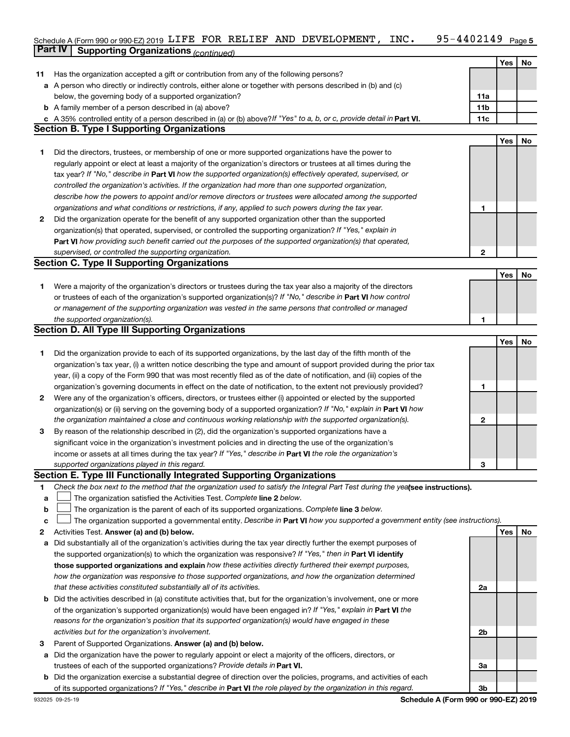#### 95-4402149 Page 5 Schedule A (Form 990 or 990-EZ) 2019 LIFE FOR RELIEF AND DEVELOPMENT, INC.  $95-4402149$  Page **Part IV Supporting Organizations** *(continued)* LIFE FOR RELIEF AND DEVELOPMENT, INC. 95-4402149

|    |                                                                                                                                                                                                                                                   |              | <b>Yes</b> | No |
|----|---------------------------------------------------------------------------------------------------------------------------------------------------------------------------------------------------------------------------------------------------|--------------|------------|----|
| 11 | Has the organization accepted a gift or contribution from any of the following persons?<br>a A person who directly or indirectly controls, either alone or together with persons described in (b) and (c)                                         |              |            |    |
|    | below, the governing body of a supported organization?                                                                                                                                                                                            | 11a          |            |    |
|    | <b>b</b> A family member of a person described in (a) above?                                                                                                                                                                                      | 11b          |            |    |
|    | c A 35% controlled entity of a person described in (a) or (b) above? If "Yes" to a, b, or c, provide detail in Part VI.                                                                                                                           | 11c          |            |    |
|    | <b>Section B. Type I Supporting Organizations</b>                                                                                                                                                                                                 |              |            |    |
|    |                                                                                                                                                                                                                                                   |              | Yes        | No |
| 1. | Did the directors, trustees, or membership of one or more supported organizations have the power to                                                                                                                                               |              |            |    |
|    | regularly appoint or elect at least a majority of the organization's directors or trustees at all times during the                                                                                                                                |              |            |    |
|    | tax year? If "No," describe in Part VI how the supported organization(s) effectively operated, supervised, or                                                                                                                                     |              |            |    |
|    | controlled the organization's activities. If the organization had more than one supported organization,                                                                                                                                           |              |            |    |
|    | describe how the powers to appoint and/or remove directors or trustees were allocated among the supported                                                                                                                                         |              |            |    |
|    | organizations and what conditions or restrictions, if any, applied to such powers during the tax year.                                                                                                                                            | 1            |            |    |
| 2  | Did the organization operate for the benefit of any supported organization other than the supported                                                                                                                                               |              |            |    |
|    | organization(s) that operated, supervised, or controlled the supporting organization? If "Yes," explain in                                                                                                                                        |              |            |    |
|    | Part VI how providing such benefit carried out the purposes of the supported organization(s) that operated,                                                                                                                                       |              |            |    |
|    | supervised, or controlled the supporting organization.                                                                                                                                                                                            | 2            |            |    |
|    | <b>Section C. Type II Supporting Organizations</b>                                                                                                                                                                                                |              |            |    |
|    |                                                                                                                                                                                                                                                   |              | Yes        | No |
| 1. | Were a majority of the organization's directors or trustees during the tax year also a majority of the directors                                                                                                                                  |              |            |    |
|    | or trustees of each of the organization's supported organization(s)? If "No," describe in Part VI how control                                                                                                                                     |              |            |    |
|    | or management of the supporting organization was vested in the same persons that controlled or managed                                                                                                                                            |              |            |    |
|    | the supported organization(s).<br><b>Section D. All Type III Supporting Organizations</b>                                                                                                                                                         | 1            |            |    |
|    |                                                                                                                                                                                                                                                   |              | Yes        | No |
| 1. | Did the organization provide to each of its supported organizations, by the last day of the fifth month of the                                                                                                                                    |              |            |    |
|    | organization's tax year, (i) a written notice describing the type and amount of support provided during the prior tax                                                                                                                             |              |            |    |
|    | year, (ii) a copy of the Form 990 that was most recently filed as of the date of notification, and (iii) copies of the                                                                                                                            |              |            |    |
|    | organization's governing documents in effect on the date of notification, to the extent not previously provided?                                                                                                                                  | 1            |            |    |
| 2  | Were any of the organization's officers, directors, or trustees either (i) appointed or elected by the supported                                                                                                                                  |              |            |    |
|    | organization(s) or (ii) serving on the governing body of a supported organization? If "No," explain in Part VI how                                                                                                                                |              |            |    |
|    | the organization maintained a close and continuous working relationship with the supported organization(s).                                                                                                                                       | $\mathbf{2}$ |            |    |
| 3  | By reason of the relationship described in (2), did the organization's supported organizations have a                                                                                                                                             |              |            |    |
|    | significant voice in the organization's investment policies and in directing the use of the organization's                                                                                                                                        |              |            |    |
|    | income or assets at all times during the tax year? If "Yes," describe in Part VI the role the organization's                                                                                                                                      |              |            |    |
|    | supported organizations played in this regard.                                                                                                                                                                                                    | 3            |            |    |
|    | Section E. Type III Functionally Integrated Supporting Organizations                                                                                                                                                                              |              |            |    |
| 1  | Check the box next to the method that the organization used to satisfy the Integral Part Test during the yealsee instructions).                                                                                                                   |              |            |    |
| a  | The organization satisfied the Activities Test. Complete line 2 below.                                                                                                                                                                            |              |            |    |
| b  | The organization is the parent of each of its supported organizations. Complete line 3 below.                                                                                                                                                     |              |            |    |
| c  | The organization supported a governmental entity. Describe in Part VI how you supported a government entity (see instructions).                                                                                                                   |              |            |    |
| 2  | Activities Test. Answer (a) and (b) below.                                                                                                                                                                                                        |              | Yes        | No |
| а  | Did substantially all of the organization's activities during the tax year directly further the exempt purposes of                                                                                                                                |              |            |    |
|    | the supported organization(s) to which the organization was responsive? If "Yes," then in Part VI identify                                                                                                                                        |              |            |    |
|    | those supported organizations and explain how these activities directly furthered their exempt purposes,                                                                                                                                          |              |            |    |
|    | how the organization was responsive to those supported organizations, and how the organization determined                                                                                                                                         |              |            |    |
|    | that these activities constituted substantially all of its activities.                                                                                                                                                                            | 2a           |            |    |
|    | b Did the activities described in (a) constitute activities that, but for the organization's involvement, one or more                                                                                                                             |              |            |    |
|    | of the organization's supported organization(s) would have been engaged in? If "Yes," explain in Part VI the                                                                                                                                      |              |            |    |
|    | reasons for the organization's position that its supported organization(s) would have engaged in these                                                                                                                                            |              |            |    |
|    | activities but for the organization's involvement.                                                                                                                                                                                                | 2b           |            |    |
| З  | Parent of Supported Organizations. Answer (a) and (b) below.                                                                                                                                                                                      |              |            |    |
| а  | Did the organization have the power to regularly appoint or elect a majority of the officers, directors, or                                                                                                                                       |              |            |    |
|    | trustees of each of the supported organizations? Provide details in Part VI.                                                                                                                                                                      | За           |            |    |
|    | <b>b</b> Did the organization exercise a substantial degree of direction over the policies, programs, and activities of each<br>of its supported organizations? If "Yes," describe in Part VI the role played by the organization in this regard. | 3b           |            |    |
|    |                                                                                                                                                                                                                                                   |              |            |    |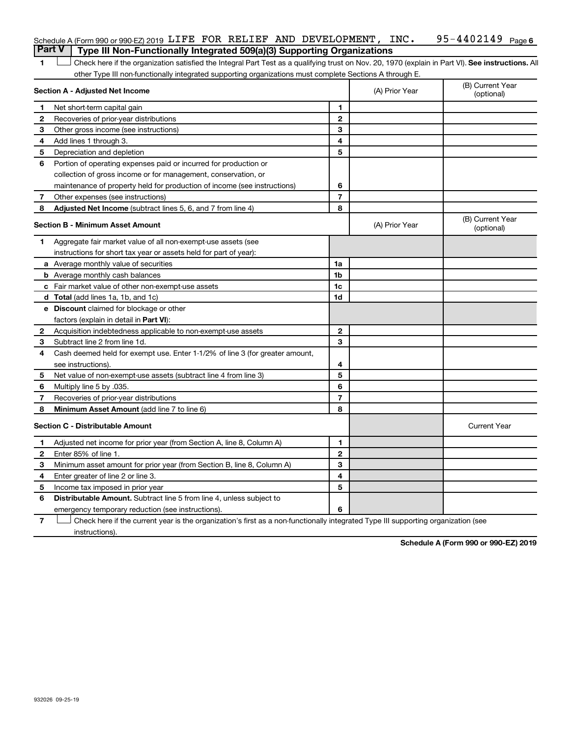| Schedule A (Form 990 or 990-EZ) 2019 LIFE FOR RELIEF AND DEVELOPMENT, INC.     |  |  |  | 95-4402149 <sub>Page 6</sub> |  |
|--------------------------------------------------------------------------------|--|--|--|------------------------------|--|
| Part V Type III Non-Functionally Integrated 509(a)(3) Supporting Organizations |  |  |  |                              |  |

1 **Letter See instructions.** All Check here if the organization satisfied the Integral Part Test as a qualifying trust on Nov. 20, 1970 (explain in Part VI). See instructions. All other Type III non-functionally integrated supporting organizations must complete Sections A through E.

|              | Section A - Adjusted Net Income                                              |                          | (A) Prior Year | (B) Current Year<br>(optional) |
|--------------|------------------------------------------------------------------------------|--------------------------|----------------|--------------------------------|
| 1.           | Net short-term capital gain                                                  | 1                        |                |                                |
| $\mathbf{2}$ | Recoveries of prior-year distributions                                       | $\mathbf{2}$             |                |                                |
| 3            | Other gross income (see instructions)                                        | 3                        |                |                                |
| 4            | Add lines 1 through 3.                                                       | 4                        |                |                                |
| 5            | Depreciation and depletion                                                   | 5                        |                |                                |
| 6            | Portion of operating expenses paid or incurred for production or             |                          |                |                                |
|              | collection of gross income or for management, conservation, or               |                          |                |                                |
|              | maintenance of property held for production of income (see instructions)     | 6                        |                |                                |
| 7            | Other expenses (see instructions)                                            | $\overline{7}$           |                |                                |
| 8            | Adjusted Net Income (subtract lines 5, 6, and 7 from line 4)                 | 8                        |                |                                |
|              | <b>Section B - Minimum Asset Amount</b>                                      |                          | (A) Prior Year | (B) Current Year<br>(optional) |
| 1.           | Aggregate fair market value of all non-exempt-use assets (see                |                          |                |                                |
|              | instructions for short tax year or assets held for part of year):            |                          |                |                                |
|              | a Average monthly value of securities                                        | 1a                       |                |                                |
|              | <b>b</b> Average monthly cash balances                                       | 1b                       |                |                                |
|              | <b>c</b> Fair market value of other non-exempt-use assets                    | 1c                       |                |                                |
|              | d Total (add lines 1a, 1b, and 1c)                                           | 1 <sub>d</sub>           |                |                                |
|              | e Discount claimed for blockage or other                                     |                          |                |                                |
|              | factors (explain in detail in Part VI):                                      |                          |                |                                |
| 2            | Acquisition indebtedness applicable to non-exempt-use assets                 | $\mathbf{2}$             |                |                                |
| 3            | Subtract line 2 from line 1d.                                                | 3                        |                |                                |
| 4            | Cash deemed held for exempt use. Enter 1-1/2% of line 3 (for greater amount, |                          |                |                                |
|              | see instructions).                                                           | 4                        |                |                                |
| 5            | Net value of non-exempt-use assets (subtract line 4 from line 3)             | 5                        |                |                                |
| 6            | Multiply line 5 by .035.                                                     | 6                        |                |                                |
| 7            | Recoveries of prior-year distributions                                       | $\overline{\phantom{a}}$ |                |                                |
| 8            | Minimum Asset Amount (add line 7 to line 6)                                  | 8                        |                |                                |
|              | <b>Section C - Distributable Amount</b>                                      |                          |                | <b>Current Year</b>            |
| 1            | Adjusted net income for prior year (from Section A, line 8, Column A)        | 1                        |                |                                |
| $\mathbf{2}$ | Enter 85% of line 1.                                                         | $\overline{2}$           |                |                                |
| 3            | Minimum asset amount for prior year (from Section B, line 8, Column A)       | 3                        |                |                                |
| 4            | Enter greater of line 2 or line 3.                                           | 4                        |                |                                |
| 5            | Income tax imposed in prior year                                             | 5                        |                |                                |
| 6            | <b>Distributable Amount.</b> Subtract line 5 from line 4, unless subject to  |                          |                |                                |
|              | emergency temporary reduction (see instructions).                            | 6                        |                |                                |
|              |                                                                              |                          |                |                                |

**7** Let Check here if the current year is the organization's first as a non-functionally integrated Type III supporting organization (see instructions).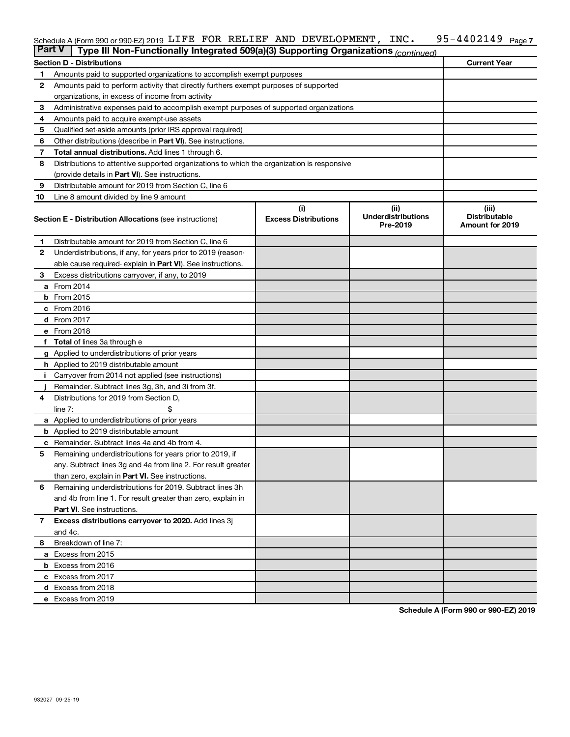#### 95-4402149 Page 7 Schedule A (Form 990 or 990-EZ) 2019 LIFE FOR RELIEF AND DEVELOPMENT, INC.  $95-4402149$  Page LIFE FOR RELIEF AND DEVELOPMENT, INC. 95-4402149

| <b>Part V</b> | Type III Non-Functionally Integrated 509(a)(3) Supporting Organizations (continued)        |                             |                                       |                                                |  |  |  |  |  |  |  |
|---------------|--------------------------------------------------------------------------------------------|-----------------------------|---------------------------------------|------------------------------------------------|--|--|--|--|--|--|--|
|               | <b>Current Year</b><br><b>Section D - Distributions</b>                                    |                             |                                       |                                                |  |  |  |  |  |  |  |
| 1             | Amounts paid to supported organizations to accomplish exempt purposes                      |                             |                                       |                                                |  |  |  |  |  |  |  |
| 2             | Amounts paid to perform activity that directly furthers exempt purposes of supported       |                             |                                       |                                                |  |  |  |  |  |  |  |
|               | organizations, in excess of income from activity                                           |                             |                                       |                                                |  |  |  |  |  |  |  |
| 3             | Administrative expenses paid to accomplish exempt purposes of supported organizations      |                             |                                       |                                                |  |  |  |  |  |  |  |
| 4             | Amounts paid to acquire exempt-use assets                                                  |                             |                                       |                                                |  |  |  |  |  |  |  |
| 5             | Qualified set-aside amounts (prior IRS approval required)                                  |                             |                                       |                                                |  |  |  |  |  |  |  |
| 6             | Other distributions (describe in <b>Part VI</b> ). See instructions.                       |                             |                                       |                                                |  |  |  |  |  |  |  |
| 7             | <b>Total annual distributions.</b> Add lines 1 through 6.                                  |                             |                                       |                                                |  |  |  |  |  |  |  |
| 8             | Distributions to attentive supported organizations to which the organization is responsive |                             |                                       |                                                |  |  |  |  |  |  |  |
|               | (provide details in Part VI). See instructions.                                            |                             |                                       |                                                |  |  |  |  |  |  |  |
| 9             | Distributable amount for 2019 from Section C, line 6                                       |                             |                                       |                                                |  |  |  |  |  |  |  |
| 10            | Line 8 amount divided by line 9 amount                                                     |                             |                                       |                                                |  |  |  |  |  |  |  |
|               |                                                                                            | (i)                         | (ii)                                  | (iii)                                          |  |  |  |  |  |  |  |
|               | <b>Section E - Distribution Allocations (see instructions)</b>                             | <b>Excess Distributions</b> | <b>Underdistributions</b><br>Pre-2019 | <b>Distributable</b><br><b>Amount for 2019</b> |  |  |  |  |  |  |  |
| 1             | Distributable amount for 2019 from Section C, line 6                                       |                             |                                       |                                                |  |  |  |  |  |  |  |
| $\mathbf{2}$  | Underdistributions, if any, for years prior to 2019 (reason-                               |                             |                                       |                                                |  |  |  |  |  |  |  |
|               | able cause required-explain in Part VI). See instructions.                                 |                             |                                       |                                                |  |  |  |  |  |  |  |
| 3             | Excess distributions carryover, if any, to 2019                                            |                             |                                       |                                                |  |  |  |  |  |  |  |
|               | a From 2014                                                                                |                             |                                       |                                                |  |  |  |  |  |  |  |
|               | <b>b</b> From 2015                                                                         |                             |                                       |                                                |  |  |  |  |  |  |  |
|               | c From 2016                                                                                |                             |                                       |                                                |  |  |  |  |  |  |  |
|               | <b>d</b> From 2017                                                                         |                             |                                       |                                                |  |  |  |  |  |  |  |
|               | e From 2018                                                                                |                             |                                       |                                                |  |  |  |  |  |  |  |
|               | f Total of lines 3a through e                                                              |                             |                                       |                                                |  |  |  |  |  |  |  |
|               | <b>g</b> Applied to underdistributions of prior years                                      |                             |                                       |                                                |  |  |  |  |  |  |  |
|               | <b>h</b> Applied to 2019 distributable amount                                              |                             |                                       |                                                |  |  |  |  |  |  |  |
|               | Carryover from 2014 not applied (see instructions)                                         |                             |                                       |                                                |  |  |  |  |  |  |  |
|               | Remainder. Subtract lines 3g, 3h, and 3i from 3f.                                          |                             |                                       |                                                |  |  |  |  |  |  |  |
| 4             | Distributions for 2019 from Section D,                                                     |                             |                                       |                                                |  |  |  |  |  |  |  |
|               | line $7:$                                                                                  |                             |                                       |                                                |  |  |  |  |  |  |  |
|               | a Applied to underdistributions of prior years                                             |                             |                                       |                                                |  |  |  |  |  |  |  |
|               | <b>b</b> Applied to 2019 distributable amount                                              |                             |                                       |                                                |  |  |  |  |  |  |  |
| с             | Remainder. Subtract lines 4a and 4b from 4.                                                |                             |                                       |                                                |  |  |  |  |  |  |  |
| 5             | Remaining underdistributions for years prior to 2019, if                                   |                             |                                       |                                                |  |  |  |  |  |  |  |
|               | any. Subtract lines 3g and 4a from line 2. For result greater                              |                             |                                       |                                                |  |  |  |  |  |  |  |
|               | than zero, explain in Part VI. See instructions.                                           |                             |                                       |                                                |  |  |  |  |  |  |  |
| 6             | Remaining underdistributions for 2019. Subtract lines 3h                                   |                             |                                       |                                                |  |  |  |  |  |  |  |
|               | and 4b from line 1. For result greater than zero, explain in                               |                             |                                       |                                                |  |  |  |  |  |  |  |
|               | <b>Part VI.</b> See instructions.                                                          |                             |                                       |                                                |  |  |  |  |  |  |  |
| $\mathbf{7}$  | Excess distributions carryover to 2020. Add lines 3j                                       |                             |                                       |                                                |  |  |  |  |  |  |  |
|               | and 4c.                                                                                    |                             |                                       |                                                |  |  |  |  |  |  |  |
| 8             | Breakdown of line 7:                                                                       |                             |                                       |                                                |  |  |  |  |  |  |  |
|               | a Excess from 2015                                                                         |                             |                                       |                                                |  |  |  |  |  |  |  |
|               | <b>b</b> Excess from 2016                                                                  |                             |                                       |                                                |  |  |  |  |  |  |  |
|               | c Excess from 2017                                                                         |                             |                                       |                                                |  |  |  |  |  |  |  |
|               | d Excess from 2018                                                                         |                             |                                       |                                                |  |  |  |  |  |  |  |
|               | e Excess from 2019                                                                         |                             |                                       |                                                |  |  |  |  |  |  |  |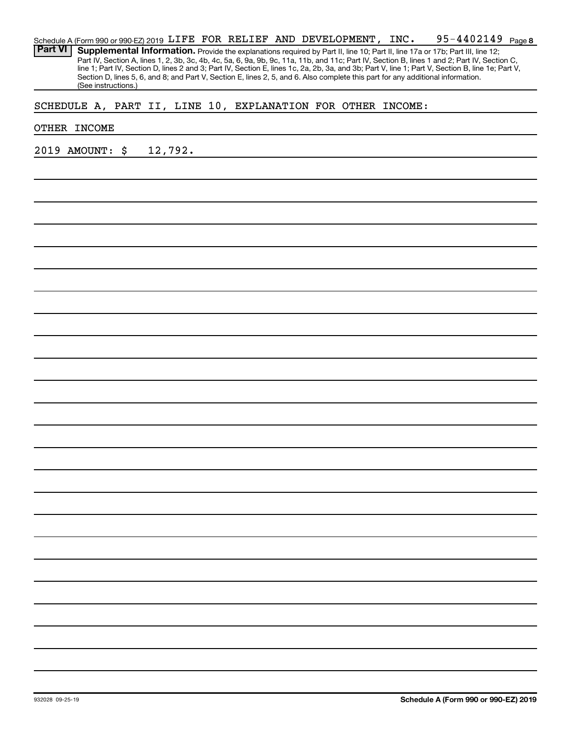|                | Schedule A (Form 990 or 990-EZ) 2019 LIFE FOR RELIEF AND DEVELOPMENT, INC.                                                                       |  |  |  | 95-4402149 <sub>Page</sub> 8 |  |
|----------------|--------------------------------------------------------------------------------------------------------------------------------------------------|--|--|--|------------------------------|--|
| <b>Part VI</b> | Supplemental Information. Provide the explanations required by Part II, line 10; Part II, line 17a or 17b; Part III, line 12;                    |  |  |  |                              |  |
|                | Part IV, Section A, lines 1, 2, 3b, 3c, 4b, 4c, 5a, 6, 9a, 9b, 9c, 11a, 11b, and 11c; Part IV, Section B, lines 1 and 2; Part IV, Section C,     |  |  |  |                              |  |
|                | line 1; Part IV, Section D, lines 2 and 3; Part IV, Section E, lines 1c, 2a, 2b, 3a, and 3b; Part V, line 1; Part V, Section B, line 1e; Part V, |  |  |  |                              |  |
|                | Section D, lines 5, 6, and 8; and Part V, Section E, lines 2, 5, and 6. Also complete this part for any additional information.                  |  |  |  |                              |  |
|                | (See instructions.)                                                                                                                              |  |  |  |                              |  |

# SCHEDULE A, PART II, LINE 10, EXPLANATION FOR OTHER INCOME:

## OTHER INCOME

2019 AMOUNT: \$ 12,792.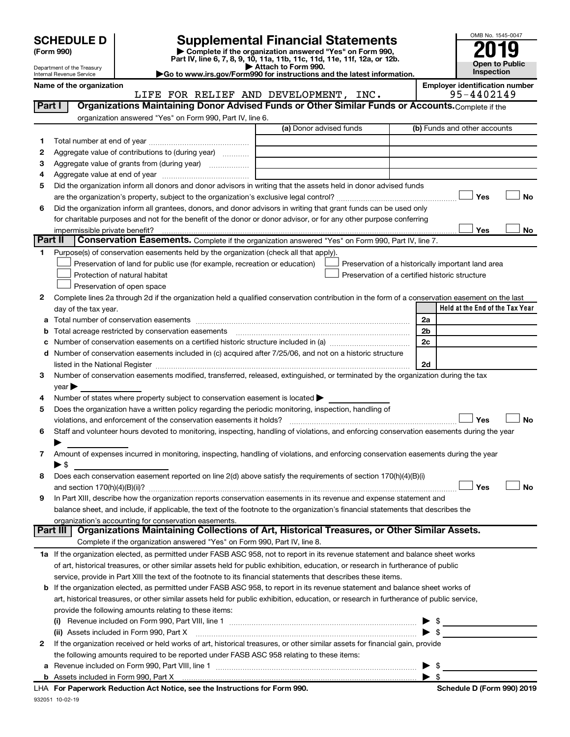| <b>SCHEDULE D</b> |  |
|-------------------|--|
|-------------------|--|

| (Form 990) |  |
|------------|--|
|------------|--|

932051 10-02-19

# **SCHEDULE D Supplemental Financial Statements**<br> **Form 990 2019**<br> **Part IV** line 6.7.8.9.10, 11a, 11b, 11d, 11d, 11d, 11d, 11d, 12a, 0r, 12b

**(Form 990) | Complete if the organization answered "Yes" on Form 990, Part IV, line 6, 7, 8, 9, 10, 11a, 11b, 11c, 11d, 11e, 11f, 12a, or 12b.**

**| Attach to Form 990. |Go to www.irs.gov/Form990 for instructions and the latest information.**



Department of the Treasury Internal Revenue Service

Name of the organization<br>**Employer identification number**<br>**Employer identification number**<br>**EMPLOPMENT**, INC.<br>95-4402149 LIFE FOR RELIEF AND DEVELOPMENT, INC.

| Part I  | Organizations Maintaining Donor Advised Funds or Other Similar Funds or Accounts. Complete if the                                              |                         |                                                    |
|---------|------------------------------------------------------------------------------------------------------------------------------------------------|-------------------------|----------------------------------------------------|
|         | organization answered "Yes" on Form 990, Part IV, line 6.                                                                                      | (a) Donor advised funds | (b) Funds and other accounts                       |
| 1.      |                                                                                                                                                |                         |                                                    |
| 2       | Aggregate value of contributions to (during year)                                                                                              |                         |                                                    |
| з       | Aggregate value of grants from (during year)                                                                                                   |                         |                                                    |
| 4       |                                                                                                                                                |                         |                                                    |
| 5       | Did the organization inform all donors and donor advisors in writing that the assets held in donor advised funds                               |                         |                                                    |
|         |                                                                                                                                                |                         | Yes<br>No                                          |
| 6       | Did the organization inform all grantees, donors, and donor advisors in writing that grant funds can be used only                              |                         |                                                    |
|         | for charitable purposes and not for the benefit of the donor or donor advisor, or for any other purpose conferring                             |                         |                                                    |
|         |                                                                                                                                                |                         | Yes<br>No                                          |
| Part II | Conservation Easements. Complete if the organization answered "Yes" on Form 990, Part IV, line 7.                                              |                         |                                                    |
| 1       | Purpose(s) of conservation easements held by the organization (check all that apply).                                                          |                         |                                                    |
|         | Preservation of land for public use (for example, recreation or education)                                                                     |                         | Preservation of a historically important land area |
|         | Protection of natural habitat                                                                                                                  |                         | Preservation of a certified historic structure     |
|         | Preservation of open space                                                                                                                     |                         |                                                    |
| 2       | Complete lines 2a through 2d if the organization held a qualified conservation contribution in the form of a conservation easement on the last |                         |                                                    |
|         | day of the tax year.                                                                                                                           |                         | Held at the End of the Tax Year                    |
| а       |                                                                                                                                                |                         | 2a                                                 |
|         |                                                                                                                                                |                         | 2b                                                 |
|         |                                                                                                                                                |                         | 2c                                                 |
| d       | Number of conservation easements included in (c) acquired after 7/25/06, and not on a historic structure                                       |                         |                                                    |
|         | listed in the National Register [111] Martin March 1999 (120) And The March 1999 (120) March 1999 (120) March                                  |                         | 2d                                                 |
| 3       | Number of conservation easements modified, transferred, released, extinguished, or terminated by the organization during the tax               |                         |                                                    |
|         | $year \blacktriangleright$                                                                                                                     |                         |                                                    |
| 4       | Number of states where property subject to conservation easement is located >                                                                  |                         |                                                    |
| 5       | Does the organization have a written policy regarding the periodic monitoring, inspection, handling of                                         |                         |                                                    |
|         | violations, and enforcement of the conservation easements it holds?                                                                            |                         | Yes<br><b>No</b>                                   |
| 6       | Staff and volunteer hours devoted to monitoring, inspecting, handling of violations, and enforcing conservation easements during the year      |                         |                                                    |
|         |                                                                                                                                                |                         |                                                    |
| 7       | Amount of expenses incurred in monitoring, inspecting, handling of violations, and enforcing conservation easements during the year            |                         |                                                    |
|         | $\blacktriangleright$ \$                                                                                                                       |                         |                                                    |
| 8       | Does each conservation easement reported on line 2(d) above satisfy the requirements of section 170(h)(4)(B)(i)                                |                         |                                                    |
|         |                                                                                                                                                |                         | Yes<br><b>No</b>                                   |
| 9       | In Part XIII, describe how the organization reports conservation easements in its revenue and expense statement and                            |                         |                                                    |
|         | balance sheet, and include, if applicable, the text of the footnote to the organization's financial statements that describes the              |                         |                                                    |
|         | organization's accounting for conservation easements.                                                                                          |                         |                                                    |
|         | Organizations Maintaining Collections of Art, Historical Treasures, or Other Similar Assets.<br>Part III                                       |                         |                                                    |
|         | Complete if the organization answered "Yes" on Form 990, Part IV, line 8.                                                                      |                         |                                                    |
|         | 1a If the organization elected, as permitted under FASB ASC 958, not to report in its revenue statement and balance sheet works                |                         |                                                    |
|         | of art, historical treasures, or other similar assets held for public exhibition, education, or research in furtherance of public              |                         |                                                    |
|         | service, provide in Part XIII the text of the footnote to its financial statements that describes these items.                                 |                         |                                                    |
|         | <b>b</b> If the organization elected, as permitted under FASB ASC 958, to report in its revenue statement and balance sheet works of           |                         |                                                    |
|         | art, historical treasures, or other similar assets held for public exhibition, education, or research in furtherance of public service,        |                         |                                                    |
|         | provide the following amounts relating to these items:                                                                                         |                         |                                                    |
|         |                                                                                                                                                |                         | \$                                                 |
|         | (ii) Assets included in Form 990, Part X                                                                                                       |                         | $\blacktriangleright$ \$                           |
| 2       | If the organization received or held works of art, historical treasures, or other similar assets for financial gain, provide                   |                         |                                                    |
|         | the following amounts required to be reported under FASB ASC 958 relating to these items:                                                      |                         |                                                    |
| а       |                                                                                                                                                |                         | \$                                                 |
|         | b Assets included in Form 990, Part X [111] [2010] [2010] [2010] [2010] [2010] [2010] [2010] [2010] [2010] [20                                 |                         | $\blacktriangleright$ s                            |
|         | LHA For Paperwork Reduction Act Notice, see the Instructions for Form 990.                                                                     |                         | Schedule D (Form 990) 2019                         |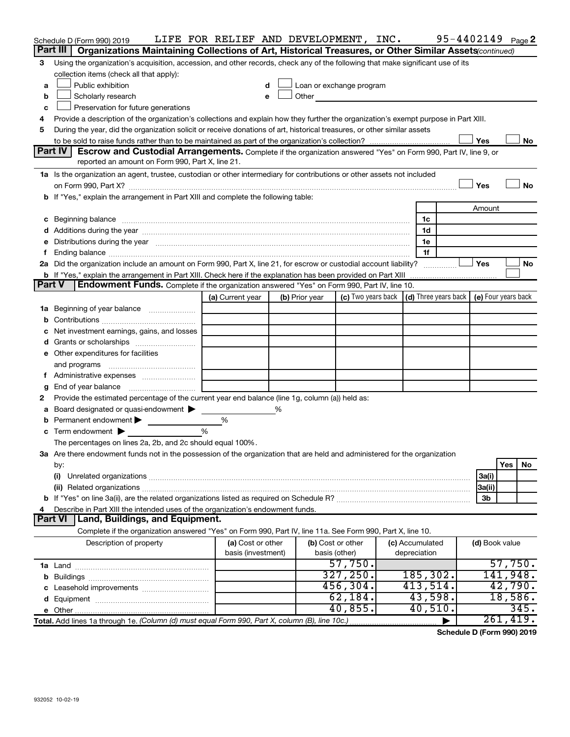|        | Schedule D (Form 990) 2019                                                                                                                                                                                                     | LIFE FOR RELIEF AND DEVELOPMENT, INC. |   |                |                                                                                                                                                                                                                               |                                                          | 95-4402149 Page 2 |           |      |
|--------|--------------------------------------------------------------------------------------------------------------------------------------------------------------------------------------------------------------------------------|---------------------------------------|---|----------------|-------------------------------------------------------------------------------------------------------------------------------------------------------------------------------------------------------------------------------|----------------------------------------------------------|-------------------|-----------|------|
|        | Part III<br>Organizations Maintaining Collections of Art, Historical Treasures, or Other Similar Assets(continued)                                                                                                             |                                       |   |                |                                                                                                                                                                                                                               |                                                          |                   |           |      |
| 3      | Using the organization's acquisition, accession, and other records, check any of the following that make significant use of its                                                                                                |                                       |   |                |                                                                                                                                                                                                                               |                                                          |                   |           |      |
|        | collection items (check all that apply):                                                                                                                                                                                       |                                       |   |                |                                                                                                                                                                                                                               |                                                          |                   |           |      |
| a      | Public exhibition                                                                                                                                                                                                              |                                       |   |                | Loan or exchange program                                                                                                                                                                                                      |                                                          |                   |           |      |
| b      | Scholarly research                                                                                                                                                                                                             | e                                     |   |                | Other and the contract of the contract of the contract of the contract of the contract of the contract of the contract of the contract of the contract of the contract of the contract of the contract of the contract of the |                                                          |                   |           |      |
| c      | Preservation for future generations                                                                                                                                                                                            |                                       |   |                |                                                                                                                                                                                                                               |                                                          |                   |           |      |
| 4      | Provide a description of the organization's collections and explain how they further the organization's exempt purpose in Part XIII.                                                                                           |                                       |   |                |                                                                                                                                                                                                                               |                                                          |                   |           |      |
| 5      | During the year, did the organization solicit or receive donations of art, historical treasures, or other similar assets                                                                                                       |                                       |   |                |                                                                                                                                                                                                                               |                                                          |                   |           |      |
|        |                                                                                                                                                                                                                                |                                       |   |                |                                                                                                                                                                                                                               |                                                          | Yes               |           | No   |
|        | <b>Part IV</b><br>Escrow and Custodial Arrangements. Complete if the organization answered "Yes" on Form 990, Part IV, line 9, or<br>reported an amount on Form 990, Part X, line 21.                                          |                                       |   |                |                                                                                                                                                                                                                               |                                                          |                   |           |      |
|        |                                                                                                                                                                                                                                |                                       |   |                |                                                                                                                                                                                                                               |                                                          |                   |           |      |
|        | 1a Is the organization an agent, trustee, custodian or other intermediary for contributions or other assets not included                                                                                                       |                                       |   |                |                                                                                                                                                                                                                               |                                                          | Yes               |           | No   |
|        |                                                                                                                                                                                                                                |                                       |   |                |                                                                                                                                                                                                                               |                                                          |                   |           |      |
|        | b If "Yes," explain the arrangement in Part XIII and complete the following table:                                                                                                                                             |                                       |   |                |                                                                                                                                                                                                                               |                                                          | Amount            |           |      |
|        |                                                                                                                                                                                                                                |                                       |   |                |                                                                                                                                                                                                                               | 1c                                                       |                   |           |      |
|        | c Beginning balance measurements and the contract of the contract of the contract of the contract of the contract of the contract of the contract of the contract of the contract of the contract of the contract of the contr |                                       |   |                |                                                                                                                                                                                                                               | 1d                                                       |                   |           |      |
|        | e Distributions during the year manufactured and continuum control of the control of the control of the state of the control of the control of the control of the control of the control of the control of the control of the  |                                       |   |                |                                                                                                                                                                                                                               | 1e                                                       |                   |           |      |
|        | Ending balance measurements are all the contract of the contract of the contract of the contract of the contract of the contract of the contract of the contract of the contract of the contract of the contract of the contra |                                       |   |                |                                                                                                                                                                                                                               | 1f                                                       |                   |           |      |
|        | 2a Did the organization include an amount on Form 990, Part X, line 21, for escrow or custodial account liability?                                                                                                             |                                       |   |                |                                                                                                                                                                                                                               | .                                                        | Yes               |           | No   |
|        |                                                                                                                                                                                                                                |                                       |   |                |                                                                                                                                                                                                                               |                                                          |                   |           |      |
| Part V | Endowment Funds. Complete if the organization answered "Yes" on Form 990, Part IV, line 10.                                                                                                                                    |                                       |   |                |                                                                                                                                                                                                                               |                                                          |                   |           |      |
|        |                                                                                                                                                                                                                                | (a) Current year                      |   | (b) Prior year | (c) Two years back                                                                                                                                                                                                            | $\vert$ (d) Three years back $\vert$ (e) Four years back |                   |           |      |
| 1a     | Beginning of year balance                                                                                                                                                                                                      |                                       |   |                |                                                                                                                                                                                                                               |                                                          |                   |           |      |
|        |                                                                                                                                                                                                                                |                                       |   |                |                                                                                                                                                                                                                               |                                                          |                   |           |      |
|        | Net investment earnings, gains, and losses                                                                                                                                                                                     |                                       |   |                |                                                                                                                                                                                                                               |                                                          |                   |           |      |
|        |                                                                                                                                                                                                                                |                                       |   |                |                                                                                                                                                                                                                               |                                                          |                   |           |      |
|        | e Other expenditures for facilities                                                                                                                                                                                            |                                       |   |                |                                                                                                                                                                                                                               |                                                          |                   |           |      |
|        |                                                                                                                                                                                                                                |                                       |   |                |                                                                                                                                                                                                                               |                                                          |                   |           |      |
|        |                                                                                                                                                                                                                                |                                       |   |                |                                                                                                                                                                                                                               |                                                          |                   |           |      |
| g      | End of year balance                                                                                                                                                                                                            |                                       |   |                |                                                                                                                                                                                                                               |                                                          |                   |           |      |
| 2      | Provide the estimated percentage of the current year end balance (line 1g, column (a)) held as:                                                                                                                                |                                       |   |                |                                                                                                                                                                                                                               |                                                          |                   |           |      |
|        | Board designated or quasi-endowment >                                                                                                                                                                                          |                                       | % |                |                                                                                                                                                                                                                               |                                                          |                   |           |      |
|        | Permanent endowment                                                                                                                                                                                                            | %                                     |   |                |                                                                                                                                                                                                                               |                                                          |                   |           |      |
| c      | Term endowment $\blacktriangleright$                                                                                                                                                                                           | %                                     |   |                |                                                                                                                                                                                                                               |                                                          |                   |           |      |
|        | The percentages on lines 2a, 2b, and 2c should equal 100%.                                                                                                                                                                     |                                       |   |                |                                                                                                                                                                                                                               |                                                          |                   |           |      |
|        | 3a Are there endowment funds not in the possession of the organization that are held and administered for the organization                                                                                                     |                                       |   |                |                                                                                                                                                                                                                               |                                                          |                   |           |      |
|        | by:                                                                                                                                                                                                                            |                                       |   |                |                                                                                                                                                                                                                               |                                                          |                   | Yes       | No   |
|        | (i)                                                                                                                                                                                                                            |                                       |   |                |                                                                                                                                                                                                                               |                                                          | 3a(i)             |           |      |
|        |                                                                                                                                                                                                                                |                                       |   |                |                                                                                                                                                                                                                               |                                                          | 3a(ii)            |           |      |
|        |                                                                                                                                                                                                                                |                                       |   |                |                                                                                                                                                                                                                               |                                                          | 3b                |           |      |
| 4      | Describe in Part XIII the intended uses of the organization's endowment funds.<br>Land, Buildings, and Equipment.<br>Part VI                                                                                                   |                                       |   |                |                                                                                                                                                                                                                               |                                                          |                   |           |      |
|        | Complete if the organization answered "Yes" on Form 990, Part IV, line 11a. See Form 990, Part X, line 10.                                                                                                                     |                                       |   |                |                                                                                                                                                                                                                               |                                                          |                   |           |      |
|        | Description of property                                                                                                                                                                                                        | (a) Cost or other                     |   |                | (b) Cost or other                                                                                                                                                                                                             | (c) Accumulated                                          | (d) Book value    |           |      |
|        |                                                                                                                                                                                                                                | basis (investment)                    |   |                | basis (other)                                                                                                                                                                                                                 | depreciation                                             |                   |           |      |
|        |                                                                                                                                                                                                                                |                                       |   |                | 57,750.                                                                                                                                                                                                                       |                                                          |                   | 57,750.   |      |
|        |                                                                                                                                                                                                                                |                                       |   |                | 327, 250.                                                                                                                                                                                                                     | 185, 302.                                                |                   | 141,948.  |      |
|        |                                                                                                                                                                                                                                |                                       |   |                | 456, 304.                                                                                                                                                                                                                     | 413,514.                                                 |                   | 42,790.   |      |
|        |                                                                                                                                                                                                                                |                                       |   |                | 62, 184.                                                                                                                                                                                                                      | 43,598.                                                  |                   | 18,586.   |      |
|        |                                                                                                                                                                                                                                |                                       |   |                | 40,855.                                                                                                                                                                                                                       | 40,510.                                                  |                   |           | 345. |
|        | Total. Add lines 1a through 1e. (Column (d) must equal Form 990, Part X, column (B), line 10c.)                                                                                                                                |                                       |   |                |                                                                                                                                                                                                                               |                                                          |                   | 261, 419. |      |
|        |                                                                                                                                                                                                                                |                                       |   |                |                                                                                                                                                                                                                               |                                                          |                   |           |      |

**Schedule D (Form 990) 2019**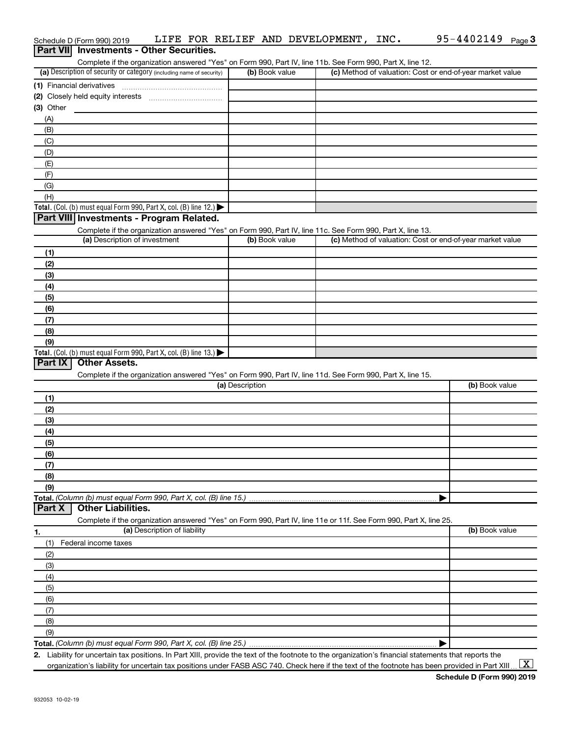|                | <b>Part VII</b> Investments - Other Securities.                                                                                                      |                 |                                                           |                |
|----------------|------------------------------------------------------------------------------------------------------------------------------------------------------|-----------------|-----------------------------------------------------------|----------------|
|                | Complete if the organization answered "Yes" on Form 990, Part IV, line 11b. See Form 990, Part X, line 12.                                           |                 |                                                           |                |
|                | (a) Description of security or category (including name of security)                                                                                 | (b) Book value  | (c) Method of valuation: Cost or end-of-year market value |                |
|                | (1) Financial derivatives                                                                                                                            |                 |                                                           |                |
|                |                                                                                                                                                      |                 |                                                           |                |
| (3) Other      |                                                                                                                                                      |                 |                                                           |                |
| (A)            |                                                                                                                                                      |                 |                                                           |                |
| (B)            |                                                                                                                                                      |                 |                                                           |                |
| (C)<br>(D)     |                                                                                                                                                      |                 |                                                           |                |
| (E)            |                                                                                                                                                      |                 |                                                           |                |
| (F)            |                                                                                                                                                      |                 |                                                           |                |
| (G)            |                                                                                                                                                      |                 |                                                           |                |
| (H)            |                                                                                                                                                      |                 |                                                           |                |
|                | Total. (Col. (b) must equal Form 990, Part X, col. (B) line 12.)                                                                                     |                 |                                                           |                |
|                | Part VIII Investments - Program Related.                                                                                                             |                 |                                                           |                |
|                | Complete if the organization answered "Yes" on Form 990, Part IV, line 11c. See Form 990, Part X, line 13.                                           |                 |                                                           |                |
|                | (a) Description of investment                                                                                                                        | (b) Book value  | (c) Method of valuation: Cost or end-of-year market value |                |
| (1)            |                                                                                                                                                      |                 |                                                           |                |
| (2)            |                                                                                                                                                      |                 |                                                           |                |
| (3)            |                                                                                                                                                      |                 |                                                           |                |
| (4)            |                                                                                                                                                      |                 |                                                           |                |
| (5)            |                                                                                                                                                      |                 |                                                           |                |
| (6)            |                                                                                                                                                      |                 |                                                           |                |
| (7)            |                                                                                                                                                      |                 |                                                           |                |
| (8)            |                                                                                                                                                      |                 |                                                           |                |
| (9)            |                                                                                                                                                      |                 |                                                           |                |
| <b>Part IX</b> | Total. (Col. (b) must equal Form 990, Part X, col. (B) line 13.) $\blacktriangleright$<br><b>Other Assets.</b>                                       |                 |                                                           |                |
|                |                                                                                                                                                      |                 |                                                           |                |
|                | Complete if the organization answered "Yes" on Form 990, Part IV, line 11d. See Form 990, Part X, line 15.                                           | (a) Description |                                                           | (b) Book value |
| (1)            |                                                                                                                                                      |                 |                                                           |                |
| (2)            |                                                                                                                                                      |                 |                                                           |                |
| (3)            |                                                                                                                                                      |                 |                                                           |                |
| (4)            |                                                                                                                                                      |                 |                                                           |                |
| (5)            |                                                                                                                                                      |                 |                                                           |                |
| (6)            |                                                                                                                                                      |                 |                                                           |                |
| (7)            |                                                                                                                                                      |                 |                                                           |                |
| (8)            |                                                                                                                                                      |                 |                                                           |                |
| (9)            |                                                                                                                                                      |                 |                                                           |                |
|                | Total. (Column (b) must equal Form 990, Part X, col. (B) line 15.)                                                                                   |                 |                                                           |                |
| <b>Part X</b>  | <b>Other Liabilities.</b>                                                                                                                            |                 |                                                           |                |
|                | Complete if the organization answered "Yes" on Form 990, Part IV, line 11e or 11f. See Form 990, Part X, line 25.                                    |                 |                                                           |                |
| 1.             | (a) Description of liability                                                                                                                         |                 |                                                           | (b) Book value |
| (1)            | Federal income taxes                                                                                                                                 |                 |                                                           |                |
| (2)            |                                                                                                                                                      |                 |                                                           |                |
| (3)            |                                                                                                                                                      |                 |                                                           |                |
| (4)            |                                                                                                                                                      |                 |                                                           |                |
| (5)            |                                                                                                                                                      |                 |                                                           |                |
| (6)            |                                                                                                                                                      |                 |                                                           |                |
| (7)            |                                                                                                                                                      |                 |                                                           |                |
| (8)<br>(9)     |                                                                                                                                                      |                 |                                                           |                |
|                |                                                                                                                                                      |                 |                                                           |                |
|                | 2. Liability for uncertain tax positions. In Part XIII, provide the text of the footnote to the organization's financial statements that reports the |                 |                                                           |                |

Schedule D (Form 990) 2019 LIFE FOR RELIEF AND DEVELOPMENT, INC. 95-4402149 <sub>Page</sub> 3

organization's liability for uncertain tax positions under FASB ASC 740. Check here if the text of the footnote has been provided in Part XIII ...  $\fbox{\bf X}$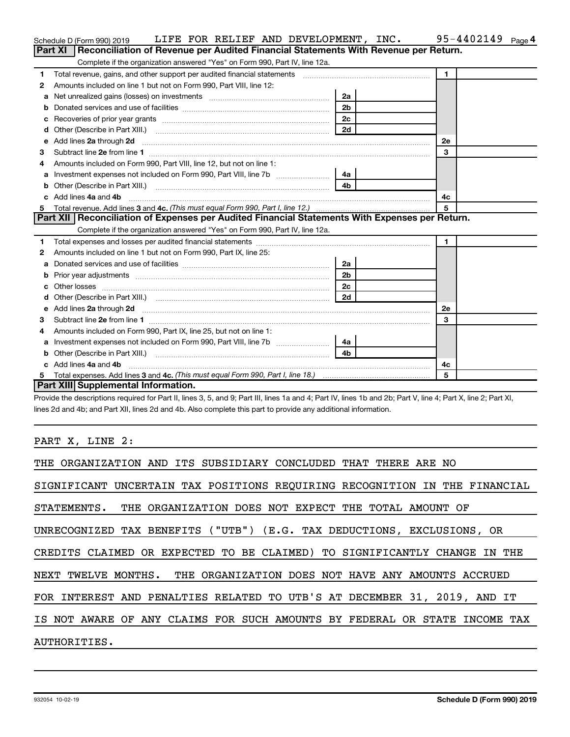|    | LIFE FOR RELIEF AND DEVELOPMENT, INC.<br>Schedule D (Form 990) 2019                                                                                                                                                            |                | $95 - 4402149$ Page 4 |
|----|--------------------------------------------------------------------------------------------------------------------------------------------------------------------------------------------------------------------------------|----------------|-----------------------|
|    | Reconciliation of Revenue per Audited Financial Statements With Revenue per Return.<br>Part XI                                                                                                                                 |                |                       |
|    | Complete if the organization answered "Yes" on Form 990, Part IV, line 12a.                                                                                                                                                    |                |                       |
| 1  | Total revenue, gains, and other support per audited financial statements [11] [11] Total revenue, gains, and other support per audited financial statements                                                                    |                | $\mathbf 1$           |
| 2  | Amounts included on line 1 but not on Form 990, Part VIII, line 12:                                                                                                                                                            |                |                       |
| a  | Net unrealized gains (losses) on investments [111] [12] matter was uncontracted and was alleged and was uncontrolled to the uncontrolled and was uncontrolled and was uncontrolled and was uncontrolled and was uncontrolled a | 2a             |                       |
|    |                                                                                                                                                                                                                                |                |                       |
| с  |                                                                                                                                                                                                                                | 2c             |                       |
| d  |                                                                                                                                                                                                                                | 2d             |                       |
| е  |                                                                                                                                                                                                                                |                | 2е                    |
| 3  |                                                                                                                                                                                                                                |                | 3                     |
| 4  | Amounts included on Form 990. Part VIII. line 12, but not on line 1:                                                                                                                                                           |                |                       |
| a  |                                                                                                                                                                                                                                | 4a             |                       |
| b  |                                                                                                                                                                                                                                | 4 <sub>b</sub> |                       |
| c. | Add lines 4a and 4b                                                                                                                                                                                                            |                | 4с                    |
| 5  |                                                                                                                                                                                                                                |                | 5                     |
|    | Part XII   Reconciliation of Expenses per Audited Financial Statements With Expenses per Return.                                                                                                                               |                |                       |
|    | Complete if the organization answered "Yes" on Form 990, Part IV, line 12a.                                                                                                                                                    |                |                       |
| 1  |                                                                                                                                                                                                                                |                | $\mathbf{1}$          |
| 2  | Amounts included on line 1 but not on Form 990, Part IX, line 25:                                                                                                                                                              |                |                       |
| a  |                                                                                                                                                                                                                                | 2a             |                       |
| b  |                                                                                                                                                                                                                                | 2 <sub>b</sub> |                       |
| с  |                                                                                                                                                                                                                                | 2 <sub>c</sub> |                       |
| d  |                                                                                                                                                                                                                                | 2d             |                       |
| е  | Add lines 2a through 2d <b>contained a contained a contained a contained a</b> contained a contained a contact the set                                                                                                         |                | <b>2e</b>             |
| 3  |                                                                                                                                                                                                                                |                | 3                     |
| 4  | Amounts included on Form 990, Part IX, line 25, but not on line 1:                                                                                                                                                             |                |                       |
| а  |                                                                                                                                                                                                                                | 4a             |                       |
| b  |                                                                                                                                                                                                                                | 4 <sub>b</sub> |                       |
|    | Add lines 4a and 4b                                                                                                                                                                                                            |                | 4с                    |
| 5  |                                                                                                                                                                                                                                |                | 5                     |
|    | Part XIII Supplemental Information.                                                                                                                                                                                            |                |                       |

Provide the descriptions required for Part II, lines 3, 5, and 9; Part III, lines 1a and 4; Part IV, lines 1b and 2b; Part V, line 4; Part X, line 2; Part XI, lines 2d and 4b; and Part XII, lines 2d and 4b. Also complete this part to provide any additional information.

PART X, LINE 2:

| THE ORGANIZATION AND ITS SUBSIDIARY CONCLUDED THAT THERE ARE NO            |
|----------------------------------------------------------------------------|
| SIGNIFICANT UNCERTAIN TAX POSITIONS REOUIRING RECOGNITION IN THE FINANCIAL |
| STATEMENTS. THE ORGANIZATION DOES NOT EXPECT THE TOTAL AMOUNT OF           |
| UNRECOGNIZED TAX BENEFITS ("UTB") (E.G. TAX DEDUCTIONS, EXCLUSIONS, OR     |
| CREDITS CLAIMED OR EXPECTED TO BE CLAIMED) TO SIGNIFICANTLY CHANGE IN THE  |
| NEXT TWELVE MONTHS. THE ORGANIZATION DOES NOT HAVE ANY AMOUNTS ACCRUED     |
| FOR INTEREST AND PENALTIES RELATED TO UTB'S AT DECEMBER 31, 2019, AND IT   |
| IS NOT AWARE OF ANY CLAIMS FOR SUCH AMOUNTS BY FEDERAL OR STATE INCOME TAX |
| AUTHORITIES.                                                               |
|                                                                            |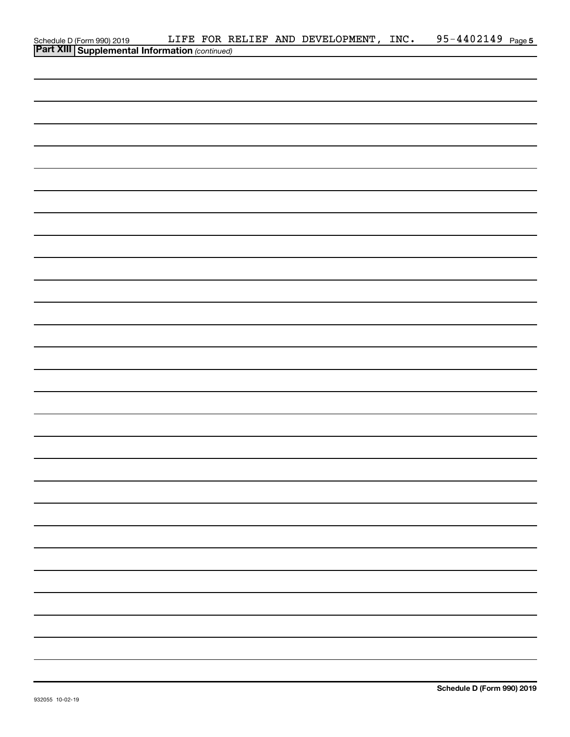|                                                                                         |  | LIFE FOR RELIEF AND DEVELOPMENT, INC. | 95-4402149 Page 5 |  |
|-----------------------------------------------------------------------------------------|--|---------------------------------------|-------------------|--|
| Schedule D (Form 990) 2019 LIFE FOR R<br>Part XIII Supplemental Information (continued) |  |                                       |                   |  |
|                                                                                         |  |                                       |                   |  |
|                                                                                         |  |                                       |                   |  |
|                                                                                         |  |                                       |                   |  |
|                                                                                         |  |                                       |                   |  |
|                                                                                         |  |                                       |                   |  |
|                                                                                         |  |                                       |                   |  |
|                                                                                         |  |                                       |                   |  |
|                                                                                         |  |                                       |                   |  |
|                                                                                         |  |                                       |                   |  |
|                                                                                         |  |                                       |                   |  |
|                                                                                         |  |                                       |                   |  |
|                                                                                         |  |                                       |                   |  |
|                                                                                         |  |                                       |                   |  |
|                                                                                         |  |                                       |                   |  |
|                                                                                         |  |                                       |                   |  |
|                                                                                         |  |                                       |                   |  |
|                                                                                         |  |                                       |                   |  |
|                                                                                         |  |                                       |                   |  |
|                                                                                         |  |                                       |                   |  |
|                                                                                         |  |                                       |                   |  |
|                                                                                         |  |                                       |                   |  |
|                                                                                         |  |                                       |                   |  |
|                                                                                         |  |                                       |                   |  |
|                                                                                         |  |                                       |                   |  |
|                                                                                         |  |                                       |                   |  |
|                                                                                         |  |                                       |                   |  |
|                                                                                         |  |                                       |                   |  |
|                                                                                         |  |                                       |                   |  |
|                                                                                         |  |                                       |                   |  |
|                                                                                         |  |                                       |                   |  |
|                                                                                         |  |                                       |                   |  |
|                                                                                         |  |                                       |                   |  |
|                                                                                         |  |                                       |                   |  |
|                                                                                         |  |                                       |                   |  |
|                                                                                         |  |                                       |                   |  |
|                                                                                         |  |                                       |                   |  |
|                                                                                         |  |                                       |                   |  |
|                                                                                         |  |                                       |                   |  |
|                                                                                         |  |                                       |                   |  |
|                                                                                         |  |                                       |                   |  |
|                                                                                         |  |                                       |                   |  |
|                                                                                         |  |                                       |                   |  |
|                                                                                         |  |                                       |                   |  |
|                                                                                         |  |                                       |                   |  |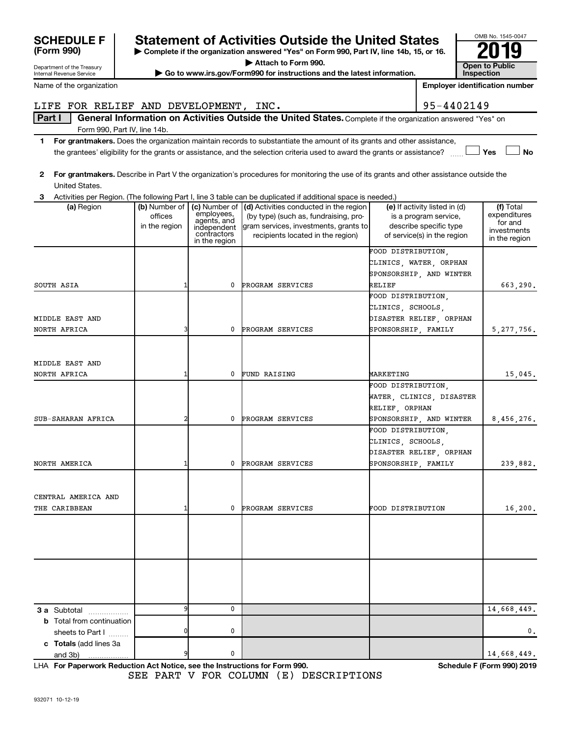# **F Statement of Activities Outside the United States**

**| Complete if the organization answered "Yes" on Form 990, Part IV, line 14b, 15, or 16. | Attach to Form 990.**

**| Go to www.irs.gov/Form990 for instructions and the latest information. Open to Public** 

**Inspection Employer identification number**

OMB No. 1545-0047

## LIFE FOR RELIEF AND DEVELOPMENT, INC.  $|95-4402149\rangle$

Part I | General Information on Activities Outside the United States. Complete if the organization answered "Yes" on Form 990, Part IV, line 14b.

- **1 For grantmakers.**  Does the organization maintain records to substantiate the amount of its grants and other assistance,  $\Box$  Yes  $\Box$  No the grantees' eligibility for the grants or assistance, and the selection criteria used to award the grants or assistance?  $\ldots$
- **2 For grantmakers.**  Describe in Part V the organization's procedures for monitoring the use of its grants and other assistance outside the United States.

| 3                                |                                           |                                          | Activities per Region. (The following Part I, line 3 table can be duplicated if additional space is needed.)                           |                                                                                  |                                                     |
|----------------------------------|-------------------------------------------|------------------------------------------|----------------------------------------------------------------------------------------------------------------------------------------|----------------------------------------------------------------------------------|-----------------------------------------------------|
| (a) Region                       | (b) Number of<br>offices<br>in the region | employees,<br>agents, and<br>independent | (c) Number of (d) Activities conducted in the region<br>(by type) (such as, fundraising, pro-<br>gram services, investments, grants to | (e) If activity listed in (d)<br>is a program service,<br>describe specific type | (f) Total<br>expenditures<br>for and<br>investments |
|                                  |                                           | contractors<br>in the region             | recipients located in the region)                                                                                                      | of service(s) in the region                                                      | in the region                                       |
|                                  |                                           |                                          |                                                                                                                                        | FOOD DISTRIBUTION,                                                               |                                                     |
|                                  |                                           |                                          |                                                                                                                                        | CLINICS, WATER, ORPHAN                                                           |                                                     |
|                                  |                                           |                                          |                                                                                                                                        | SPONSORSHIP, AND WINTER                                                          |                                                     |
| SOUTH ASIA                       | 1                                         | 0                                        | PROGRAM SERVICES                                                                                                                       | RELIEF                                                                           | 663,290.                                            |
|                                  |                                           |                                          |                                                                                                                                        | FOOD DISTRIBUTION,                                                               |                                                     |
|                                  |                                           |                                          |                                                                                                                                        | CLINICS, SCHOOLS,                                                                |                                                     |
| MIDDLE EAST AND                  |                                           |                                          |                                                                                                                                        | DISASTER RELIEF, ORPHAN                                                          |                                                     |
| NORTH AFRICA                     | 3                                         | 0                                        | PROGRAM SERVICES                                                                                                                       | SPONSORSHIP, FAMILY                                                              | 5, 277, 756.                                        |
|                                  |                                           |                                          |                                                                                                                                        |                                                                                  |                                                     |
| MIDDLE EAST AND                  |                                           |                                          |                                                                                                                                        |                                                                                  |                                                     |
| NORTH AFRICA                     | 1                                         | 0                                        | <b>FUND RAISING</b>                                                                                                                    | MARKETING                                                                        | 15,045.                                             |
|                                  |                                           |                                          |                                                                                                                                        | FOOD DISTRIBUTION,                                                               |                                                     |
|                                  |                                           |                                          |                                                                                                                                        | WATER, CLINICS, DISASTER                                                         |                                                     |
|                                  |                                           |                                          |                                                                                                                                        | RELIEF, ORPHAN                                                                   |                                                     |
| SUB-SAHARAN AFRICA               | $\overline{a}$                            | 0                                        | PROGRAM SERVICES                                                                                                                       | SPONSORSHIP, AND WINTER                                                          | 8,456,276.                                          |
|                                  |                                           |                                          |                                                                                                                                        | FOOD DISTRIBUTION,                                                               |                                                     |
|                                  |                                           |                                          |                                                                                                                                        | CLINICS, SCHOOLS,                                                                |                                                     |
|                                  |                                           |                                          |                                                                                                                                        | DISASTER RELIEF, ORPHAN                                                          |                                                     |
| NORTH AMERICA                    | 1                                         | 0                                        | PROGRAM SERVICES                                                                                                                       | SPONSORSHIP, FAMILY                                                              | 239,882.                                            |
|                                  |                                           |                                          |                                                                                                                                        |                                                                                  |                                                     |
| CENTRAL AMERICA AND              |                                           |                                          |                                                                                                                                        |                                                                                  |                                                     |
| THE CARIBBEAN                    | 1                                         | 0                                        | PROGRAM SERVICES                                                                                                                       | FOOD DISTRIBUTION                                                                | 16,200.                                             |
|                                  |                                           |                                          |                                                                                                                                        |                                                                                  |                                                     |
|                                  |                                           |                                          |                                                                                                                                        |                                                                                  |                                                     |
|                                  |                                           |                                          |                                                                                                                                        |                                                                                  |                                                     |
|                                  |                                           |                                          |                                                                                                                                        |                                                                                  |                                                     |
|                                  |                                           |                                          |                                                                                                                                        |                                                                                  |                                                     |
|                                  |                                           |                                          |                                                                                                                                        |                                                                                  |                                                     |
| 3 a Subtotal                     | 9                                         | 0                                        |                                                                                                                                        |                                                                                  | 14,668,449.                                         |
| <b>b</b> Total from continuation |                                           |                                          |                                                                                                                                        |                                                                                  |                                                     |
| sheets to Part I                 | $\mathbf 0$                               | $\mathbf 0$                              |                                                                                                                                        |                                                                                  | 0.                                                  |
| c Totals (add lines 3a           |                                           |                                          |                                                                                                                                        |                                                                                  |                                                     |
| and 3b)<br>.                     | 9                                         | 0                                        |                                                                                                                                        |                                                                                  | 14,668,449.                                         |

**For Paperwork Reduction Act Notice, see the Instructions for Form 990. Schedule F (Form 990) 2019** LHA SEE PART V FOR COLUMN (E) DESCRIPTIONS

| <b>SCHEDULE</b> |  |
|-----------------|--|
| (Form 990)      |  |

Department of the Treasury Internal Revenue Service

Name of the organization

| ELOPMENT. INC. |  |  |
|----------------|--|--|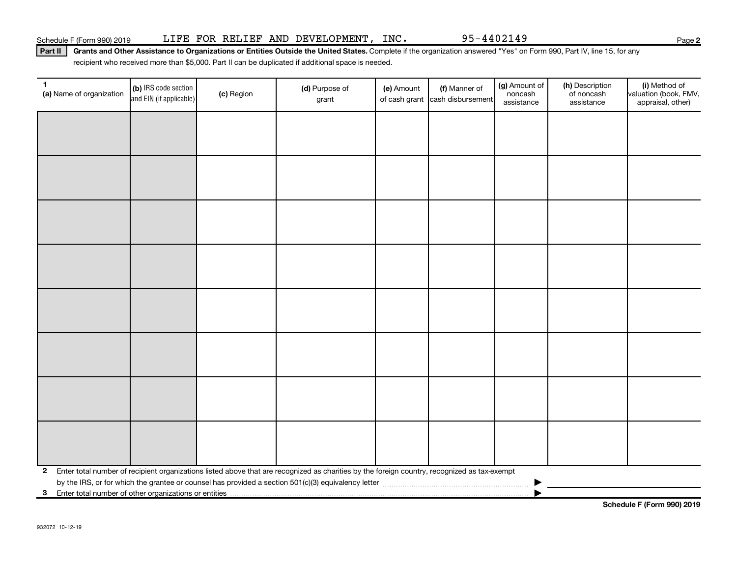Part II | Grants and Other Assistance to Organizations or Entities Outside the United States. Complete if the organization answered "Yes" on Form 990, Part IV, line 15, for any recipient who received more than \$5,000. Part II can be duplicated if additional space is needed.

| $\mathbf{1}$<br>(a) Name of organization | (b) IRS code section<br>and EIN (if applicable)         | (c) Region | (d) Purpose of<br>grant                                                                                                                      | (e) Amount | (f) Manner of<br>of cash grant cash disbursement | (g) Amount of<br>noncash<br>assistance | (h) Description<br>of noncash<br>assistance | (i) Method of<br>valuation (book, FMV,<br>appraisal, other) |
|------------------------------------------|---------------------------------------------------------|------------|----------------------------------------------------------------------------------------------------------------------------------------------|------------|--------------------------------------------------|----------------------------------------|---------------------------------------------|-------------------------------------------------------------|
|                                          |                                                         |            |                                                                                                                                              |            |                                                  |                                        |                                             |                                                             |
|                                          |                                                         |            |                                                                                                                                              |            |                                                  |                                        |                                             |                                                             |
|                                          |                                                         |            |                                                                                                                                              |            |                                                  |                                        |                                             |                                                             |
|                                          |                                                         |            |                                                                                                                                              |            |                                                  |                                        |                                             |                                                             |
|                                          |                                                         |            |                                                                                                                                              |            |                                                  |                                        |                                             |                                                             |
|                                          |                                                         |            |                                                                                                                                              |            |                                                  |                                        |                                             |                                                             |
|                                          |                                                         |            |                                                                                                                                              |            |                                                  |                                        |                                             |                                                             |
|                                          |                                                         |            |                                                                                                                                              |            |                                                  |                                        |                                             |                                                             |
|                                          |                                                         |            |                                                                                                                                              |            |                                                  |                                        |                                             |                                                             |
|                                          |                                                         |            |                                                                                                                                              |            |                                                  |                                        |                                             |                                                             |
|                                          |                                                         |            |                                                                                                                                              |            |                                                  |                                        |                                             |                                                             |
|                                          |                                                         |            |                                                                                                                                              |            |                                                  |                                        |                                             |                                                             |
|                                          |                                                         |            |                                                                                                                                              |            |                                                  |                                        |                                             |                                                             |
|                                          |                                                         |            |                                                                                                                                              |            |                                                  |                                        |                                             |                                                             |
|                                          |                                                         |            |                                                                                                                                              |            |                                                  |                                        |                                             |                                                             |
|                                          |                                                         |            |                                                                                                                                              |            |                                                  |                                        |                                             |                                                             |
| $\mathbf{2}$                             |                                                         |            | Enter total number of recipient organizations listed above that are recognized as charities by the foreign country, recognized as tax-exempt |            |                                                  |                                        |                                             |                                                             |
|                                          |                                                         |            |                                                                                                                                              |            |                                                  |                                        |                                             |                                                             |
|                                          | 3 Enter total number of other organizations or entities |            |                                                                                                                                              |            |                                                  |                                        |                                             |                                                             |

**Schedule F (Form 990) 2019**

**2**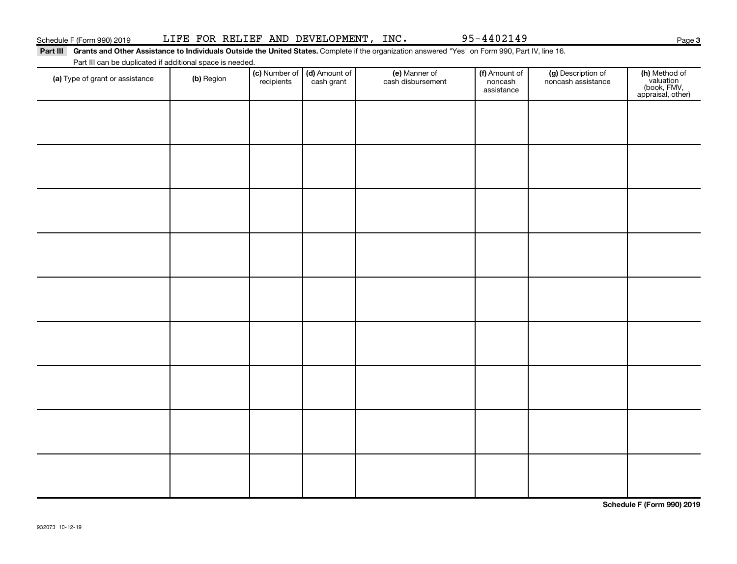Part III Grants and Other Assistance to Individuals Outside the United States. Complete if the organization answered "Yes" on Form 990, Part IV, line 16. Part III can be duplicated if additional space is needed.

| T are in carried depileated in additional space is riceded.<br>(a) Type of grant or assistance | (b) Region | (c) Number of (d) Amount of<br>recipients cash grant | (e) Manner of<br>cash disbursement | (f) Amount of<br>noncash<br>assistance | (g) Description of<br>noncash assistance | (h) Method of<br>valuation<br>(book, FMV,<br>appraisal, other) |
|------------------------------------------------------------------------------------------------|------------|------------------------------------------------------|------------------------------------|----------------------------------------|------------------------------------------|----------------------------------------------------------------|
|                                                                                                |            |                                                      |                                    |                                        |                                          |                                                                |
|                                                                                                |            |                                                      |                                    |                                        |                                          |                                                                |
|                                                                                                |            |                                                      |                                    |                                        |                                          |                                                                |
|                                                                                                |            |                                                      |                                    |                                        |                                          |                                                                |
|                                                                                                |            |                                                      |                                    |                                        |                                          |                                                                |
|                                                                                                |            |                                                      |                                    |                                        |                                          |                                                                |
|                                                                                                |            |                                                      |                                    |                                        |                                          |                                                                |
|                                                                                                |            |                                                      |                                    |                                        |                                          |                                                                |
|                                                                                                |            |                                                      |                                    |                                        |                                          |                                                                |
|                                                                                                |            |                                                      |                                    |                                        |                                          |                                                                |
|                                                                                                |            |                                                      |                                    |                                        |                                          |                                                                |

**Schedule F (Form 990) 2019**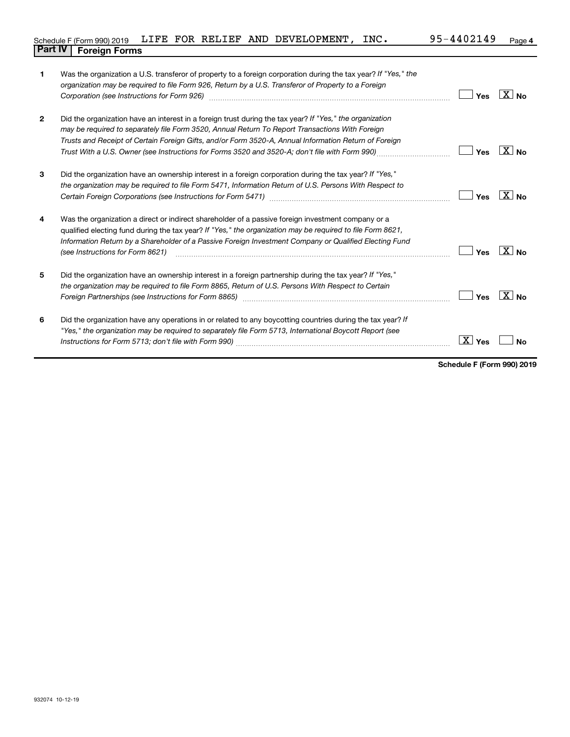|                                |  |  | Schedule F (Form 990) 2019 LIFE FOR RELIEF AND DEVELOPMENT, $INC.$ | 95-4402149 | Page 4 |
|--------------------------------|--|--|--------------------------------------------------------------------|------------|--------|
| <b>Part IV   Foreign Forms</b> |  |  |                                                                    |            |        |

| 1            | Was the organization a U.S. transferor of property to a foreign corporation during the tax year? If "Yes," the<br>organization may be required to file Form 926, Return by a U.S. Transferor of Property to a Foreign<br>Corporation (see Instructions for Form 926) [11] Corporation (See Instruction of the Instruction of Toronto)                                                                                                          | Yes                    | $\boxed{\text{X}}$ No |
|--------------|------------------------------------------------------------------------------------------------------------------------------------------------------------------------------------------------------------------------------------------------------------------------------------------------------------------------------------------------------------------------------------------------------------------------------------------------|------------------------|-----------------------|
| $\mathbf{2}$ | Did the organization have an interest in a foreign trust during the tax year? If "Yes," the organization<br>may be required to separately file Form 3520, Annual Return To Report Transactions With Foreign<br>Trusts and Receipt of Certain Foreign Gifts, and/or Form 3520-A, Annual Information Return of Foreign<br>Trust With a U.S. Owner (see Instructions for Forms 3520 and 3520-A, don't file with Form 990) <i>managery compart</i> | Yes                    | $X_{\text{No}}$       |
| 3            | Did the organization have an ownership interest in a foreign corporation during the tax year? If "Yes,"<br>the organization may be required to file Form 5471, Information Return of U.S. Persons With Respect to                                                                                                                                                                                                                              | Yes                    | $X_{\text{No}}$       |
| 4            | Was the organization a direct or indirect shareholder of a passive foreign investment company or a<br>qualified electing fund during the tax year? If "Yes," the organization may be required to file Form 8621,<br>Information Return by a Shareholder of a Passive Foreign Investment Company or Qualified Electing Fund<br>(see Instructions for Form 8621)                                                                                 | Yes                    | $\boxed{\text{X}}$ No |
| 5            | Did the organization have an ownership interest in a foreign partnership during the tax year? If "Yes,"<br>the organization may be required to file Form 8865, Return of U.S. Persons With Respect to Certain                                                                                                                                                                                                                                  | Yes                    | $\boxed{\text{X}}$ No |
| 6            | Did the organization have any operations in or related to any boycotting countries during the tax year? If<br>"Yes," the organization may be required to separately file Form 5713, International Boycott Report (see                                                                                                                                                                                                                          | $\boxed{\text{X}}$ Yes | No                    |

**Schedule F (Form 990) 2019**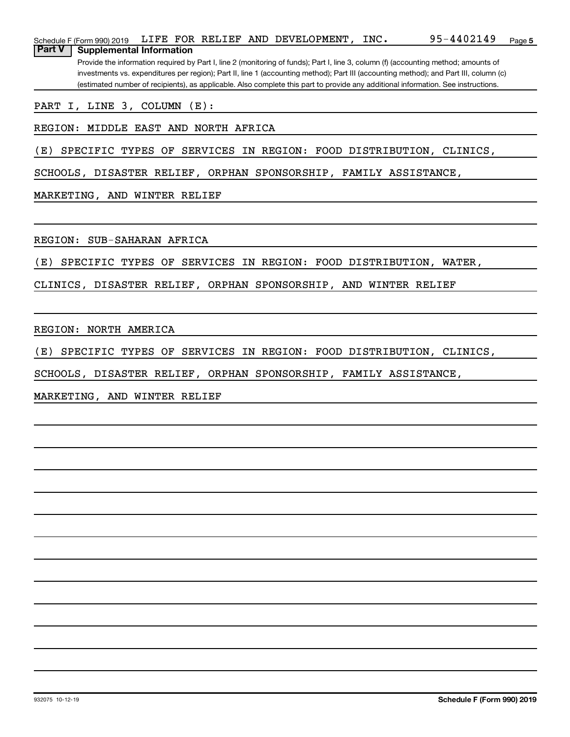| Schedule F (Form 990) 2019                       |  | LIFE FOR RELIEF AND DEVELOPMENT, | INC. | $95 - 4402149$                                                                                                                        | Page 5 |
|--------------------------------------------------|--|----------------------------------|------|---------------------------------------------------------------------------------------------------------------------------------------|--------|
| <b>Part V</b><br><b>Supplemental Information</b> |  |                                  |      |                                                                                                                                       |        |
|                                                  |  |                                  |      | Provide the information required by Part I, line 2 (monitoring of funds); Part I, line 3, column (f) (accounting method; amounts of   |        |
|                                                  |  |                                  |      | investments vs. expenditures per region); Part II, line 1 (accounting method); Part III (accounting method); and Part III, column (c) |        |
|                                                  |  |                                  |      | (estimated number of recipients), as applicable. Also complete this part to provide any additional information. See instructions.     |        |
| PART I, LINE 3, COLUMN (E):                      |  |                                  |      |                                                                                                                                       |        |
| REGION: MIDDLE EAST AND NORTH AFRICA             |  |                                  |      |                                                                                                                                       |        |

(E) SPECIFIC TYPES OF SERVICES IN REGION: FOOD DISTRIBUTION, CLINICS,

SCHOOLS, DISASTER RELIEF, ORPHAN SPONSORSHIP, FAMILY ASSISTANCE,

MARKETING, AND WINTER RELIEF

REGION: SUB-SAHARAN AFRICA

(E) SPECIFIC TYPES OF SERVICES IN REGION: FOOD DISTRIBUTION, WATER,

CLINICS, DISASTER RELIEF, ORPHAN SPONSORSHIP, AND WINTER RELIEF

REGION: NORTH AMERICA

(E) SPECIFIC TYPES OF SERVICES IN REGION: FOOD DISTRIBUTION, CLINICS,

SCHOOLS, DISASTER RELIEF, ORPHAN SPONSORSHIP, FAMILY ASSISTANCE,

MARKETING, AND WINTER RELIEF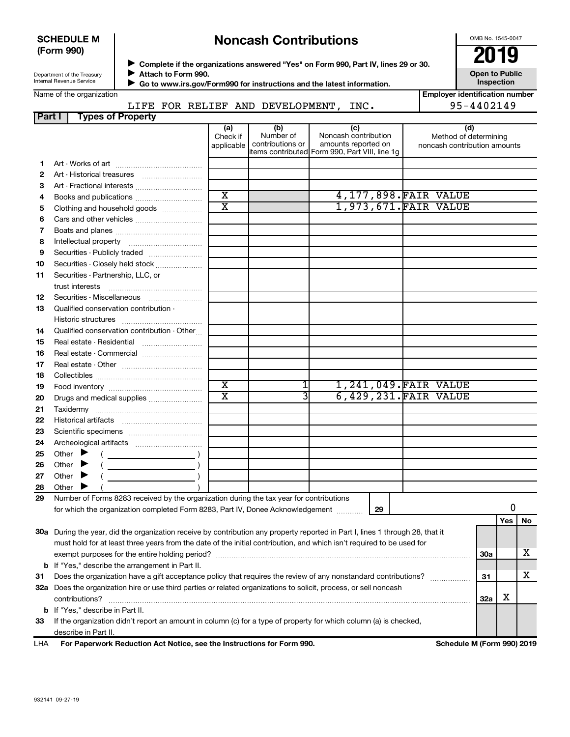## **SCHEDULE M (Form 990)**

# **Noncash Contributions**

OMB No. 1545-0047

| Department of the Treasury |
|----------------------------|
| Internal Revenue Service   |

◆ Complete if the organizations answered "Yes" on Form 990, Part IV, lines 29 or 30.<br>▶ Complete if the organizations answered "Yes" on Form 990, Part IV, lines 29 or 30.

**Attach to Form 990.** J

 **Go to www.irs.gov/Form990 for instructions and the latest information.** J

**Open to Public Inspection**

|  | Name of the organization |
|--|--------------------------|
|--|--------------------------|

**Employer identification number** LIFE FOR RELIEF AND DEVELOPMENT, INC. 495-4402149

| Part I | <b>Types of Property</b>                                                                                                                                                                                                                                                                                                                                                                                                                                                              |                               |                                      |                                                    |    |                                                              |            |     |    |
|--------|---------------------------------------------------------------------------------------------------------------------------------------------------------------------------------------------------------------------------------------------------------------------------------------------------------------------------------------------------------------------------------------------------------------------------------------------------------------------------------------|-------------------------------|--------------------------------------|----------------------------------------------------|----|--------------------------------------------------------------|------------|-----|----|
|        |                                                                                                                                                                                                                                                                                                                                                                                                                                                                                       | (a)<br>Check if<br>applicable | (b)<br>Number of<br>contributions or | (c)<br>Noncash contribution<br>amounts reported on |    | (d)<br>Method of determining<br>noncash contribution amounts |            |     |    |
|        |                                                                                                                                                                                                                                                                                                                                                                                                                                                                                       |                               |                                      | items contributed Form 990, Part VIII, line 1g     |    |                                                              |            |     |    |
| 1      |                                                                                                                                                                                                                                                                                                                                                                                                                                                                                       |                               |                                      |                                                    |    |                                                              |            |     |    |
| 2      | Art - Historical treasures                                                                                                                                                                                                                                                                                                                                                                                                                                                            |                               |                                      |                                                    |    |                                                              |            |     |    |
| З      |                                                                                                                                                                                                                                                                                                                                                                                                                                                                                       | $\overline{\textbf{x}}$       |                                      |                                                    |    |                                                              |            |     |    |
| 4      | Books and publications                                                                                                                                                                                                                                                                                                                                                                                                                                                                | $\overline{\mathtt{x}}$       |                                      |                                                    |    | 4, 177, 898. FAIR VALUE                                      |            |     |    |
| 5      | Clothing and household goods                                                                                                                                                                                                                                                                                                                                                                                                                                                          |                               |                                      |                                                    |    | 1,973,671. FAIR VALUE                                        |            |     |    |
| 6      |                                                                                                                                                                                                                                                                                                                                                                                                                                                                                       |                               |                                      |                                                    |    |                                                              |            |     |    |
| 7      |                                                                                                                                                                                                                                                                                                                                                                                                                                                                                       |                               |                                      |                                                    |    |                                                              |            |     |    |
| 8      |                                                                                                                                                                                                                                                                                                                                                                                                                                                                                       |                               |                                      |                                                    |    |                                                              |            |     |    |
| 9      | Securities - Publicly traded                                                                                                                                                                                                                                                                                                                                                                                                                                                          |                               |                                      |                                                    |    |                                                              |            |     |    |
| 10     | Securities - Closely held stock                                                                                                                                                                                                                                                                                                                                                                                                                                                       |                               |                                      |                                                    |    |                                                              |            |     |    |
| 11     | Securities - Partnership, LLC, or                                                                                                                                                                                                                                                                                                                                                                                                                                                     |                               |                                      |                                                    |    |                                                              |            |     |    |
|        | trust interests                                                                                                                                                                                                                                                                                                                                                                                                                                                                       |                               |                                      |                                                    |    |                                                              |            |     |    |
| 12     | Securities - Miscellaneous                                                                                                                                                                                                                                                                                                                                                                                                                                                            |                               |                                      |                                                    |    |                                                              |            |     |    |
| 13     | Qualified conservation contribution -                                                                                                                                                                                                                                                                                                                                                                                                                                                 |                               |                                      |                                                    |    |                                                              |            |     |    |
|        |                                                                                                                                                                                                                                                                                                                                                                                                                                                                                       |                               |                                      |                                                    |    |                                                              |            |     |    |
| 14     | Qualified conservation contribution - Other                                                                                                                                                                                                                                                                                                                                                                                                                                           |                               |                                      |                                                    |    |                                                              |            |     |    |
| 15     |                                                                                                                                                                                                                                                                                                                                                                                                                                                                                       |                               |                                      |                                                    |    |                                                              |            |     |    |
| 16     | Real estate - Commercial                                                                                                                                                                                                                                                                                                                                                                                                                                                              |                               |                                      |                                                    |    |                                                              |            |     |    |
| 17     |                                                                                                                                                                                                                                                                                                                                                                                                                                                                                       |                               |                                      |                                                    |    |                                                              |            |     |    |
| 18     |                                                                                                                                                                                                                                                                                                                                                                                                                                                                                       |                               |                                      |                                                    |    |                                                              |            |     |    |
| 19     |                                                                                                                                                                                                                                                                                                                                                                                                                                                                                       | $\overline{\textbf{x}}$       | 1                                    |                                                    |    | 1,241,049. FAIR VALUE                                        |            |     |    |
| 20     | Drugs and medical supplies                                                                                                                                                                                                                                                                                                                                                                                                                                                            | $\overline{\text{x}}$         | 3                                    |                                                    |    | 6,429,231. FAIR VALUE                                        |            |     |    |
| 21     |                                                                                                                                                                                                                                                                                                                                                                                                                                                                                       |                               |                                      |                                                    |    |                                                              |            |     |    |
| 22     |                                                                                                                                                                                                                                                                                                                                                                                                                                                                                       |                               |                                      |                                                    |    |                                                              |            |     |    |
| 23     |                                                                                                                                                                                                                                                                                                                                                                                                                                                                                       |                               |                                      |                                                    |    |                                                              |            |     |    |
| 24     |                                                                                                                                                                                                                                                                                                                                                                                                                                                                                       |                               |                                      |                                                    |    |                                                              |            |     |    |
| 25     | Other $\blacktriangleright$                                                                                                                                                                                                                                                                                                                                                                                                                                                           |                               |                                      |                                                    |    |                                                              |            |     |    |
| 26     | Other $\blacktriangleright$                                                                                                                                                                                                                                                                                                                                                                                                                                                           |                               |                                      |                                                    |    |                                                              |            |     |    |
| 27     | Other $\blacktriangleright$<br>$\label{eq:2.1} \frac{1}{\sqrt{2}}\left(\frac{1}{\sqrt{2}}\right)^{2} \left(\frac{1}{\sqrt{2}}\right)^{2} \left(\frac{1}{\sqrt{2}}\right)^{2} \left(\frac{1}{\sqrt{2}}\right)^{2} \left(\frac{1}{\sqrt{2}}\right)^{2} \left(\frac{1}{\sqrt{2}}\right)^{2} \left(\frac{1}{\sqrt{2}}\right)^{2} \left(\frac{1}{\sqrt{2}}\right)^{2} \left(\frac{1}{\sqrt{2}}\right)^{2} \left(\frac{1}{\sqrt{2}}\right)^{2} \left(\frac{1}{\sqrt{2}}\right)^{2} \left(\$ |                               |                                      |                                                    |    |                                                              |            |     |    |
| 28     | Other                                                                                                                                                                                                                                                                                                                                                                                                                                                                                 |                               |                                      |                                                    |    |                                                              |            |     |    |
| 29     | Number of Forms 8283 received by the organization during the tax year for contributions                                                                                                                                                                                                                                                                                                                                                                                               |                               |                                      |                                                    |    |                                                              |            |     |    |
|        | for which the organization completed Form 8283, Part IV, Donee Acknowledgement                                                                                                                                                                                                                                                                                                                                                                                                        |                               |                                      |                                                    | 29 |                                                              |            | 0   |    |
|        |                                                                                                                                                                                                                                                                                                                                                                                                                                                                                       |                               |                                      |                                                    |    |                                                              |            | Yes | No |
|        | 30a During the year, did the organization receive by contribution any property reported in Part I, lines 1 through 28, that it                                                                                                                                                                                                                                                                                                                                                        |                               |                                      |                                                    |    |                                                              |            |     |    |
|        | must hold for at least three years from the date of the initial contribution, and which isn't required to be used for                                                                                                                                                                                                                                                                                                                                                                 |                               |                                      |                                                    |    |                                                              |            |     |    |
|        |                                                                                                                                                                                                                                                                                                                                                                                                                                                                                       |                               |                                      |                                                    |    |                                                              | <b>30a</b> |     | x  |
|        | <b>b</b> If "Yes," describe the arrangement in Part II.                                                                                                                                                                                                                                                                                                                                                                                                                               |                               |                                      |                                                    |    |                                                              |            |     |    |
| 31     | Does the organization have a gift acceptance policy that requires the review of any nonstandard contributions?                                                                                                                                                                                                                                                                                                                                                                        |                               |                                      |                                                    |    |                                                              | 31         |     | x  |
|        | 32a Does the organization hire or use third parties or related organizations to solicit, process, or sell noncash                                                                                                                                                                                                                                                                                                                                                                     |                               |                                      |                                                    |    |                                                              |            |     |    |
|        | contributions?                                                                                                                                                                                                                                                                                                                                                                                                                                                                        |                               |                                      |                                                    |    |                                                              | 32a        | х   |    |
|        | <b>b</b> If "Yes," describe in Part II.                                                                                                                                                                                                                                                                                                                                                                                                                                               |                               |                                      |                                                    |    |                                                              |            |     |    |
| 33     | If the organization didn't report an amount in column (c) for a type of property for which column (a) is checked,                                                                                                                                                                                                                                                                                                                                                                     |                               |                                      |                                                    |    |                                                              |            |     |    |
|        | describe in Part II.                                                                                                                                                                                                                                                                                                                                                                                                                                                                  |                               |                                      |                                                    |    |                                                              |            |     |    |
| LHA    | For Paperwork Reduction Act Notice, see the Instructions for Form 990.                                                                                                                                                                                                                                                                                                                                                                                                                |                               |                                      |                                                    |    | Schedule M (Form 990) 2019                                   |            |     |    |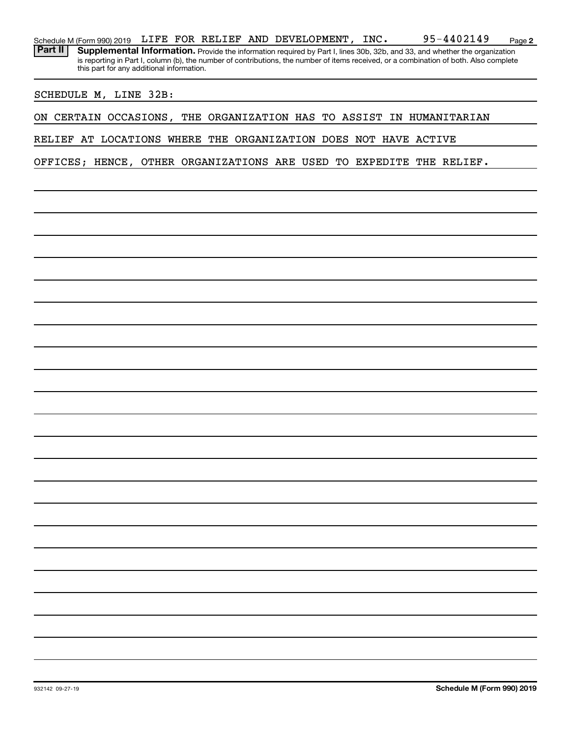|         | Schedule M (Form 990) 2019 |                                                                 |  |  |  | LIFE FOR RELIEF AND DEVELOPMENT, INC. |  | 95-4402149                                                                                                                                                                                                                                                           | Page 2 |
|---------|----------------------------|-----------------------------------------------------------------|--|--|--|---------------------------------------|--|----------------------------------------------------------------------------------------------------------------------------------------------------------------------------------------------------------------------------------------------------------------------|--------|
| Part II |                            |                                                                 |  |  |  |                                       |  | Supplemental Information. Provide the information required by Part I, lines 30b, 32b, and 33, and whether the organization<br>is reporting in Part I, column (b), the number of contributions, the number of items received, or a combination of both. Also complete |        |
|         |                            | this part for any additional information.                       |  |  |  |                                       |  |                                                                                                                                                                                                                                                                      |        |
|         |                            | SCHEDULE M, LINE 32B:                                           |  |  |  |                                       |  |                                                                                                                                                                                                                                                                      |        |
|         |                            |                                                                 |  |  |  |                                       |  | ON CERTAIN OCCASIONS, THE ORGANIZATION HAS TO ASSIST IN HUMANITARIAN                                                                                                                                                                                                 |        |
|         |                            | RELIEF AT LOCATIONS WHERE THE ORGANIZATION DOES NOT HAVE ACTIVE |  |  |  |                                       |  |                                                                                                                                                                                                                                                                      |        |
|         |                            |                                                                 |  |  |  |                                       |  | OFFICES; HENCE, OTHER ORGANIZATIONS ARE USED TO EXPEDITE THE RELIEF.                                                                                                                                                                                                 |        |
|         |                            |                                                                 |  |  |  |                                       |  |                                                                                                                                                                                                                                                                      |        |
|         |                            |                                                                 |  |  |  |                                       |  |                                                                                                                                                                                                                                                                      |        |
|         |                            |                                                                 |  |  |  |                                       |  |                                                                                                                                                                                                                                                                      |        |
|         |                            |                                                                 |  |  |  |                                       |  |                                                                                                                                                                                                                                                                      |        |
|         |                            |                                                                 |  |  |  |                                       |  |                                                                                                                                                                                                                                                                      |        |
|         |                            |                                                                 |  |  |  |                                       |  |                                                                                                                                                                                                                                                                      |        |
|         |                            |                                                                 |  |  |  |                                       |  |                                                                                                                                                                                                                                                                      |        |
|         |                            |                                                                 |  |  |  |                                       |  |                                                                                                                                                                                                                                                                      |        |
|         |                            |                                                                 |  |  |  |                                       |  |                                                                                                                                                                                                                                                                      |        |
|         |                            |                                                                 |  |  |  |                                       |  |                                                                                                                                                                                                                                                                      |        |
|         |                            |                                                                 |  |  |  |                                       |  |                                                                                                                                                                                                                                                                      |        |
|         |                            |                                                                 |  |  |  |                                       |  |                                                                                                                                                                                                                                                                      |        |
|         |                            |                                                                 |  |  |  |                                       |  |                                                                                                                                                                                                                                                                      |        |
|         |                            |                                                                 |  |  |  |                                       |  |                                                                                                                                                                                                                                                                      |        |
|         |                            |                                                                 |  |  |  |                                       |  |                                                                                                                                                                                                                                                                      |        |
|         |                            |                                                                 |  |  |  |                                       |  |                                                                                                                                                                                                                                                                      |        |
|         |                            |                                                                 |  |  |  |                                       |  |                                                                                                                                                                                                                                                                      |        |
|         |                            |                                                                 |  |  |  |                                       |  |                                                                                                                                                                                                                                                                      |        |
|         |                            |                                                                 |  |  |  |                                       |  |                                                                                                                                                                                                                                                                      |        |
|         |                            |                                                                 |  |  |  |                                       |  |                                                                                                                                                                                                                                                                      |        |
|         |                            |                                                                 |  |  |  |                                       |  |                                                                                                                                                                                                                                                                      |        |
|         |                            |                                                                 |  |  |  |                                       |  |                                                                                                                                                                                                                                                                      |        |
|         |                            |                                                                 |  |  |  |                                       |  |                                                                                                                                                                                                                                                                      |        |
|         |                            |                                                                 |  |  |  |                                       |  |                                                                                                                                                                                                                                                                      |        |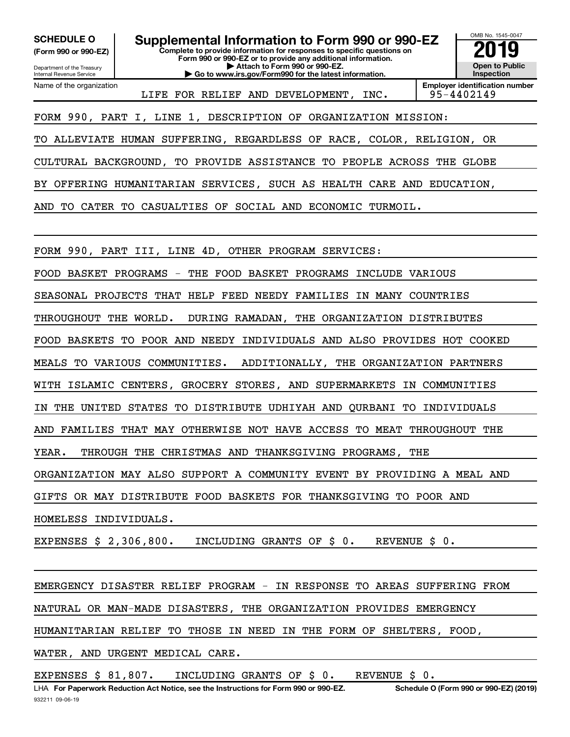**(Form 990 or 990-EZ)**

Department of the Treasury Internal Revenue Service

Name of the organization

**Complete to provide information for responses to specific questions on Form 990 or 990-EZ or to provide any additional information. | Attach to Form 990 or 990-EZ. | Go to www.irs.gov/Form990 for the latest information.** SCHEDULE O **Supplemental Information to Form 990 or 990-EZ** 2019<br>(Form 990 or 990-EZ)



LIFE FOR RELIEF AND DEVELOPMENT, INC. | 95-4402149

FORM 990, PART I, LINE 1, DESCRIPTION OF ORGANIZATION MISSION:

TO ALLEVIATE HUMAN SUFFERING, REGARDLESS OF RACE, COLOR, RELIGION, OR

CULTURAL BACKGROUND, TO PROVIDE ASSISTANCE TO PEOPLE ACROSS THE GLOBE

BY OFFERING HUMANITARIAN SERVICES, SUCH AS HEALTH CARE AND EDUCATION,

AND TO CATER TO CASUALTIES OF SOCIAL AND ECONOMIC TURMOIL.

FORM 990, PART III, LINE 4D, OTHER PROGRAM SERVICES:

FOOD BASKET PROGRAMS - THE FOOD BASKET PROGRAMS INCLUDE VARIOUS

SEASONAL PROJECTS THAT HELP FEED NEEDY FAMILIES IN MANY COUNTRIES

THROUGHOUT THE WORLD. DURING RAMADAN, THE ORGANIZATION DISTRIBUTES

FOOD BASKETS TO POOR AND NEEDY INDIVIDUALS AND ALSO PROVIDES HOT COOKED

MEALS TO VARIOUS COMMUNITIES. ADDITIONALLY, THE ORGANIZATION PARTNERS

WITH ISLAMIC CENTERS, GROCERY STORES, AND SUPERMARKETS IN COMMUNITIES

IN THE UNITED STATES TO DISTRIBUTE UDHIYAH AND QURBANI TO INDIVIDUALS

AND FAMILIES THAT MAY OTHERWISE NOT HAVE ACCESS TO MEAT THROUGHOUT THE

YEAR. THROUGH THE CHRISTMAS AND THANKSGIVING PROGRAMS, THE

ORGANIZATION MAY ALSO SUPPORT A COMMUNITY EVENT BY PROVIDING A MEAL AND

GIFTS OR MAY DISTRIBUTE FOOD BASKETS FOR THANKSGIVING TO POOR AND

HOMELESS INDIVIDUALS.

EXPENSES \$ 2,306,800. INCLUDING GRANTS OF \$ 0. REVENUE \$ 0.

EMERGENCY DISASTER RELIEF PROGRAM - IN RESPONSE TO AREAS SUFFERING FROM NATURAL OR MAN-MADE DISASTERS, THE ORGANIZATION PROVIDES EMERGENCY HUMANITARIAN RELIEF TO THOSE IN NEED IN THE FORM OF SHELTERS, FOOD,

WATER, AND URGENT MEDICAL CARE.

EXPENSES \$ 81,807. INCLUDING GRANTS OF \$ 0. REVENUE \$ 0.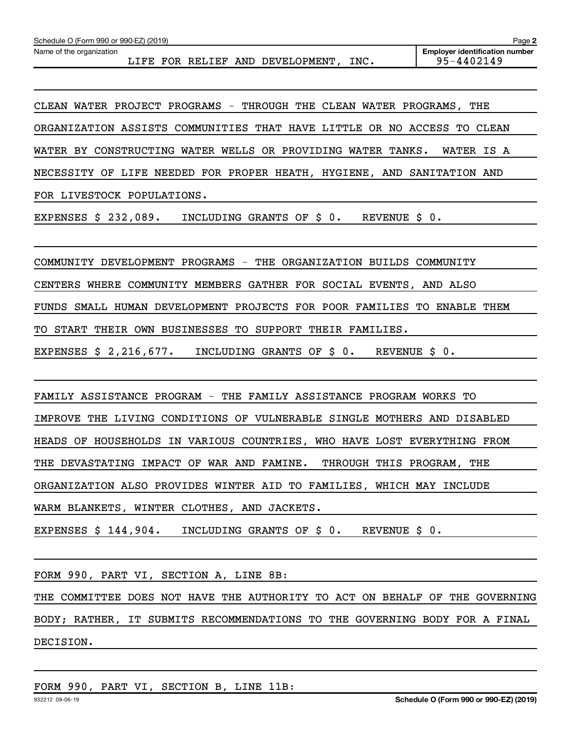Name of the organization LIFE FOR RELIEF AND DEVELOPMENT, INC. 95-4402149

CLEAN WATER PROJECT PROGRAMS - THROUGH THE CLEAN WATER PROGRAMS, THE ORGANIZATION ASSISTS COMMUNITIES THAT HAVE LITTLE OR NO ACCESS TO CLEAN WATER BY CONSTRUCTING WATER WELLS OR PROVIDING WATER TANKS. WATER IS A NECESSITY OF LIFE NEEDED FOR PROPER HEATH, HYGIENE, AND SANITATION AND FOR LIVESTOCK POPULATIONS.

EXPENSES \$ 232,089. INCLUDING GRANTS OF \$ 0. REVENUE \$ 0.

COMMUNITY DEVELOPMENT PROGRAMS - THE ORGANIZATION BUILDS COMMUNITY

CENTERS WHERE COMMUNITY MEMBERS GATHER FOR SOCIAL EVENTS, AND ALSO

FUNDS SMALL HUMAN DEVELOPMENT PROJECTS FOR POOR FAMILIES TO ENABLE THEM

TO START THEIR OWN BUSINESSES TO SUPPORT THEIR FAMILIES.

EXPENSES \$ 2,216,677. INCLUDING GRANTS OF \$ 0. REVENUE \$ 0.

FAMILY ASSISTANCE PROGRAM - THE FAMILY ASSISTANCE PROGRAM WORKS TO IMPROVE THE LIVING CONDITIONS OF VULNERABLE SINGLE MOTHERS AND DISABLED HEADS OF HOUSEHOLDS IN VARIOUS COUNTRIES, WHO HAVE LOST EVERYTHING FROM THE DEVASTATING IMPACT OF WAR AND FAMINE. THROUGH THIS PROGRAM, THE ORGANIZATION ALSO PROVIDES WINTER AID TO FAMILIES, WHICH MAY INCLUDE WARM BLANKETS, WINTER CLOTHES, AND JACKETS.

EXPENSES \$ 144,904. INCLUDING GRANTS OF \$ 0. REVENUE \$ 0.

FORM 990, PART VI, SECTION A, LINE 8B:

THE COMMITTEE DOES NOT HAVE THE AUTHORITY TO ACT ON BEHALF OF THE GOVERNING BODY; RATHER, IT SUBMITS RECOMMENDATIONS TO THE GOVERNING BODY FOR A FINAL DECISION.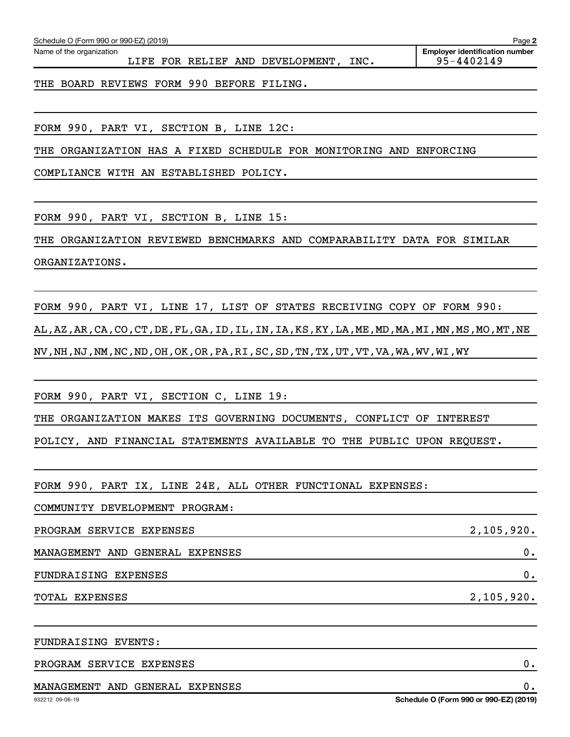| THE ORGANIZATION HAS A FIXED SCHEDULE FOR MONITORING AND ENFORCING                                          |                                        |
|-------------------------------------------------------------------------------------------------------------|----------------------------------------|
| COMPLIANCE WITH AN ESTABLISHED POLICY.                                                                      |                                        |
|                                                                                                             |                                        |
| FORM 990, PART VI, SECTION B, LINE 15:                                                                      |                                        |
| THE ORGANIZATION REVIEWED BENCHMARKS AND COMPARABILITY DATA FOR SIMILAR                                     |                                        |
| ORGANIZATIONS.                                                                                              |                                        |
|                                                                                                             |                                        |
| FORM 990, PART VI, LINE 17, LIST OF STATES RECEIVING COPY OF FORM 990:                                      |                                        |
| AL, AZ, AR, CA, CO, CT, DE, FL, GA, ID, IL, IN, IA, KS, KY, LA, ME, MD, MA, MI, MN, MS, MO, MT, NE          |                                        |
| NV , NH , NJ , NM , NC , ND , OH , OK , OR , PA , RI , SC , SD , TN , TX , UT , VT , VA , WA , WV , WI , WY |                                        |
|                                                                                                             |                                        |
| FORM 990, PART VI, SECTION C, LINE 19:                                                                      |                                        |
| THE ORGANIZATION MAKES ITS GOVERNING DOCUMENTS, CONFLICT OF INTEREST                                        |                                        |
| POLICY, AND FINANCIAL STATEMENTS AVAILABLE TO THE PUBLIC UPON REQUEST.                                      |                                        |
|                                                                                                             |                                        |
| FORM 990, PART IX, LINE 24E, ALL OTHER FUNCTIONAL EXPENSES:                                                 |                                        |
| COMMUNITY DEVELOPMENT PROGRAM:                                                                              |                                        |
| PROGRAM SERVICE EXPENSES                                                                                    | 2,105,920.                             |
| MANAGEMENT AND GENERAL EXPENSES                                                                             | 0.                                     |
| FUNDRAISING EXPENSES                                                                                        | 0.                                     |
| TOTAL EXPENSES                                                                                              | 2,105,920.                             |
|                                                                                                             |                                        |
| FUNDRAISING EVENTS:                                                                                         |                                        |
| PROGRAM SERVICE EXPENSES                                                                                    | 0.                                     |
| MANAGEMENT AND GENERAL EXPENSES                                                                             | 0.                                     |
| 932212 09-06-19                                                                                             | Schedule O (Form 990 or 990-EZ) (2019) |
|                                                                                                             |                                        |

# Name of the organization

Schedule O (Form 990 or 990-EZ) (2019)

LIFE FOR RELIEF AND DEVELOPMENT, INC.

**Employer identification number**

THE BOARD REVIEWS FORM 990 BEFORE FILING.

FORM 990, PART VI, SECTION B, LINE 12C:

- - -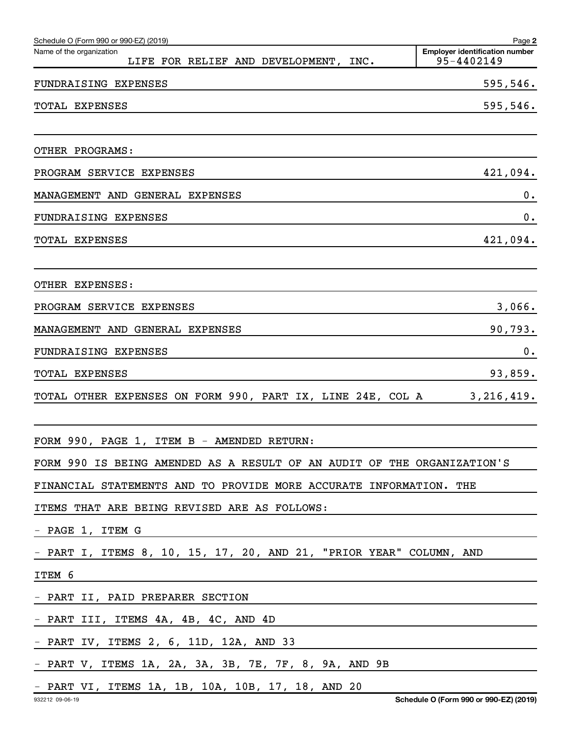| Schedule O (Form 990 or 990-EZ) (2019)                                  | Page 2                                              |
|-------------------------------------------------------------------------|-----------------------------------------------------|
| Name of the organization<br>LIFE FOR RELIEF AND DEVELOPMENT, INC.       | <b>Employer identification number</b><br>95-4402149 |
| FUNDRAISING EXPENSES                                                    | 595,546.                                            |
| TOTAL EXPENSES                                                          | 595,546.                                            |
| OTHER PROGRAMS:                                                         |                                                     |
| PROGRAM SERVICE EXPENSES                                                | 421,094.                                            |
| MANAGEMENT AND GENERAL EXPENSES                                         | 0.                                                  |
| <b>FUNDRAISING EXPENSES</b>                                             | 0.                                                  |
| TOTAL EXPENSES                                                          | 421,094.                                            |
| OTHER EXPENSES:                                                         |                                                     |
| PROGRAM SERVICE EXPENSES                                                | 3,066.                                              |
| MANAGEMENT AND GENERAL EXPENSES                                         | 90,793.                                             |
| <b>FUNDRAISING EXPENSES</b>                                             | 0.                                                  |
| TOTAL EXPENSES                                                          | 93,859.                                             |
| TOTAL OTHER EXPENSES ON FORM 990, PART IX, LINE 24E, COL A              | 3,216,419.                                          |
| FORM 990, PAGE 1, ITEM B - AMENDED RETURN:                              |                                                     |
| FORM 990 IS BEING AMENDED AS A RESULT OF AN AUDIT OF THE ORGANIZATION'S |                                                     |
| FINANCIAL STATEMENTS AND TO PROVIDE MORE ACCURATE INFORMATION. THE      |                                                     |
| ITEMS THAT ARE BEING REVISED ARE AS FOLLOWS:                            |                                                     |
| - PAGE 1, ITEM G                                                        |                                                     |
| - PART I, ITEMS 8, 10, 15, 17, 20, AND 21, "PRIOR YEAR" COLUMN, AND     |                                                     |
| ITEM 6                                                                  |                                                     |
| - PART II, PAID PREPARER SECTION                                        |                                                     |
| - PART III, ITEMS 4A, 4B, 4C, AND 4D                                    |                                                     |
| - PART IV, ITEMS 2, 6, 11D, 12A, AND 33                                 |                                                     |
| - PART V, ITEMS 1A, 2A, 3A, 3B, 7E, 7F, 8, 9A, AND 9B                   |                                                     |
| - PART VI, ITEMS 1A, 1B, 10A, 10B, 17, 18, AND 20                       |                                                     |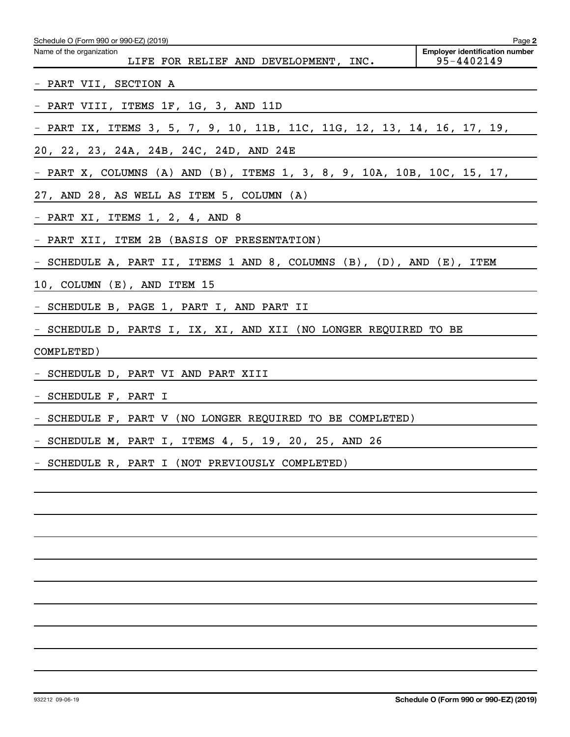| Schedule O (Form 990 or 990-EZ) (2019)                                                                                       | Page 2                                              |
|------------------------------------------------------------------------------------------------------------------------------|-----------------------------------------------------|
| Name of the organization<br>LIFE FOR RELIEF AND DEVELOPMENT, INC.                                                            | <b>Employer identification number</b><br>95-4402149 |
| - PART VII, SECTION A                                                                                                        |                                                     |
| - PART VIII, ITEMS 1F, 1G, 3, AND 11D                                                                                        |                                                     |
| - PART IX, ITEMS 3, 5, 7, 9, 10, 11B, 11C, 11G, 12, 13, 14, 16, 17, 19,                                                      |                                                     |
| 20, 22, 23, 24A, 24B, 24C, 24D, AND 24E                                                                                      |                                                     |
| - PART X, COLUMNS (A) AND (B), ITEMS 1, 3, 8, 9, 10A, 10B, 10C, 15, 17,                                                      |                                                     |
| 27, AND 28, AS WELL AS ITEM 5, COLUMN (A)                                                                                    |                                                     |
| - PART XI, ITEMS 1, 2, 4, AND 8<br>the control of the control of the control of the control of the control of the control of |                                                     |
| - PART XII, ITEM 2B (BASIS OF PRESENTATION)                                                                                  |                                                     |
| - SCHEDULE A, PART II, ITEMS 1 AND 8, COLUMNS (B), (D), AND (E), ITEM                                                        |                                                     |
| 10, COLUMN (E), AND ITEM 15<br><u> 1980 - Johann Barn, amerikansk politiker (d. 1980)</u>                                    |                                                     |
| - SCHEDULE B, PAGE 1, PART I, AND PART II                                                                                    |                                                     |
| - SCHEDULE D, PARTS I, IX, XI, AND XII (NO LONGER REQUIRED TO BE                                                             |                                                     |
| COMPLETED)                                                                                                                   |                                                     |
| - SCHEDULE D, PART VI AND PART XIII                                                                                          |                                                     |
| - SCHEDULE F, PART I                                                                                                         |                                                     |
| - SCHEDULE F, PART V (NO LONGER REQUIRED TO BE COMPLETED)                                                                    |                                                     |
| - SCHEDULE M, PART I, ITEMS 4, 5, 19, 20, 25, AND 26                                                                         |                                                     |
| SCHEDULE R, PART I (NOT PREVIOUSLY COMPLETED)                                                                                |                                                     |
|                                                                                                                              |                                                     |
|                                                                                                                              |                                                     |
|                                                                                                                              |                                                     |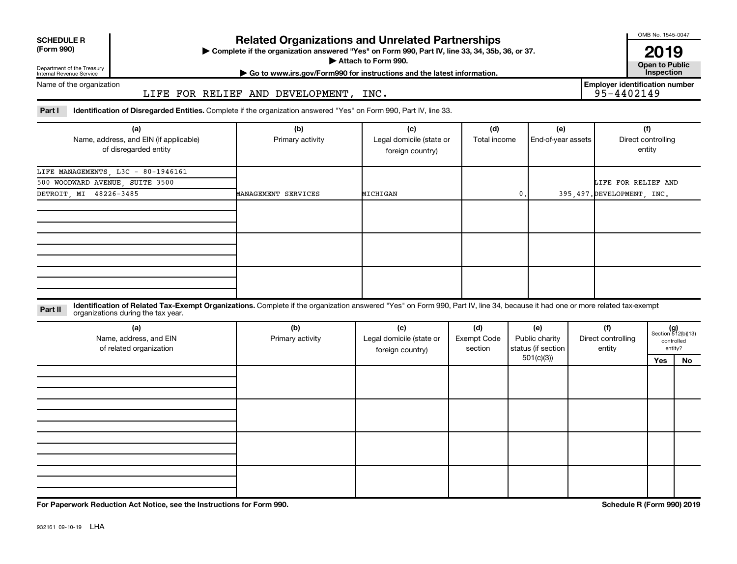| <b>SCHEDULE R</b> |  |  |
|-------------------|--|--|
|                   |  |  |

## Department of the Treasury

## **Related Organizations and Unrelated Partnerships**

**(Form 990) Complete if the organization answered "Yes" on Form 990, Part IV, line 33, 34, 35b, 36, or 37.** |

**Attach to Form 990. Contract to Form 990. Contract to Public** 

OMB No. 1545-0047

**| Go to www.irs.gov/Form990 for instructions and the latest information. Inspection 2019**<br>Open to Public

Internal Revenue Service Name of the organization

LIFE FOR RELIEF AND DEVELOPMENT, INC.

**Employer identification number**

Part I ldentification of Disregarded Entities. Complete if the organization answered "Yes" on Form 990, Part IV, line 33.

| (a)                                    | (b)                 | (c)                      | (d)          | (e)                | (f)                        |
|----------------------------------------|---------------------|--------------------------|--------------|--------------------|----------------------------|
| Name, address, and EIN (if applicable) | Primary activity    | Legal domicile (state or | Total income | End-of-year assets | Direct controlling         |
| of disregarded entity                  |                     | foreign country)         |              |                    | entity                     |
| LIFE MANAGEMENTS, L3C - 80-1946161     |                     |                          |              |                    |                            |
| 500 WOODWARD AVENUE, SUITE 3500        |                     |                          |              |                    | LIFE FOR RELIEF AND        |
| DETROIT, MI 48226-3485                 | MANAGEMENT SERVICES | MICHIGAN                 | $\bm{0}$ .   |                    | 395,497. DEVELOPMENT, INC. |
|                                        |                     |                          |              |                    |                            |
|                                        |                     |                          |              |                    |                            |
|                                        |                     |                          |              |                    |                            |
|                                        |                     |                          |              |                    |                            |
|                                        |                     |                          |              |                    |                            |
|                                        |                     |                          |              |                    |                            |
|                                        |                     |                          |              |                    |                            |
|                                        |                     |                          |              |                    |                            |
|                                        |                     |                          |              |                    |                            |

**Part II** Identification of Related Tax-Exempt Organizations. Complete if the organization answered "Yes" on Form 990, Part IV, line 34, because it had one or more related tax-exempt<br>Part II acconizations during the tax ye organizations during the tax year.

| (a)<br>Name, address, and EIN<br>of related organization | (b)<br>Primary activity | (c)<br>Legal domicile (state or<br>foreign country) | (d)<br><b>Exempt Code</b><br>section | (e)<br>Public charity<br>status (if section | (f)<br>Direct controlling<br>entity |     | $(g)$<br>Section 512(b)(13)<br>controlled<br>entity? |
|----------------------------------------------------------|-------------------------|-----------------------------------------------------|--------------------------------------|---------------------------------------------|-------------------------------------|-----|------------------------------------------------------|
|                                                          |                         |                                                     |                                      | 501(c)(3)                                   |                                     | Yes | No                                                   |
|                                                          |                         |                                                     |                                      |                                             |                                     |     |                                                      |
|                                                          |                         |                                                     |                                      |                                             |                                     |     |                                                      |
|                                                          |                         |                                                     |                                      |                                             |                                     |     |                                                      |
|                                                          |                         |                                                     |                                      |                                             |                                     |     |                                                      |
|                                                          |                         |                                                     |                                      |                                             |                                     |     |                                                      |
|                                                          |                         |                                                     |                                      |                                             |                                     |     |                                                      |
|                                                          |                         |                                                     |                                      |                                             |                                     |     |                                                      |
|                                                          |                         |                                                     |                                      |                                             |                                     |     |                                                      |
|                                                          |                         |                                                     |                                      |                                             |                                     |     |                                                      |
|                                                          |                         |                                                     |                                      |                                             |                                     |     |                                                      |
|                                                          |                         |                                                     |                                      |                                             |                                     |     |                                                      |
|                                                          |                         |                                                     |                                      |                                             |                                     |     |                                                      |

**For Paperwork Reduction Act Notice, see the Instructions for Form 990. Schedule R (Form 990) 2019**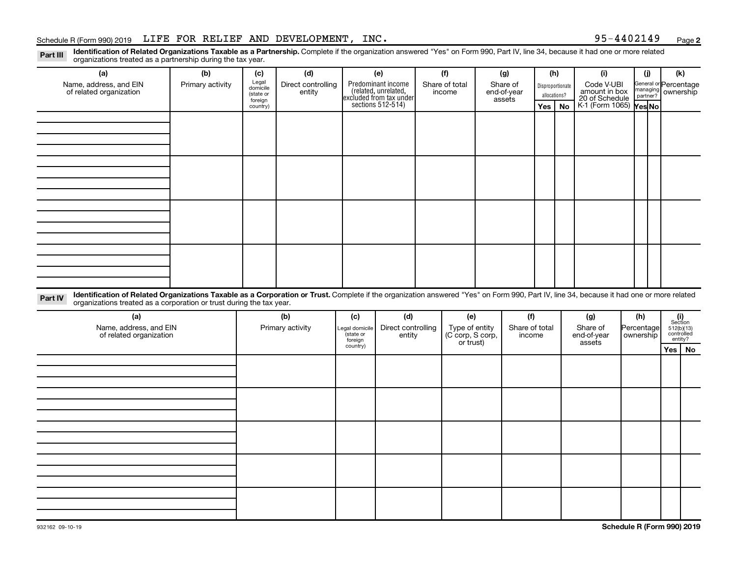### Schedule R (Form 990) 2019 Page LIFE FOR RELIEF AND DEVELOPMENT, INC. 95-4402149

**2**

Part III Identification of Related Organizations Taxable as a Partnership. Complete if the organization answered "Yes" on Form 990, Part IV, line 34, because it had one or more related<br>Read to the organizations tracted as organizations treated as a partnership during the tax year.

| ייטיי<br>reaction of a bacter and a part from the barring and tax your.<br>(a)                                                                                                                                                                                              | (b)              | (d)<br>(c)                                |                              | (e)                             |                                                                                            | (f) |                               | (g)                   |                                   | (h)                   |                                                                                                             | (i)                   |                   | (i)                  | (k)                                                                                                                             |  |
|-----------------------------------------------------------------------------------------------------------------------------------------------------------------------------------------------------------------------------------------------------------------------------|------------------|-------------------------------------------|------------------------------|---------------------------------|--------------------------------------------------------------------------------------------|-----|-------------------------------|-----------------------|-----------------------------------|-----------------------|-------------------------------------------------------------------------------------------------------------|-----------------------|-------------------|----------------------|---------------------------------------------------------------------------------------------------------------------------------|--|
| Name, address, and EIN<br>of related organization                                                                                                                                                                                                                           | Primary activity | Legal<br>domicile<br>(state or<br>foreign | Direct controlling<br>entity |                                 | Predominant income<br>(related, unrelated,<br>excluded from tax under<br>sections 512-514) |     | Share of total<br>income      |                       | Share of<br>end-of-year<br>assets |                       | Code V-UBI<br>Disproportionate<br>amount in box<br>allocations?<br>20 of Schedule<br>K-1 (Form 1065) Yes No |                       |                   | managing<br>partner? | General or Percentage<br>ownership                                                                                              |  |
|                                                                                                                                                                                                                                                                             |                  | country)                                  |                              |                                 |                                                                                            |     |                               |                       |                                   | Yes                   | No                                                                                                          |                       |                   |                      |                                                                                                                                 |  |
|                                                                                                                                                                                                                                                                             |                  |                                           |                              |                                 |                                                                                            |     |                               |                       |                                   |                       |                                                                                                             |                       |                   |                      |                                                                                                                                 |  |
|                                                                                                                                                                                                                                                                             |                  |                                           |                              |                                 |                                                                                            |     |                               |                       |                                   |                       |                                                                                                             |                       |                   |                      |                                                                                                                                 |  |
|                                                                                                                                                                                                                                                                             |                  |                                           |                              |                                 |                                                                                            |     |                               |                       |                                   |                       |                                                                                                             |                       |                   |                      |                                                                                                                                 |  |
|                                                                                                                                                                                                                                                                             |                  |                                           |                              |                                 |                                                                                            |     |                               |                       |                                   |                       |                                                                                                             |                       |                   |                      |                                                                                                                                 |  |
|                                                                                                                                                                                                                                                                             |                  |                                           |                              |                                 |                                                                                            |     |                               |                       |                                   |                       |                                                                                                             |                       |                   |                      |                                                                                                                                 |  |
|                                                                                                                                                                                                                                                                             |                  |                                           |                              |                                 |                                                                                            |     |                               |                       |                                   |                       |                                                                                                             |                       |                   |                      |                                                                                                                                 |  |
|                                                                                                                                                                                                                                                                             |                  |                                           |                              |                                 |                                                                                            |     |                               |                       |                                   |                       |                                                                                                             |                       |                   |                      |                                                                                                                                 |  |
|                                                                                                                                                                                                                                                                             |                  |                                           |                              |                                 |                                                                                            |     |                               |                       |                                   |                       |                                                                                                             |                       |                   |                      |                                                                                                                                 |  |
|                                                                                                                                                                                                                                                                             |                  |                                           |                              |                                 |                                                                                            |     |                               |                       |                                   |                       |                                                                                                             |                       |                   |                      |                                                                                                                                 |  |
| Identification of Related Organizations Taxable as a Corporation or Trust. Complete if the organization answered "Yes" on Form 990, Part IV, line 34, because it had one or more related<br>Part IV<br>organizations treated as a corporation or trust during the tax year. |                  |                                           |                              |                                 |                                                                                            |     |                               |                       |                                   |                       |                                                                                                             |                       |                   |                      |                                                                                                                                 |  |
| (a)<br>Name, address, and EIN                                                                                                                                                                                                                                               |                  | (b)<br>Primary activity                   |                              | (c)<br>Legal domicile           | (d)<br>Direct controlling                                                                  |     |                               | (e)<br>Type of entity |                                   | (f)<br>Share of total |                                                                                                             | (g)<br>Share of       | (h)<br>Percentage |                      | $\begin{array}{c} \textbf{(i)}\\ \text{Section}\\ 512 \text{(b)} \text{(13)}\\ \text{controlled} \\ \text{entity?} \end{array}$ |  |
| of related organization                                                                                                                                                                                                                                                     |                  |                                           |                              | state or<br>foreign<br>country) | entity                                                                                     |     | (C corp, S corp,<br>or trust) |                       | income                            |                       |                                                                                                             | end-of-year<br>assets | ownership         |                      |                                                                                                                                 |  |
|                                                                                                                                                                                                                                                                             |                  |                                           |                              |                                 |                                                                                            |     |                               |                       |                                   |                       |                                                                                                             |                       |                   |                      | Yes   No                                                                                                                        |  |
|                                                                                                                                                                                                                                                                             |                  |                                           |                              |                                 |                                                                                            |     |                               |                       |                                   |                       |                                                                                                             |                       |                   |                      |                                                                                                                                 |  |
|                                                                                                                                                                                                                                                                             |                  |                                           |                              |                                 |                                                                                            |     |                               |                       |                                   |                       |                                                                                                             |                       |                   |                      |                                                                                                                                 |  |
|                                                                                                                                                                                                                                                                             |                  |                                           |                              |                                 |                                                                                            |     |                               |                       |                                   |                       |                                                                                                             |                       |                   |                      |                                                                                                                                 |  |
|                                                                                                                                                                                                                                                                             |                  |                                           |                              |                                 |                                                                                            |     |                               |                       |                                   |                       |                                                                                                             |                       |                   |                      |                                                                                                                                 |  |
|                                                                                                                                                                                                                                                                             |                  |                                           |                              |                                 |                                                                                            |     |                               |                       |                                   |                       |                                                                                                             |                       |                   |                      |                                                                                                                                 |  |
|                                                                                                                                                                                                                                                                             |                  |                                           |                              |                                 |                                                                                            |     |                               |                       |                                   |                       |                                                                                                             |                       |                   |                      |                                                                                                                                 |  |
|                                                                                                                                                                                                                                                                             |                  |                                           |                              |                                 |                                                                                            |     |                               |                       |                                   |                       |                                                                                                             |                       |                   |                      |                                                                                                                                 |  |
|                                                                                                                                                                                                                                                                             |                  |                                           |                              |                                 |                                                                                            |     |                               |                       |                                   |                       |                                                                                                             |                       |                   |                      |                                                                                                                                 |  |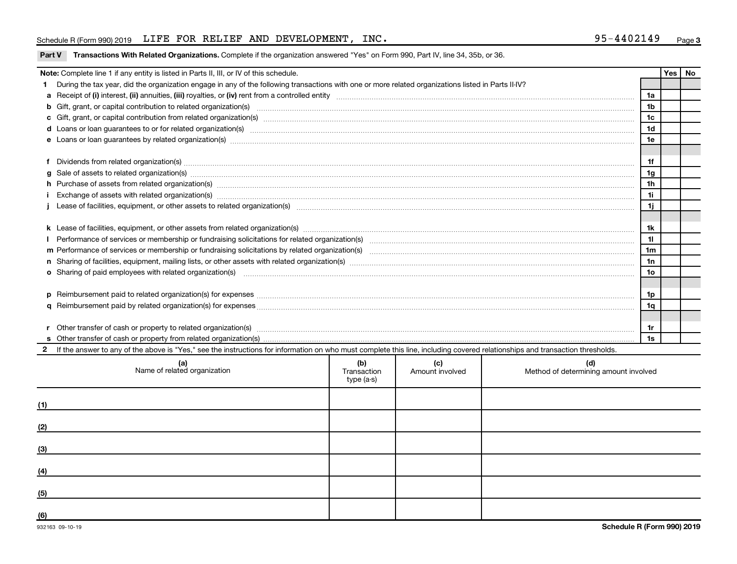### Schedule R (Form 990) 2019 Page LIFE FOR RELIEF AND DEVELOPMENT, INC. 95-4402149

|    | Note: Complete line 1 if any entity is listed in Parts II, III, or IV of this schedule.                                                                                                                                        |                    |                        |                                              |                 |  | Yes   No |
|----|--------------------------------------------------------------------------------------------------------------------------------------------------------------------------------------------------------------------------------|--------------------|------------------------|----------------------------------------------|-----------------|--|----------|
|    | During the tax year, did the organization engage in any of the following transactions with one or more related organizations listed in Parts II-IV?                                                                            |                    |                        |                                              |                 |  |          |
|    |                                                                                                                                                                                                                                |                    |                        |                                              | 1a              |  |          |
|    | b Gift, grant, or capital contribution to related organization(s) manufaction content and content and contribution to related organization(s) manufaction content and content and contribution to related organization(s) manu |                    |                        |                                              | 1 <sub>b</sub>  |  |          |
|    | 1 <sub>c</sub>                                                                                                                                                                                                                 |                    |                        |                                              |                 |  |          |
|    |                                                                                                                                                                                                                                |                    |                        |                                              | 1 <sub>d</sub>  |  |          |
|    | e Loans or loan guarantees by related organization(s) manufaction content to content the manufacture content of the manufacture content of the manufacture content of the manufacture content of the local content of the manu |                    |                        |                                              | 1e              |  |          |
|    |                                                                                                                                                                                                                                |                    |                        |                                              |                 |  |          |
|    | Dividends from related organization(s) www.andron.com/www.andron.com/www.andron.com/www.andron.com/www.andron.com/www.andron.com/www.andron.com/www.andron.com/www.andron.com/www.andron.com/www.andron.com/www.andron.com/www |                    |                        |                                              | 1f              |  |          |
| a  | Sale of assets to related organization(s) material contents and content to content the state of assets to related organization(s) material content of the set of assets to related organization(s) material content of the set |                    |                        |                                              | 1g              |  |          |
|    | h Purchase of assets from related organization(s) manufactured and content to content and content of assets from related organization(s)                                                                                       |                    |                        |                                              | 1 <sub>h</sub>  |  |          |
|    |                                                                                                                                                                                                                                |                    |                        |                                              | 11              |  |          |
|    |                                                                                                                                                                                                                                |                    |                        |                                              | 1j              |  |          |
|    |                                                                                                                                                                                                                                |                    |                        |                                              |                 |  |          |
|    |                                                                                                                                                                                                                                |                    |                        |                                              | 1k              |  |          |
|    |                                                                                                                                                                                                                                |                    |                        |                                              | 11              |  |          |
|    |                                                                                                                                                                                                                                |                    |                        |                                              | 1 <sub>m</sub>  |  |          |
|    |                                                                                                                                                                                                                                |                    |                        |                                              | 1n              |  |          |
|    | o Sharing of paid employees with related organization(s) material contents and content to the star of paid employees with related organization(s) material contents and the star of the star of the star of the star of the st |                    |                        |                                              | 10 <sub>o</sub> |  |          |
|    |                                                                                                                                                                                                                                |                    |                        |                                              |                 |  |          |
| D. | Reimbursement paid to related organization(s) for expenses [111] Research Manuscritics [21] Reimbursement paid to related organization(s) for expenses [11] Manuscritics [21] Manuscritics [21] Manuscritics [21] Manuscritics |                    |                        |                                              | 1p              |  |          |
|    |                                                                                                                                                                                                                                |                    |                        |                                              | 1q              |  |          |
|    |                                                                                                                                                                                                                                |                    |                        |                                              |                 |  |          |
|    | Other transfer of cash or property to related organization(s) www.communities.com/www.communities/communities/                                                                                                                 |                    |                        |                                              | 1r              |  |          |
|    |                                                                                                                                                                                                                                |                    |                        |                                              | 1s              |  |          |
|    | 2 If the answer to any of the above is "Yes," see the instructions for information on who must complete this line, including covered relationships and transaction thresholds.                                                 |                    |                        |                                              |                 |  |          |
|    |                                                                                                                                                                                                                                |                    |                        |                                              |                 |  |          |
|    | (a)<br>Name of related organization                                                                                                                                                                                            | (b)<br>Transaction | (c)<br>Amount involved | (d)<br>Method of determining amount involved |                 |  |          |
|    |                                                                                                                                                                                                                                | type (a-s)         |                        |                                              |                 |  |          |

|     | Name of related organization                                                                                          | $\mathbf{v}$<br>Transaction<br>type (a-s) | $\sqrt{ }$<br>Amount involved | $\sim$<br>Method of determining amount involved |
|-----|-----------------------------------------------------------------------------------------------------------------------|-------------------------------------------|-------------------------------|-------------------------------------------------|
| (1) |                                                                                                                       |                                           |                               |                                                 |
| (2) |                                                                                                                       |                                           |                               |                                                 |
| (3) | <u> 1989 - Johann Stein, marwolaethau a bhann an t-Amhain ann an t-Amhain an t-Amhain an t-Amhain an t-Amhain an </u> |                                           |                               |                                                 |
| (4) |                                                                                                                       |                                           |                               |                                                 |
| (5) |                                                                                                                       |                                           |                               |                                                 |
| (6) |                                                                                                                       |                                           |                               |                                                 |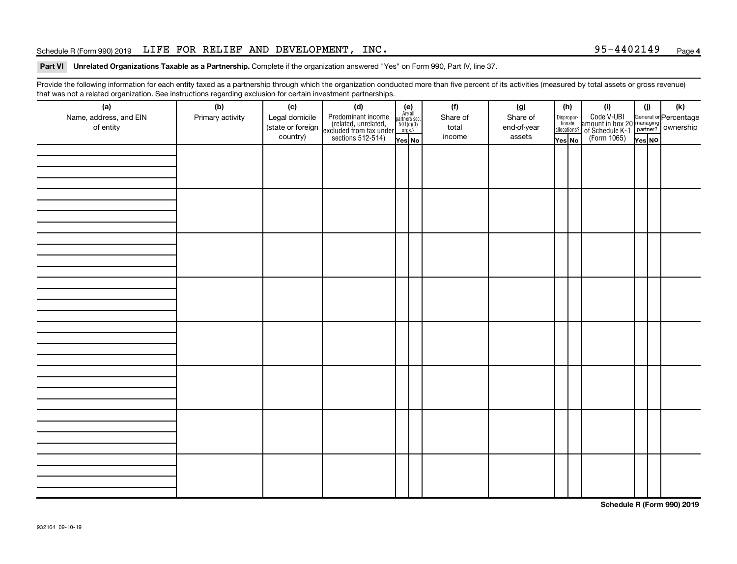### Schedule R (Form 990) 2019 Page LIFE FOR RELIEF AND DEVELOPMENT, INC. 95-4402149

#### Part VI Unrelated Organizations Taxable as a Partnership. Complete if the organization answered "Yes" on Form 990, Part IV, line 37.

Provide the following information for each entity taxed as a partnership through which the organization conducted more than five percent of its activities (measured by total assets or gross revenue) that was not a related organization. See instructions regarding exclusion for certain investment partnerships.

| (a)<br>Name, address, and EIN<br>of entity | . ت<br>(b)<br>Primary activity | (c)<br>Legal domicile<br>(state or foreign<br>country) | (d)<br>Predominant income<br>(related, unrelated,<br>excluded from tax under<br>sections 512-514) | (e)<br>Are all<br>partners sec.<br>$501(c)(3)$<br>orgs.?<br>Yes No | (f)<br>Share of<br>total<br>income | (g)<br>Share of<br>end-of-year<br>assets | (h)<br>Dispropor-<br>tionate<br>allocations?<br>Yes No | (i)<br>Code V-UBI<br>amount in box 20 managing<br>of Schedule K-1<br>(Form 1065)<br>$\overline{V}$ ves No | (i)<br>Yes NO | $(\mathsf{k})$ |
|--------------------------------------------|--------------------------------|--------------------------------------------------------|---------------------------------------------------------------------------------------------------|--------------------------------------------------------------------|------------------------------------|------------------------------------------|--------------------------------------------------------|-----------------------------------------------------------------------------------------------------------|---------------|----------------|
|                                            |                                |                                                        |                                                                                                   |                                                                    |                                    |                                          |                                                        |                                                                                                           |               |                |
|                                            |                                |                                                        |                                                                                                   |                                                                    |                                    |                                          |                                                        |                                                                                                           |               |                |
|                                            |                                |                                                        |                                                                                                   |                                                                    |                                    |                                          |                                                        |                                                                                                           |               |                |
|                                            |                                |                                                        |                                                                                                   |                                                                    |                                    |                                          |                                                        |                                                                                                           |               |                |
|                                            |                                |                                                        |                                                                                                   |                                                                    |                                    |                                          |                                                        |                                                                                                           |               |                |
|                                            |                                |                                                        |                                                                                                   |                                                                    |                                    |                                          |                                                        |                                                                                                           |               |                |
|                                            |                                |                                                        |                                                                                                   |                                                                    |                                    |                                          |                                                        |                                                                                                           |               |                |
|                                            |                                |                                                        |                                                                                                   |                                                                    |                                    |                                          |                                                        |                                                                                                           |               |                |

**Schedule R (Form 990) 2019**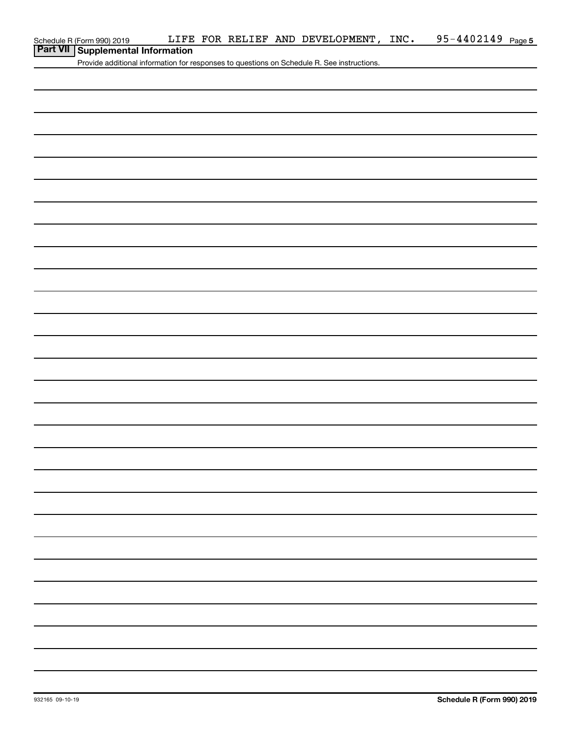|  | Schedule R (Form 990) 2019 |
|--|----------------------------|
|--|----------------------------|

# **Part VII Supplemental Information**

Provide additional information for responses to questions on Schedule R. See instructions.